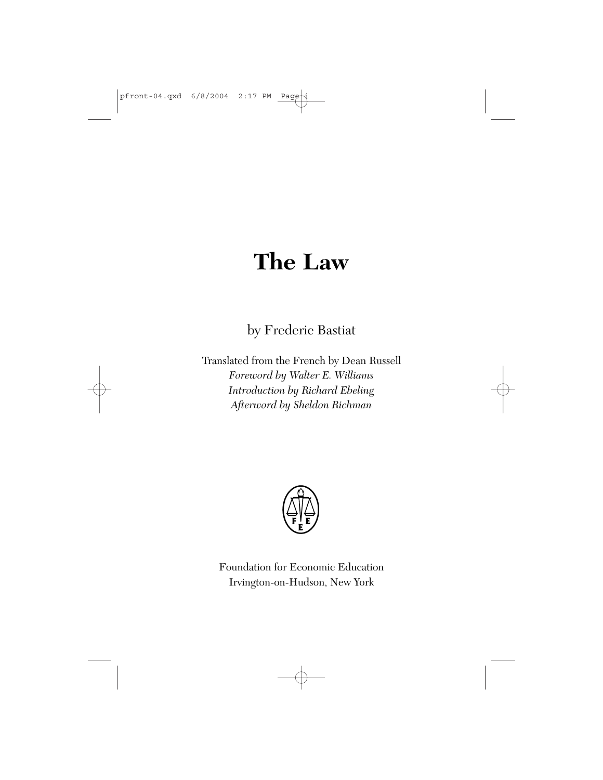# **The Law**

# by Frederic Bastiat

Translated from the French by Dean Russell *Foreword by Walter E. Williams Introduction by Richard Ebeling Afterword by Sheldon Richman*



Foundation for Economic Education Irvington-on-Hudson, New York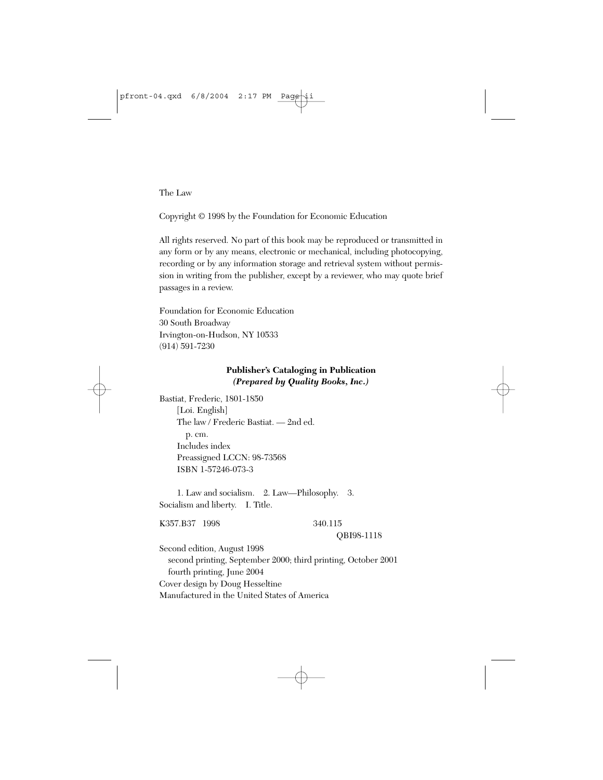The Law

Copyright © 1998 by the Foundation for Economic Education

All rights reserved. No part of this book may be reproduced or transmitted in any form or by any means, electronic or mechanical, including photocopying, recording or by any information storage and retrieval system without permission in writing from the publisher, except by a reviewer, who may quote brief passages in a review.

Foundation for Economic Education 30 South Broadway Irvington-on-Hudson, NY 10533 (914) 591-7230

#### **Publisher's Cataloging in Publication** *(Prepared by Quality Books, Inc.)*

Bastiat, Frederic, 1801-1850 [Loi. English] The law / Frederic Bastiat. — 2nd ed. p. cm. Includes index Preassigned LCCN: 98-73568 ISBN 1-57246-073-3

1. Law and socialism. 2. Law—Philosophy. 3. Socialism and liberty. I. Title.

K357.B37 1998 340.115

#### QBI98-1118

Second edition, August 1998

second printing, September 2000; third printing, October 2001 fourth printing, June 2004 Cover design by Doug Hesseltine Manufactured in the United States of America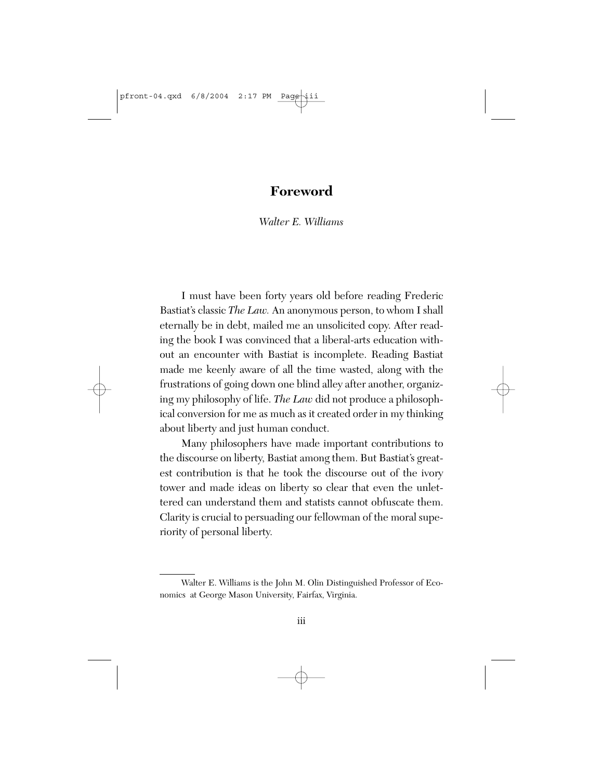# **Foreword**

#### *Walter E. Williams*

I must have been forty years old before reading Frederic Bastiat's classic *The Law.* An anonymous person, to whom I shall eternally be in debt, mailed me an unsolicited copy. After reading the book I was convinced that a liberal-arts education without an encounter with Bastiat is incomplete. Reading Bastiat made me keenly aware of all the time wasted, along with the frustrations of going down one blind alley after another, organizing my philosophy of life. *The Law* did not produce a philosophical conversion for me as much as it created order in my thinking about liberty and just human conduct.

Many philosophers have made important contributions to the discourse on liberty, Bastiat among them. But Bastiat's greatest contribution is that he took the discourse out of the ivory tower and made ideas on liberty so clear that even the unlettered can understand them and statists cannot obfuscate them. Clarity is crucial to persuading our fellowman of the moral superiority of personal liberty.

Walter E. Williams is the John M. Olin Distinguished Professor of Economics at George Mason University, Fairfax, Virginia.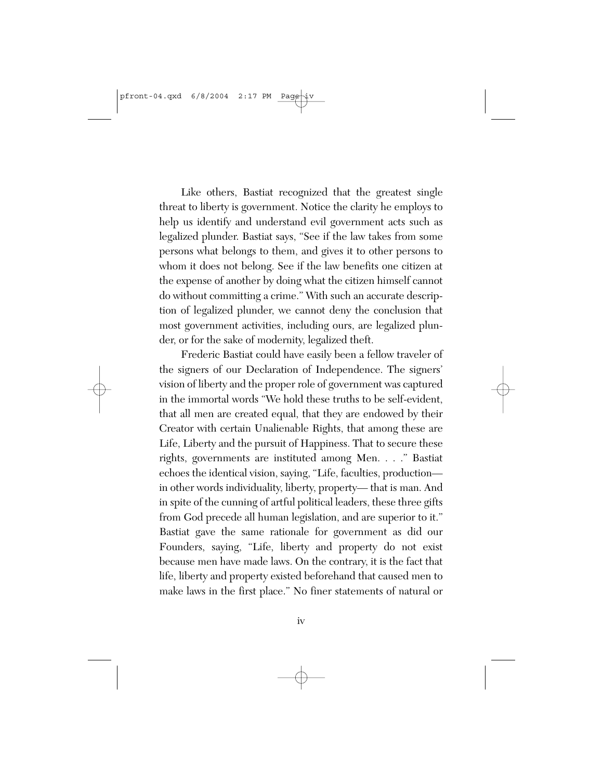Like others, Bastiat recognized that the greatest single threat to liberty is government. Notice the clarity he employs to help us identify and understand evil government acts such as legalized plunder. Bastiat says, "See if the law takes from some persons what belongs to them, and gives it to other persons to whom it does not belong. See if the law benefits one citizen at the expense of another by doing what the citizen himself cannot do without committing a crime." With such an accurate description of legalized plunder, we cannot deny the conclusion that most government activities, including ours, are legalized plunder, or for the sake of modernity, legalized theft.

Frederic Bastiat could have easily been a fellow traveler of the signers of our Declaration of Independence. The signers' vision of liberty and the proper role of government was captured in the immortal words "We hold these truths to be self-evident, that all men are created equal, that they are endowed by their Creator with certain Unalienable Rights, that among these are Life, Liberty and the pursuit of Happiness. That to secure these rights, governments are instituted among Men. . . ." Bastiat echoes the identical vision, saying, "Life, faculties, production in other words individuality, liberty, property— that is man. And in spite of the cunning of artful political leaders, these three gifts from God precede all human legislation, and are superior to it." Bastiat gave the same rationale for government as did our Founders, saying, "Life, liberty and property do not exist because men have made laws. On the contrary, it is the fact that life, liberty and property existed beforehand that caused men to make laws in the first place." No finer statements of natural or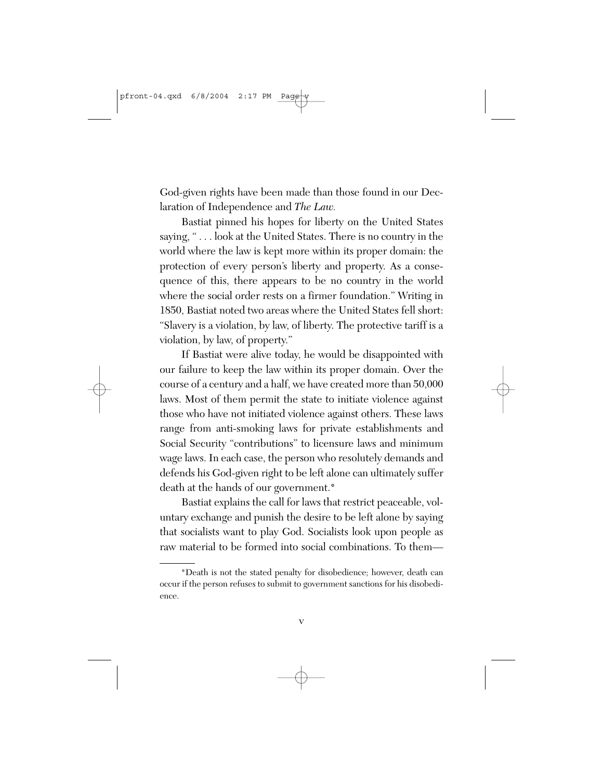God-given rights have been made than those found in our Declaration of Independence and *The Law.*

Bastiat pinned his hopes for liberty on the United States saying, " . . . look at the United States. There is no country in the world where the law is kept more within its proper domain: the protection of every person's liberty and property. As a consequence of this, there appears to be no country in the world where the social order rests on a firmer foundation." Writing in 1850, Bastiat noted two areas where the United States fell short: "Slavery is a violation, by law, of liberty. The protective tariff is a violation, by law, of property."

If Bastiat were alive today, he would be disappointed with our failure to keep the law within its proper domain. Over the course of a century and a half, we have created more than 50,000 laws. Most of them permit the state to initiate violence against those who have not initiated violence against others. These laws range from anti-smoking laws for private establishments and Social Security "contributions" to licensure laws and minimum wage laws. In each case, the person who resolutely demands and defends his God-given right to be left alone can ultimately suffer death at the hands of our government.\*

Bastiat explains the call for laws that restrict peaceable, voluntary exchange and punish the desire to be left alone by saying that socialists want to play God. Socialists look upon people as raw material to be formed into social combinations. To them—

<sup>\*</sup>Death is not the stated penalty for disobedience; however, death can occur if the person refuses to submit to government sanctions for his disobedience.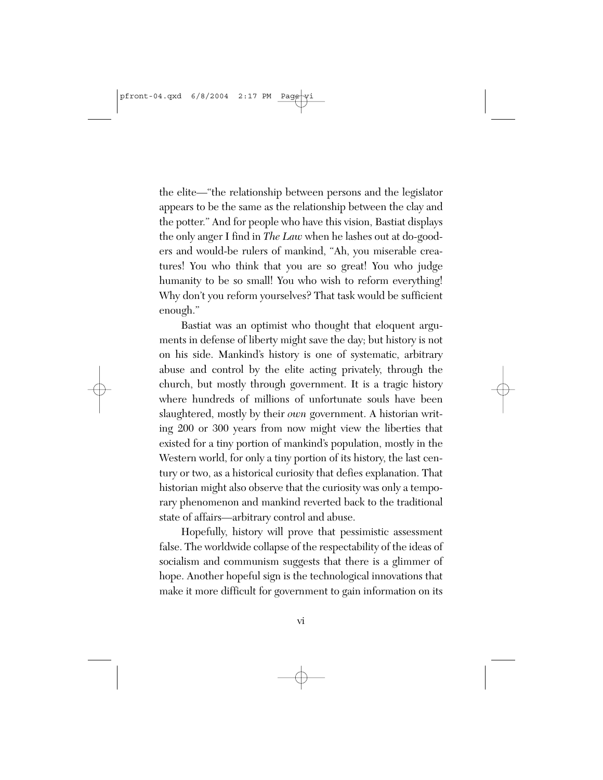the elite—"the relationship between persons and the legislator appears to be the same as the relationship between the clay and the potter." And for people who have this vision, Bastiat displays the only anger I find in *The Law* when he lashes out at do-gooders and would-be rulers of mankind, "Ah, you miserable creatures! You who think that you are so great! You who judge humanity to be so small! You who wish to reform everything! Why don't you reform yourselves? That task would be sufficient enough."

Bastiat was an optimist who thought that eloquent arguments in defense of liberty might save the day; but history is not on his side. Mankind's history is one of systematic, arbitrary abuse and control by the elite acting privately, through the church, but mostly through government. It is a tragic history where hundreds of millions of unfortunate souls have been slaughtered, mostly by their *own* government. A historian writing 200 or 300 years from now might view the liberties that existed for a tiny portion of mankind's population, mostly in the Western world, for only a tiny portion of its history, the last century or two, as a historical curiosity that defies explanation. That historian might also observe that the curiosity was only a temporary phenomenon and mankind reverted back to the traditional state of affairs—arbitrary control and abuse.

Hopefully, history will prove that pessimistic assessment false. The worldwide collapse of the respectability of the ideas of socialism and communism suggests that there is a glimmer of hope. Another hopeful sign is the technological innovations that make it more difficult for government to gain information on its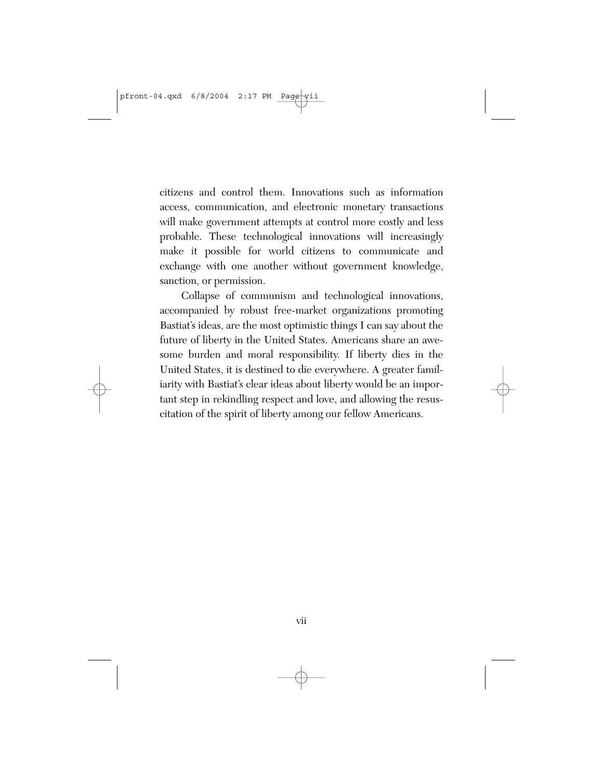citizens and control them. Innovations such as information access, communication, and electronic monetary transactions will make government attempts at control more costly and less probable. These technological innovations will increasingly make it possible for world citizens to communicate and exchange with one another without government knowledge, sanction, or permission.

Collapse of communism and technological innovations, accompanied by robust free-market organizations promoting Bastiat's ideas, are the most optimistic things I can say about the future of liberty in the United States. Americans share an awesome burden and moral responsibility. If liberty dies in the United States, it is destined to die everywhere. A greater familiarity with Bastiat's clear ideas about liberty would be an important step in rekindling respect and love, and allowing the resuscitation of the spirit of liberty among our fellow Americans.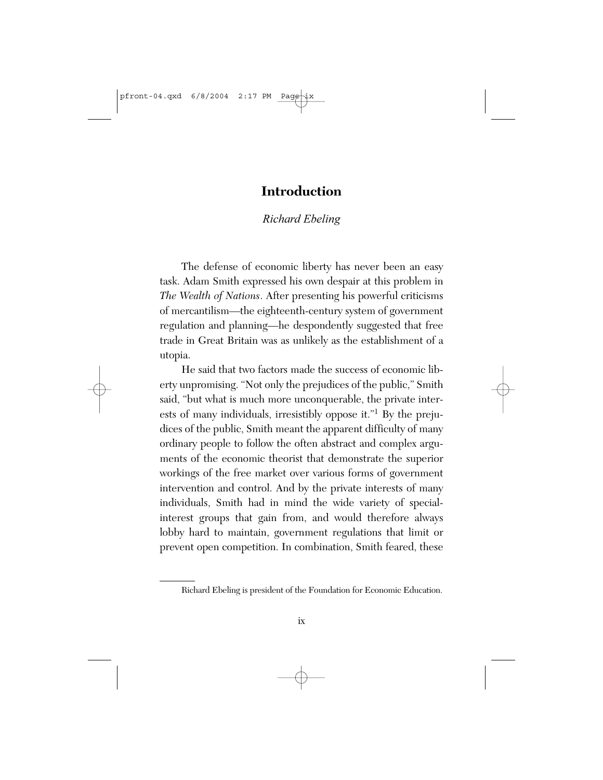# **Introduction**

#### Richard Ebeling

The defense of economic liberty has never been an easy task. Adam Smith expressed his own despair at this problem in *The Wealth of Nations*. After presenting his powerful criticisms of mercantilism—the eighteenth-century system of government regulation and planning—he despondently suggested that free trade in Great Britain was as unlikely as the establishment of a utopia.

He said that two factors made the success of economic liberty unpromising. "Not only the prejudices of the public," Smith said, "but what is much more unconquerable, the private interests of many individuals, irresistibly oppose it."1 By the prejudices of the public, Smith meant the apparent difficulty of many ordinary people to follow the often abstract and complex arguments of the economic theorist that demonstrate the superior workings of the free market over various forms of government intervention and control. And by the private interests of many individuals, Smith had in mind the wide variety of specialinterest groups that gain from, and would therefore always lobby hard to maintain, government regulations that limit or prevent open competition. In combination, Smith feared, these

Richard Ebeling is president of the Foundation for Economic Education.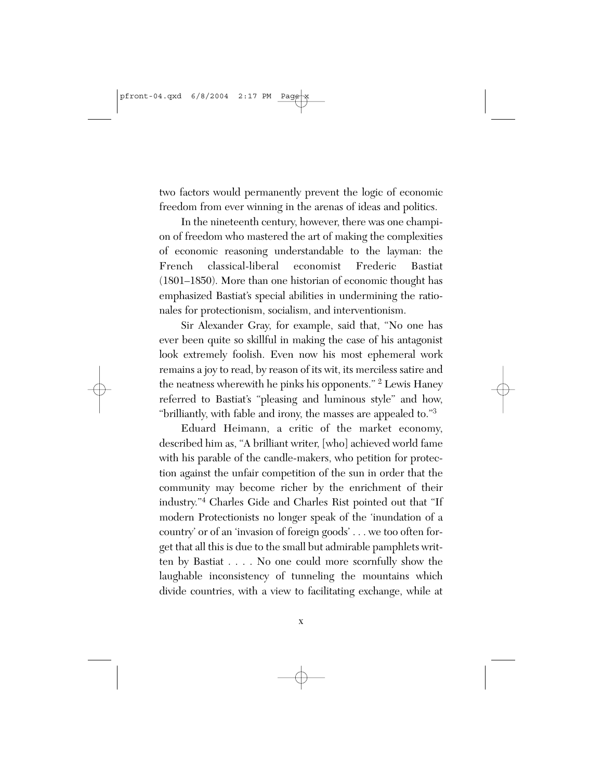two factors would permanently prevent the logic of economic freedom from ever winning in the arenas of ideas and politics.

In the nineteenth century, however, there was one champion of freedom who mastered the art of making the complexities of economic reasoning understandable to the layman: the French classical-liberal economist Frederic Bastiat (1801–1850). More than one historian of economic thought has emphasized Bastiat's special abilities in undermining the rationales for protectionism, socialism, and interventionism.

Sir Alexander Gray, for example, said that, "No one has ever been quite so skillful in making the case of his antagonist look extremely foolish. Even now his most ephemeral work remains a joy to read, by reason of its wit, its merciless satire and the neatness wherewith he pinks his opponents." 2 Lewis Haney referred to Bastiat's "pleasing and luminous style" and how, "brilliantly, with fable and irony, the masses are appealed to."3

Eduard Heimann, a critic of the market economy, described him as, "A brilliant writer, [who] achieved world fame with his parable of the candle-makers, who petition for protection against the unfair competition of the sun in order that the community may become richer by the enrichment of their industry."<sup>4</sup> Charles Gide and Charles Rist pointed out that "If modern Protectionists no longer speak of the 'inundation of a country' or of an 'invasion of foreign goods' . . . we too often forget that all this is due to the small but admirable pamphlets written by Bastiat . . . . No one could more scornfully show the laughable inconsistency of tunneling the mountains which divide countries, with a view to facilitating exchange, while at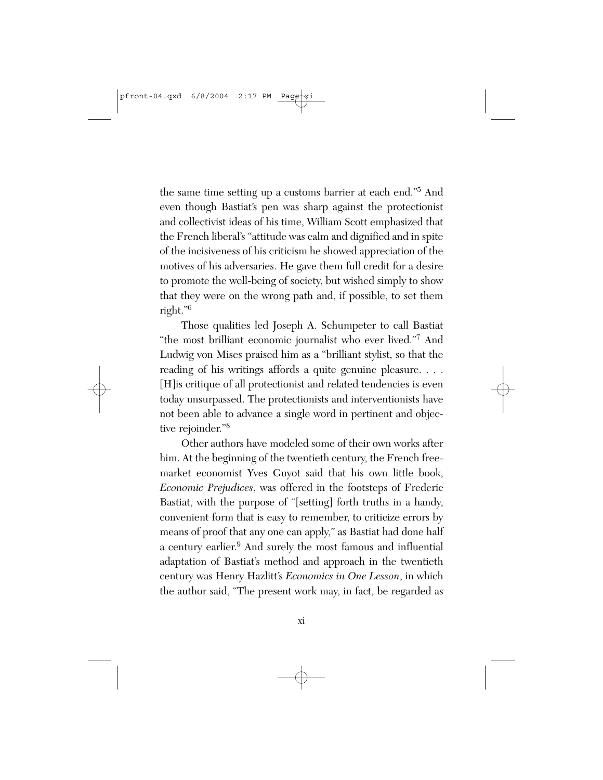the same time setting up a customs barrier at each end."<sup>5</sup> And even though Bastiat's pen was sharp against the protectionist and collectivist ideas of his time, William Scott emphasized that the French liberal's "attitude was calm and dignified and in spite of the incisiveness of his criticism he showed appreciation of the motives of his adversaries. He gave them full credit for a desire to promote the well-being of society, but wished simply to show that they were on the wrong path and, if possible, to set them right."6

Those qualities led Joseph A. Schumpeter to call Bastiat "the most brilliant economic journalist who ever lived."7 And Ludwig von Mises praised him as a "brilliant stylist, so that the reading of his writings affords a quite genuine pleasure. . . . [H]is critique of all protectionist and related tendencies is even today unsurpassed. The protectionists and interventionists have not been able to advance a single word in pertinent and objective rejoinder."8

Other authors have modeled some of their own works after him. At the beginning of the twentieth century, the French freemarket economist Yves Guyot said that his own little book, *Economic Prejudices*, was offered in the footsteps of Frederic Bastiat, with the purpose of "[setting] forth truths in a handy, convenient form that is easy to remember, to criticize errors by means of proof that any one can apply," as Bastiat had done half a century earlier.9 And surely the most famous and influential adaptation of Bastiat's method and approach in the twentieth century was Henry Hazlitt's *Economics in One Lesson*, in which the author said, "The present work may, in fact, be regarded as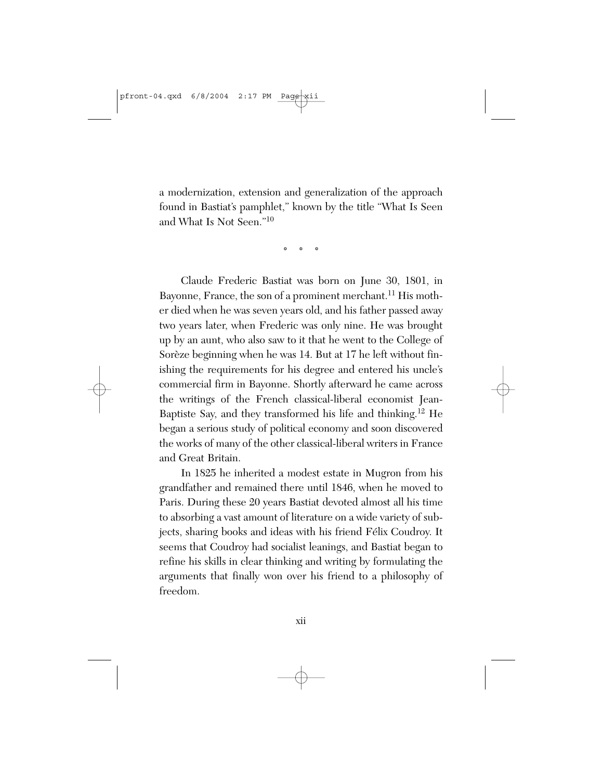a modernization, extension and generalization of the approach found in Bastiat's pamphlet," known by the title "What Is Seen and What Is Not Seen."<sup>10</sup>

\*\*\*

Claude Frederic Bastiat was born on June 30, 1801, in Bayonne, France, the son of a prominent merchant.<sup>11</sup> His mother died when he was seven years old, and his father passed away two years later, when Frederic was only nine. He was brought up by an aunt, who also saw to it that he went to the College of Sorèze beginning when he was 14. But at 17 he left without finishing the requirements for his degree and entered his uncle's commercial firm in Bayonne. Shortly afterward he came across the writings of the French classical-liberal economist Jean-Baptiste Say, and they transformed his life and thinking.<sup>12</sup> He began a serious study of political economy and soon discovered the works of many of the other classical-liberal writers in France and Great Britain.

In 1825 he inherited a modest estate in Mugron from his grandfather and remained there until 1846, when he moved to Paris. During these 20 years Bastiat devoted almost all his time to absorbing a vast amount of literature on a wide variety of subjects, sharing books and ideas with his friend Félix Coudroy. It seems that Coudroy had socialist leanings, and Bastiat began to refine his skills in clear thinking and writing by formulating the arguments that finally won over his friend to a philosophy of freedom.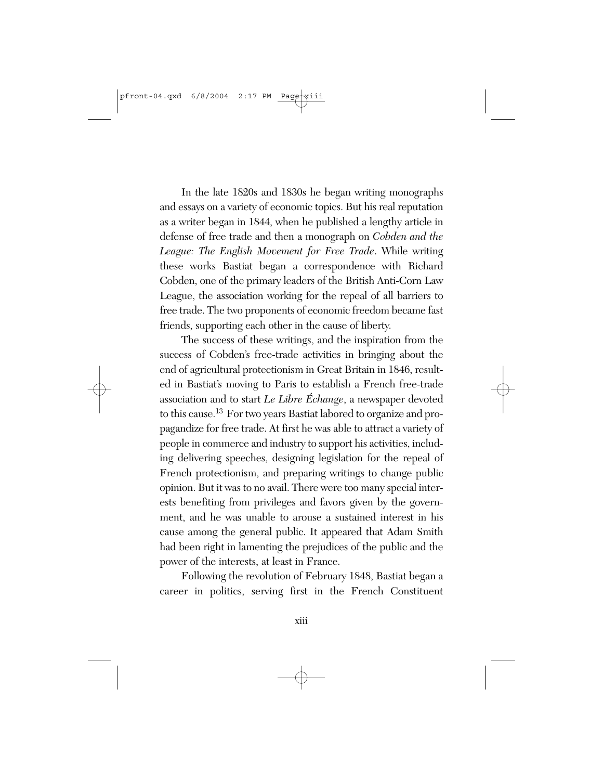In the late 1820s and 1830s he began writing monographs and essays on a variety of economic topics. But his real reputation as a writer began in 1844, when he published a lengthy article in defense of free trade and then a monograph on *Cobden and the League: The English Movement for Free Trade*. While writing these works Bastiat began a correspondence with Richard Cobden, one of the primary leaders of the British Anti-Corn Law League, the association working for the repeal of all barriers to free trade. The two proponents of economic freedom became fast friends, supporting each other in the cause of liberty.

The success of these writings, and the inspiration from the success of Cobden's free-trade activities in bringing about the end of agricultural protectionism in Great Britain in 1846, resulted in Bastiat's moving to Paris to establish a French free-trade association and to start *Le Libre Échange*, a newspaper devoted to this cause.<sup>13</sup> For two years Bastiat labored to organize and propagandize for free trade. At first he was able to attract a variety of people in commerce and industry to support his activities, including delivering speeches, designing legislation for the repeal of French protectionism, and preparing writings to change public opinion. But it was to no avail. There were too many special interests benefiting from privileges and favors given by the government, and he was unable to arouse a sustained interest in his cause among the general public. It appeared that Adam Smith had been right in lamenting the prejudices of the public and the power of the interests, at least in France.

Following the revolution of February 1848, Bastiat began a career in politics, serving first in the French Constituent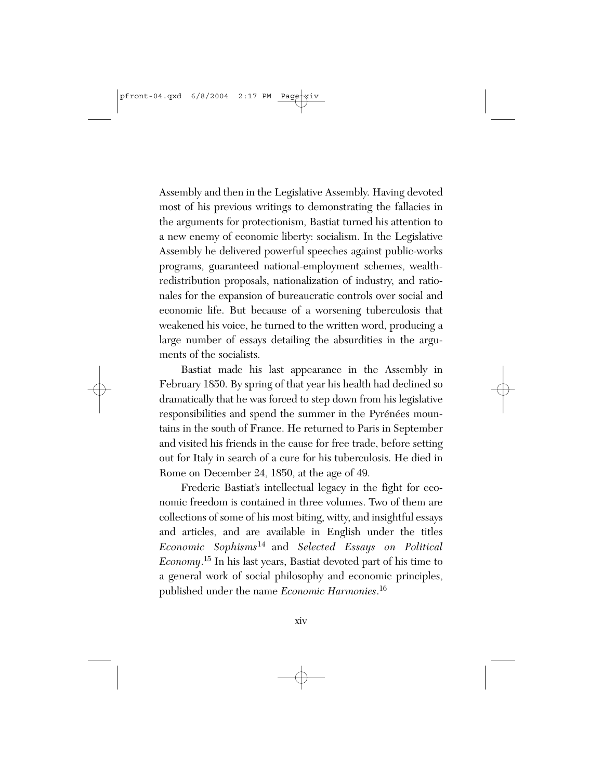Assembly and then in the Legislative Assembly. Having devoted most of his previous writings to demonstrating the fallacies in the arguments for protectionism, Bastiat turned his attention to a new enemy of economic liberty: socialism. In the Legislative Assembly he delivered powerful speeches against public-works programs, guaranteed national-employment schemes, wealthredistribution proposals, nationalization of industry, and rationales for the expansion of bureaucratic controls over social and economic life. But because of a worsening tuberculosis that weakened his voice, he turned to the written word, producing a large number of essays detailing the absurdities in the arguments of the socialists.

Bastiat made his last appearance in the Assembly in February 1850. By spring of that year his health had declined so dramatically that he was forced to step down from his legislative responsibilities and spend the summer in the Pyrénées mountains in the south of France. He returned to Paris in September and visited his friends in the cause for free trade, before setting out for Italy in search of a cure for his tuberculosis. He died in Rome on December 24, 1850, at the age of 49.

Frederic Bastiat's intellectual legacy in the fight for economic freedom is contained in three volumes. Two of them are collections of some of his most biting, witty, and insightful essays and articles, and are available in English under the titles *Economic Sophisms*14 and *Selected Essays on Political Economy*. <sup>15</sup> In his last years, Bastiat devoted part of his time to a general work of social philosophy and economic principles, published under the name *Economic Harmonies*. 16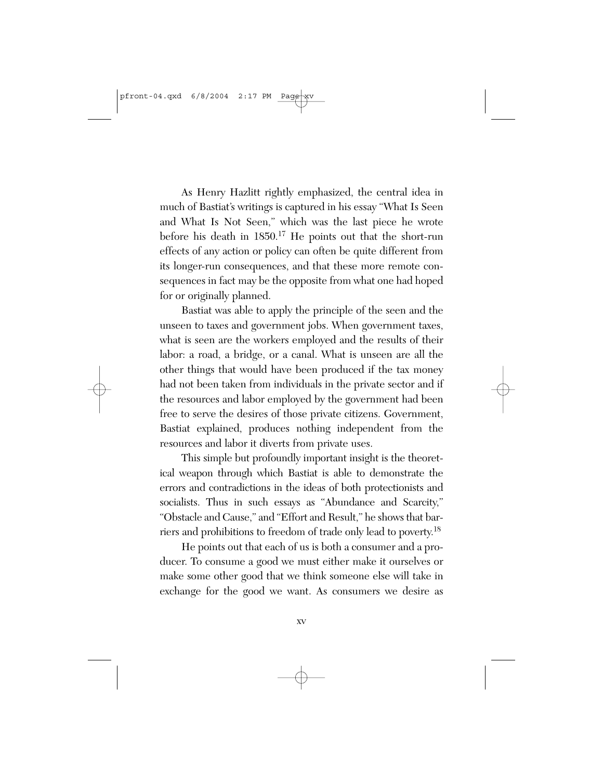As Henry Hazlitt rightly emphasized, the central idea in much of Bastiat's writings is captured in his essay "What Is Seen and What Is Not Seen," which was the last piece he wrote before his death in  $1850<sup>17</sup>$  He points out that the short-run effects of any action or policy can often be quite different from its longer-run consequences, and that these more remote consequences in fact may be the opposite from what one had hoped for or originally planned.

Bastiat was able to apply the principle of the seen and the unseen to taxes and government jobs. When government taxes, what is seen are the workers employed and the results of their labor: a road, a bridge, or a canal. What is unseen are all the other things that would have been produced if the tax money had not been taken from individuals in the private sector and if the resources and labor employed by the government had been free to serve the desires of those private citizens. Government, Bastiat explained, produces nothing independent from the resources and labor it diverts from private uses.

This simple but profoundly important insight is the theoretical weapon through which Bastiat is able to demonstrate the errors and contradictions in the ideas of both protectionists and socialists. Thus in such essays as "Abundance and Scarcity," "Obstacle and Cause," and "Effort and Result," he shows that barriers and prohibitions to freedom of trade only lead to poverty.18

He points out that each of us is both a consumer and a producer. To consume a good we must either make it ourselves or make some other good that we think someone else will take in exchange for the good we want. As consumers we desire as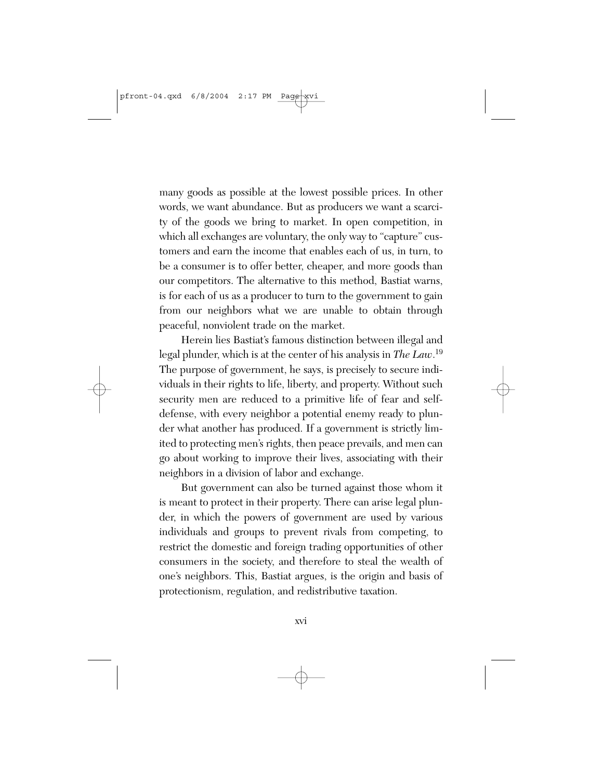many goods as possible at the lowest possible prices. In other words, we want abundance. But as producers we want a scarcity of the goods we bring to market. In open competition, in which all exchanges are voluntary, the only way to "capture" customers and earn the income that enables each of us, in turn, to be a consumer is to offer better, cheaper, and more goods than our competitors. The alternative to this method, Bastiat warns, is for each of us as a producer to turn to the government to gain from our neighbors what we are unable to obtain through peaceful, nonviolent trade on the market.

Herein lies Bastiat's famous distinction between illegal and legal plunder, which is at the center of his analysis in *The Law*. 19 The purpose of government, he says, is precisely to secure individuals in their rights to life, liberty, and property. Without such security men are reduced to a primitive life of fear and selfdefense, with every neighbor a potential enemy ready to plunder what another has produced. If a government is strictly limited to protecting men's rights, then peace prevails, and men can go about working to improve their lives, associating with their neighbors in a division of labor and exchange.

But government can also be turned against those whom it is meant to protect in their property. There can arise legal plunder, in which the powers of government are used by various individuals and groups to prevent rivals from competing, to restrict the domestic and foreign trading opportunities of other consumers in the society, and therefore to steal the wealth of one's neighbors. This, Bastiat argues, is the origin and basis of protectionism, regulation, and redistributive taxation.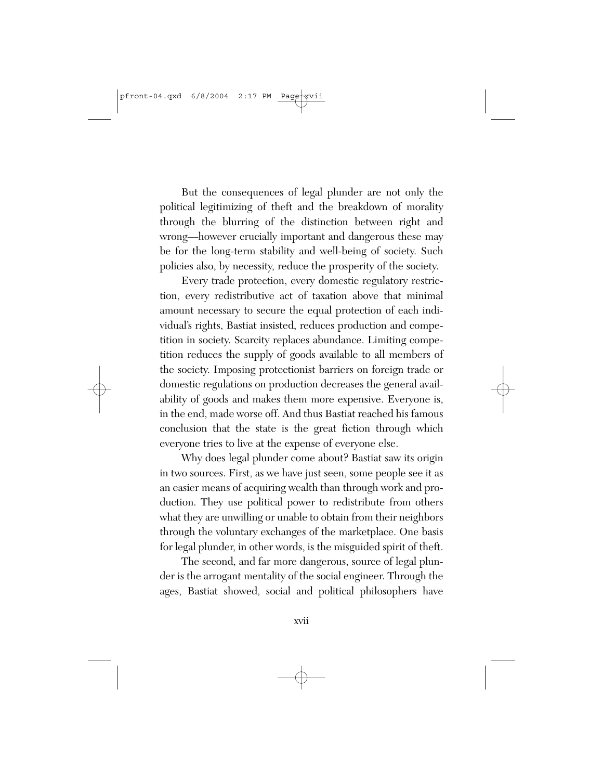But the consequences of legal plunder are not only the political legitimizing of theft and the breakdown of morality through the blurring of the distinction between right and wrong—however crucially important and dangerous these may be for the long-term stability and well-being of society. Such policies also, by necessity, reduce the prosperity of the society.

Every trade protection, every domestic regulatory restriction, every redistributive act of taxation above that minimal amount necessary to secure the equal protection of each individual's rights, Bastiat insisted, reduces production and competition in society. Scarcity replaces abundance. Limiting competition reduces the supply of goods available to all members of the society. Imposing protectionist barriers on foreign trade or domestic regulations on production decreases the general availability of goods and makes them more expensive. Everyone is, in the end, made worse off. And thus Bastiat reached his famous conclusion that the state is the great fiction through which everyone tries to live at the expense of everyone else.

Why does legal plunder come about? Bastiat saw its origin in two sources. First, as we have just seen, some people see it as an easier means of acquiring wealth than through work and production. They use political power to redistribute from others what they are unwilling or unable to obtain from their neighbors through the voluntary exchanges of the marketplace. One basis for legal plunder, in other words, is the misguided spirit of theft.

The second, and far more dangerous, source of legal plunder is the arrogant mentality of the social engineer. Through the ages, Bastiat showed, social and political philosophers have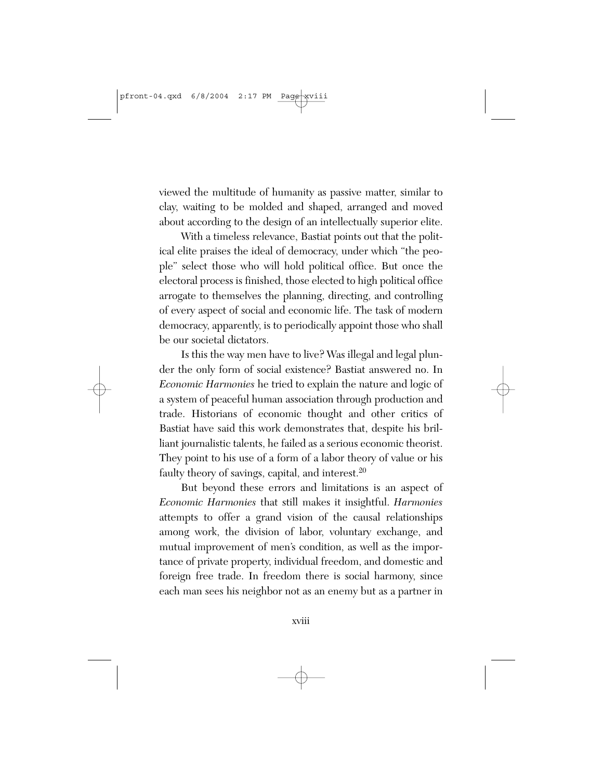viewed the multitude of humanity as passive matter, similar to clay, waiting to be molded and shaped, arranged and moved about according to the design of an intellectually superior elite.

With a timeless relevance, Bastiat points out that the political elite praises the ideal of democracy, under which "the people" select those who will hold political office. But once the electoral process is finished, those elected to high political office arrogate to themselves the planning, directing, and controlling of every aspect of social and economic life. The task of modern democracy, apparently, is to periodically appoint those who shall be our societal dictators.

Is this the way men have to live? Was illegal and legal plunder the only form of social existence? Bastiat answered no. In *Economic Harmonies* he tried to explain the nature and logic of a system of peaceful human association through production and trade. Historians of economic thought and other critics of Bastiat have said this work demonstrates that, despite his brilliant journalistic talents, he failed as a serious economic theorist. They point to his use of a form of a labor theory of value or his faulty theory of savings, capital, and interest.<sup>20</sup>

But beyond these errors and limitations is an aspect of *Economic Harmonies* that still makes it insightful. *Harmonies* attempts to offer a grand vision of the causal relationships among work, the division of labor, voluntary exchange, and mutual improvement of men's condition, as well as the importance of private property, individual freedom, and domestic and foreign free trade. In freedom there is social harmony, since each man sees his neighbor not as an enemy but as a partner in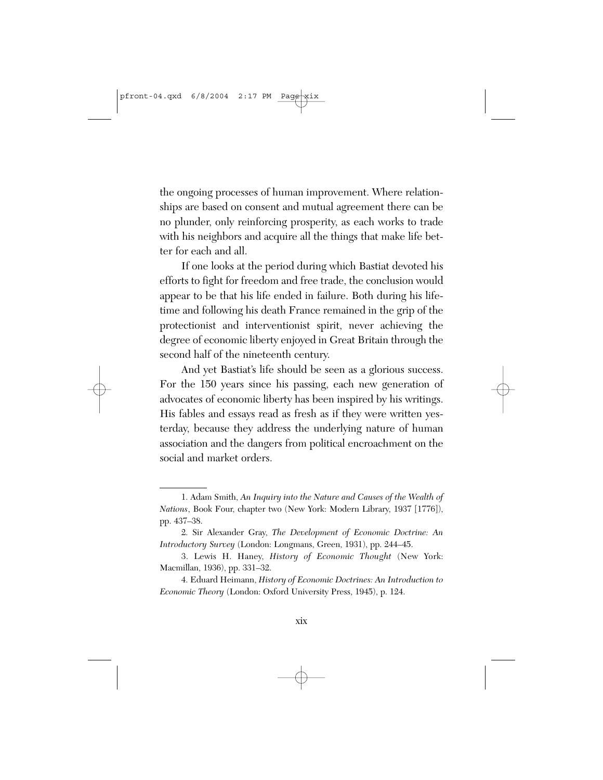the ongoing processes of human improvement. Where relationships are based on consent and mutual agreement there can be no plunder, only reinforcing prosperity, as each works to trade with his neighbors and acquire all the things that make life better for each and all.

If one looks at the period during which Bastiat devoted his efforts to fight for freedom and free trade, the conclusion would appear to be that his life ended in failure. Both during his lifetime and following his death France remained in the grip of the protectionist and interventionist spirit, never achieving the degree of economic liberty enjoyed in Great Britain through the second half of the nineteenth century.

And yet Bastiat's life should be seen as a glorious success. For the 150 years since his passing, each new generation of advocates of economic liberty has been inspired by his writings. His fables and essays read as fresh as if they were written yesterday, because they address the underlying nature of human association and the dangers from political encroachment on the social and market orders.

<sup>1.</sup> Adam Smith, *An Inquiry into the Nature and Causes of the Wealth of Nations*, Book Four, chapter two (New York: Modern Library, 1937 [1776]), pp. 437–38.

<sup>2.</sup> Sir Alexander Gray, *The Development of Economic Doctrine: An Introductory Survey* (London: Longmans, Green, 1931), pp. 244–45.

<sup>3.</sup> Lewis H. Haney, *History of Economic Thought* (New York: Macmillan, 1936), pp. 331–32.

<sup>4.</sup> Eduard Heimann, *History of Economic Doctrines: An Introduction to Economic Theory* (London: Oxford University Press, 1945), p. 124.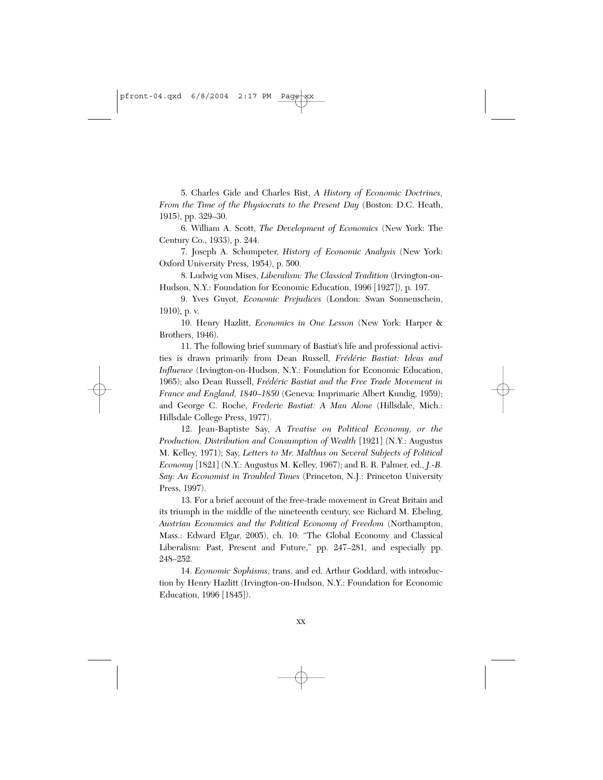5. Charles Gide and Charles Rist, *A History of Economic Doctrines, From the Time of the Physiocrats to the Present Day* (Boston: D.C. Heath, 1915), pp. 329–30.

6. William A. Scott, *The Development of Economics* (New York: The Century Co., 1933), p. 244.

7. Joseph A. Schumpeter, *History of Economic Analysis* (New York: Oxford University Press, 1954), p. 500.

8. Ludwig von Mises, *Liberalism: The Classical Tradition* (Irvington-on-Hudson, N.Y.: Foundation for Economic Education, 1996 [1927]), p. 197.

9. Yves Guyot, *Economic Prejudices* (London: Swan Sonnenschein, 1910), p. v.

10. Henry Hazlitt, *Economics in One Lesson* (New York: Harper & Brothers, 1946).

11. The following brief summary of Bastiat's life and professional activities is drawn primarily from Dean Russell, *Frédéric Bastiat: Ideas and Influence* (Irvington-on-Hudson, N.Y.: Foundation for Economic Education, 1965); also Dean Russell, *Frédéric Bastiat and the Free Trade Movement in France and England, 1840–1850* (Geneva: Imprimarie Albert Kundig, 1959); and George C. Roche, *Frederic Bastiat: A Man Alone* (Hillsdale, Mich.: Hillsdale College Press, 1977).

12. Jean-Baptiste Say, *A Treatise on Political Economy, or the Production, Distribution and Consumption of Wealth* [1921] (N.Y.: Augustus M. Kelley, 1971); Say, *Letters to Mr. Malthus on Several Subjects of Political Economy* [1821] (N.Y.: Augustus M. Kelley, 1967); and R. R. Palmer, ed., *J.-B. Say: An Economist in Troubled Times* (Princeton, N.J.: Princeton University Press, 1997).

13. For a brief account of the free-trade movement in Great Britain and its triumph in the middle of the nineteenth century, see Richard M. Ebeling, *Austrian Economics and the Political Economy of Freedom* (Northampton, Mass.: Edward Elgar, 2005), ch. 10: "The Global Economy and Classical Liberalism: Past, Present and Future," pp. 247–281, and especially pp. 248–252.

14. *Economic Sophisms*, trans. and ed. Arthur Goddard, with introduction by Henry Hazlitt (Irvington-on-Hudson, N.Y.: Foundation for Economic Education, 1996 [1845]).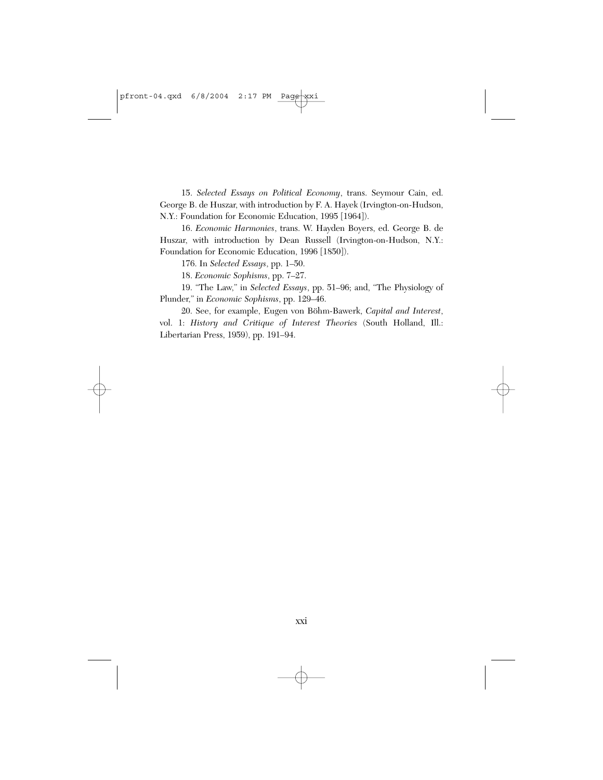15. *Selected Essays on Political Economy*, trans. Seymour Cain, ed. George B. de Huszar, with introduction by F. A. Hayek (Irvington-on-Hudson, N.Y.: Foundation for Economic Education, 1995 [1964]).

16. *Economic Harmonies*, trans. W. Hayden Boyers, ed. George B. de Huszar, with introduction by Dean Russell (Irvington-on-Hudson, N.Y.: Foundation for Economic Education, 1996 [1850]).

176. In *Selected Essays*, pp. 1–50.

18. *Economic Sophisms*, pp. 7–27.

19. "The Law," in *Selected Essays*, pp. 51–96; and, "The Physiology of Plunder," in *Economic Sophisms*, pp. 129–46.

20. See, for example, Eugen von Böhm-Bawerk, *Capital and Interest*, vol. 1: *History and Critique of Interest Theories* (South Holland, Ill.: Libertarian Press, 1959), pp. 191–94.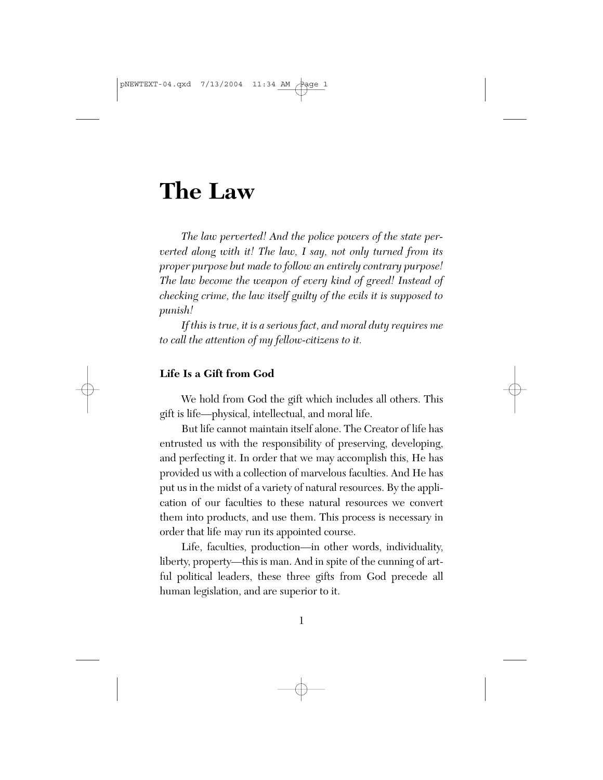# **The Law**

*The law perverted! And the police powers of the state perverted along with it! The law, I say, not only turned from its proper purpose but made to follow an entirely contrary purpose! The law become the weapon of every kind of greed! Instead of checking crime, the law itself guilty of the evils it is supposed to punish!*

*If this is true, it is a serious fact, and moral duty requires me to call the attention of my fellow-citizens to it.*

#### **Life Is a Gift from God**

We hold from God the gift which includes all others. This gift is life—physical, intellectual, and moral life.

But life cannot maintain itself alone. The Creator of life has entrusted us with the responsibility of preserving, developing, and perfecting it. In order that we may accomplish this, He has provided us with a collection of marvelous faculties. And He has put us in the midst of a variety of natural resources. By the application of our faculties to these natural resources we convert them into products, and use them. This process is necessary in order that life may run its appointed course.

Life, faculties, production—in other words, individuality, liberty, property—this is man. And in spite of the cunning of artful political leaders, these three gifts from God precede all human legislation, and are superior to it.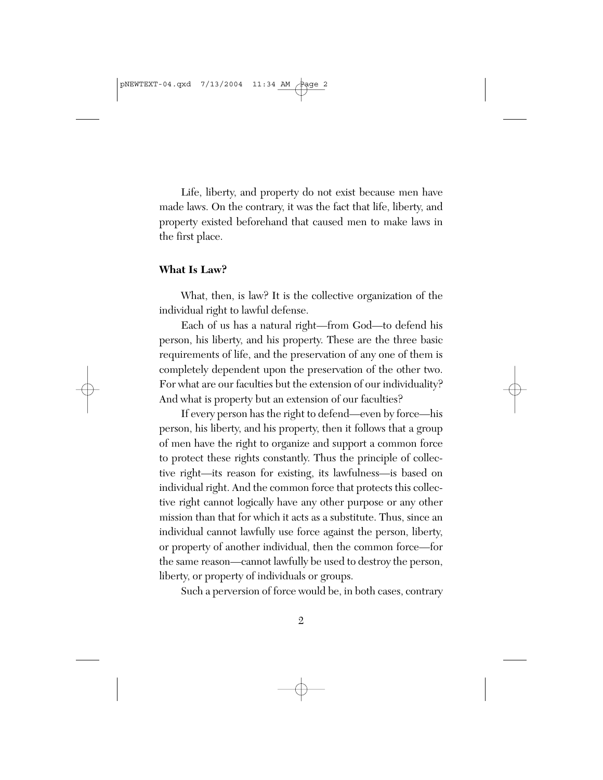Life, liberty, and property do not exist because men have made laws. On the contrary, it was the fact that life, liberty, and property existed beforehand that caused men to make laws in the first place.

#### **What Is Law?**

What, then, is law? It is the collective organization of the individual right to lawful defense.

Each of us has a natural right—from God—to defend his person, his liberty, and his property. These are the three basic requirements of life, and the preservation of any one of them is completely dependent upon the preservation of the other two. For what are our faculties but the extension of our individuality? And what is property but an extension of our faculties?

If every person has the right to defend—even by force—his person, his liberty, and his property, then it follows that a group of men have the right to organize and support a common force to protect these rights constantly. Thus the principle of collective right—its reason for existing, its lawfulness—is based on individual right. And the common force that protects this collective right cannot logically have any other purpose or any other mission than that for which it acts as a substitute. Thus, since an individual cannot lawfully use force against the person, liberty, or property of another individual, then the common force—for the same reason—cannot lawfully be used to destroy the person, liberty, or property of individuals or groups.

Such a perversion of force would be, in both cases, contrary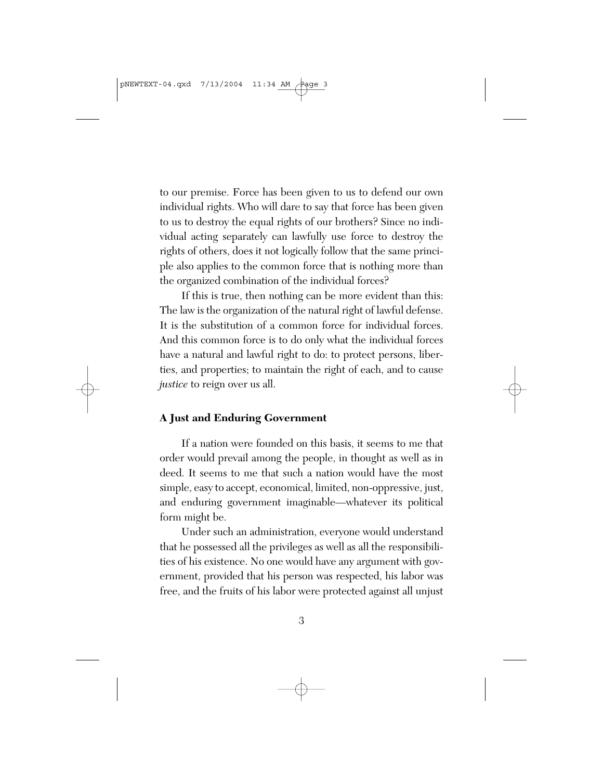to our premise. Force has been given to us to defend our own individual rights. Who will dare to say that force has been given to us to destroy the equal rights of our brothers? Since no individual acting separately can lawfully use force to destroy the rights of others, does it not logically follow that the same principle also applies to the common force that is nothing more than the organized combination of the individual forces?

If this is true, then nothing can be more evident than this: The law is the organization of the natural right of lawful defense. It is the substitution of a common force for individual forces. And this common force is to do only what the individual forces have a natural and lawful right to do: to protect persons, liberties, and properties; to maintain the right of each, and to cause *justice* to reign over us all.

# **A Just and Enduring Government**

If a nation were founded on this basis, it seems to me that order would prevail among the people, in thought as well as in deed. It seems to me that such a nation would have the most simple, easy to accept, economical, limited, non-oppressive, just, and enduring government imaginable—whatever its political form might be.

Under such an administration, everyone would understand that he possessed all the privileges as well as all the responsibilities of his existence. No one would have any argument with government, provided that his person was respected, his labor was free, and the fruits of his labor were protected against all unjust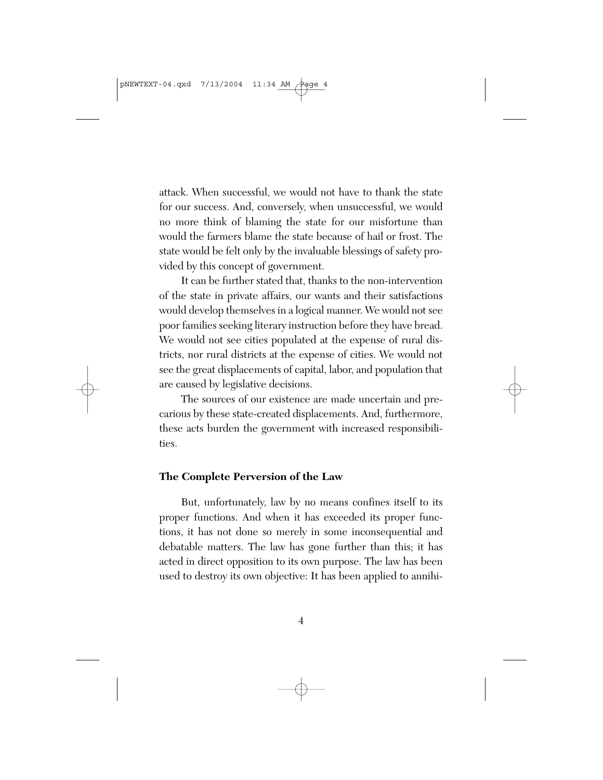attack. When successful, we would not have to thank the state for our success. And, conversely, when unsuccessful, we would no more think of blaming the state for our misfortune than would the farmers blame the state because of hail or frost. The state would be felt only by the invaluable blessings of safety provided by this concept of government.

It can be further stated that, thanks to the non-intervention of the state in private affairs, our wants and their satisfactions would develop themselves in a logical manner. We would not see poor families seeking literary instruction before they have bread. We would not see cities populated at the expense of rural districts, nor rural districts at the expense of cities. We would not see the great displacements of capital, labor, and population that are caused by legislative decisions.

The sources of our existence are made uncertain and precarious by these state-created displacements. And, furthermore, these acts burden the government with increased responsibilities.

#### **The Complete Perversion of the Law**

But, unfortunately, law by no means confines itself to its proper functions. And when it has exceeded its proper functions, it has not done so merely in some inconsequential and debatable matters. The law has gone further than this; it has acted in direct opposition to its own purpose. The law has been used to destroy its own objective: It has been applied to annihi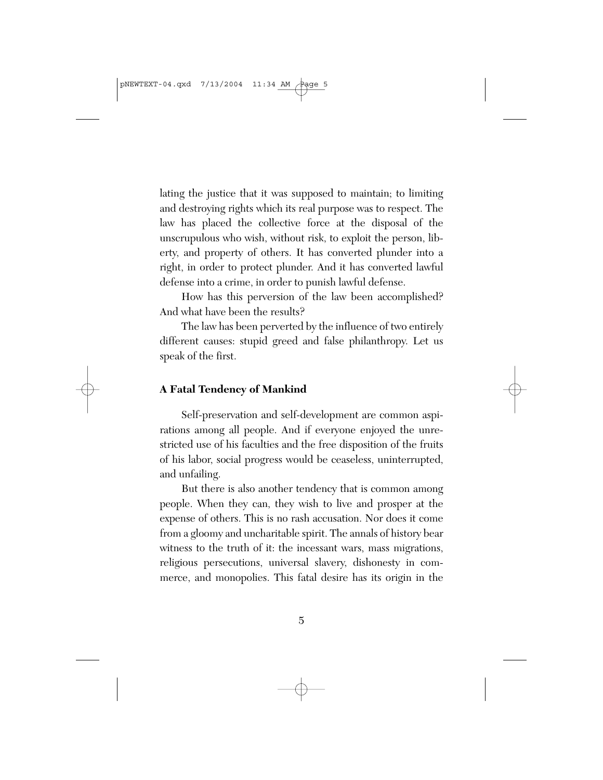lating the justice that it was supposed to maintain; to limiting and destroying rights which its real purpose was to respect. The law has placed the collective force at the disposal of the unscrupulous who wish, without risk, to exploit the person, liberty, and property of others. It has converted plunder into a right, in order to protect plunder. And it has converted lawful defense into a crime, in order to punish lawful defense.

How has this perversion of the law been accomplished? And what have been the results?

The law has been perverted by the influence of two entirely different causes: stupid greed and false philanthropy. Let us speak of the first.

#### **A Fatal Tendency of Mankind**

Self-preservation and self-development are common aspirations among all people. And if everyone enjoyed the unrestricted use of his faculties and the free disposition of the fruits of his labor, social progress would be ceaseless, uninterrupted, and unfailing.

But there is also another tendency that is common among people. When they can, they wish to live and prosper at the expense of others. This is no rash accusation. Nor does it come from a gloomy and uncharitable spirit. The annals of history bear witness to the truth of it: the incessant wars, mass migrations, religious persecutions, universal slavery, dishonesty in commerce, and monopolies. This fatal desire has its origin in the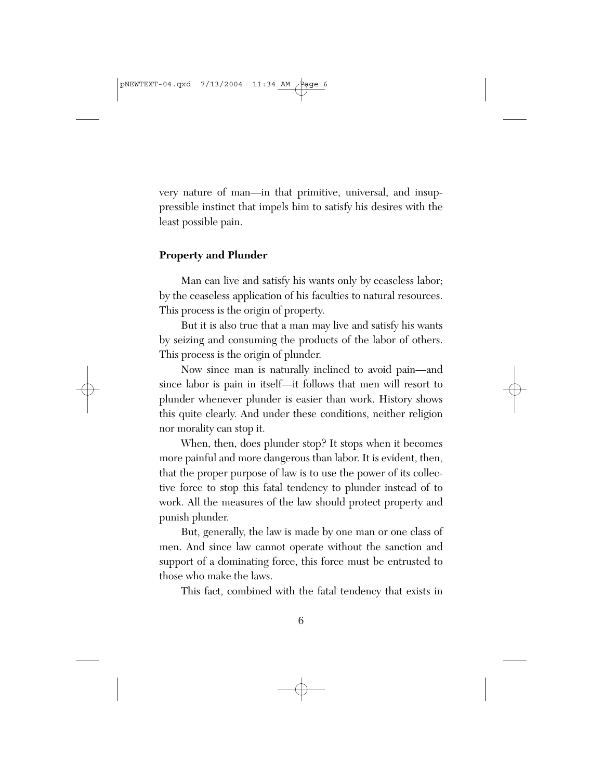very nature of man—in that primitive, universal, and insuppressible instinct that impels him to satisfy his desires with the least possible pain.

# **Property and Plunder**

Man can live and satisfy his wants only by ceaseless labor; by the ceaseless application of his faculties to natural resources. This process is the origin of property.

But it is also true that a man may live and satisfy his wants by seizing and consuming the products of the labor of others. This process is the origin of plunder.

Now since man is naturally inclined to avoid pain—and since labor is pain in itself—it follows that men will resort to plunder whenever plunder is easier than work. History shows this quite clearly. And under these conditions, neither religion nor morality can stop it.

When, then, does plunder stop? It stops when it becomes more painful and more dangerous than labor. It is evident, then, that the proper purpose of law is to use the power of its collective force to stop this fatal tendency to plunder instead of to work. All the measures of the law should protect property and punish plunder.

But, generally, the law is made by one man or one class of men. And since law cannot operate without the sanction and support of a dominating force, this force must be entrusted to those who make the laws.

This fact, combined with the fatal tendency that exists in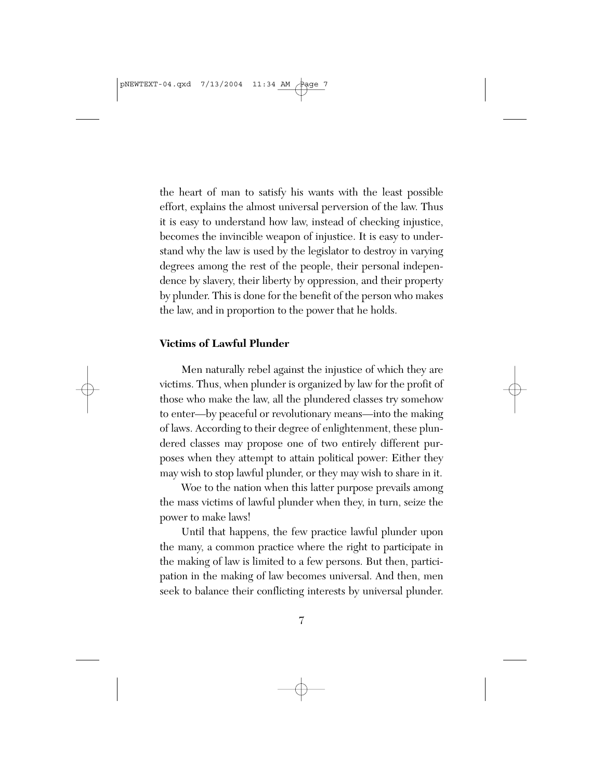the heart of man to satisfy his wants with the least possible effort, explains the almost universal perversion of the law. Thus it is easy to understand how law, instead of checking injustice, becomes the invincible weapon of injustice. It is easy to understand why the law is used by the legislator to destroy in varying degrees among the rest of the people, their personal independence by slavery, their liberty by oppression, and their property by plunder. This is done for the benefit of the person who makes the law, and in proportion to the power that he holds.

# **Victims of Lawful Plunder**

Men naturally rebel against the injustice of which they are victims. Thus, when plunder is organized by law for the profit of those who make the law, all the plundered classes try somehow to enter—by peaceful or revolutionary means—into the making of laws. According to their degree of enlightenment, these plundered classes may propose one of two entirely different purposes when they attempt to attain political power: Either they may wish to stop lawful plunder, or they may wish to share in it.

Woe to the nation when this latter purpose prevails among the mass victims of lawful plunder when they, in turn, seize the power to make laws!

Until that happens, the few practice lawful plunder upon the many, a common practice where the right to participate in the making of law is limited to a few persons. But then, participation in the making of law becomes universal. And then, men seek to balance their conflicting interests by universal plunder.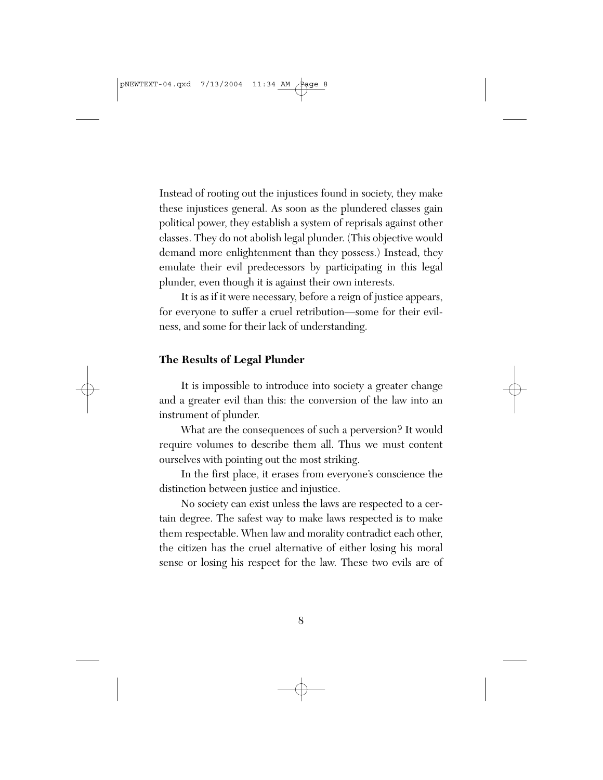Instead of rooting out the injustices found in society, they make these injustices general. As soon as the plundered classes gain political power, they establish a system of reprisals against other classes. They do not abolish legal plunder. (This objective would demand more enlightenment than they possess.) Instead, they emulate their evil predecessors by participating in this legal plunder, even though it is against their own interests.

It is as if it were necessary, before a reign of justice appears, for everyone to suffer a cruel retribution—some for their evilness, and some for their lack of understanding.

#### **The Results of Legal Plunder**

It is impossible to introduce into society a greater change and a greater evil than this: the conversion of the law into an instrument of plunder.

What are the consequences of such a perversion? It would require volumes to describe them all. Thus we must content ourselves with pointing out the most striking.

In the first place, it erases from everyone's conscience the distinction between justice and injustice.

No society can exist unless the laws are respected to a certain degree. The safest way to make laws respected is to make them respectable. When law and morality contradict each other, the citizen has the cruel alternative of either losing his moral sense or losing his respect for the law. These two evils are of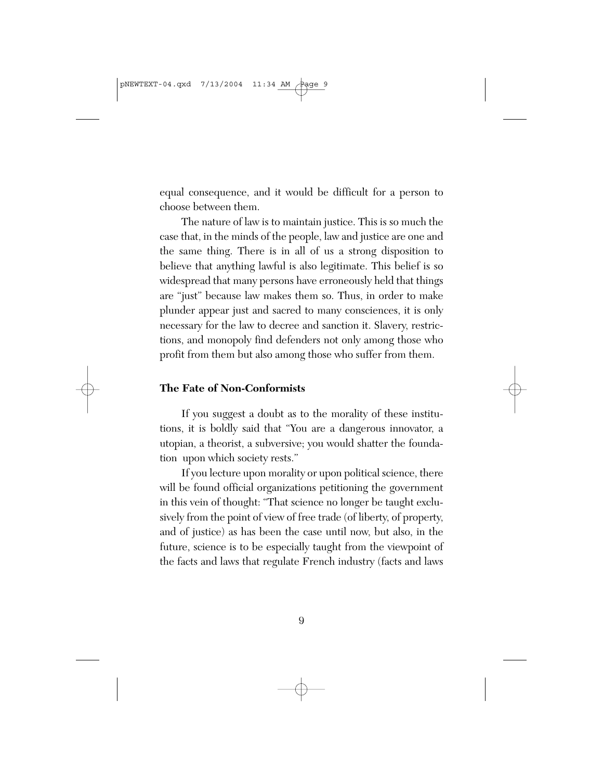equal consequence, and it would be difficult for a person to choose between them.

The nature of law is to maintain justice. This is so much the case that, in the minds of the people, law and justice are one and the same thing. There is in all of us a strong disposition to believe that anything lawful is also legitimate. This belief is so widespread that many persons have erroneously held that things are "just" because law makes them so. Thus, in order to make plunder appear just and sacred to many consciences, it is only necessary for the law to decree and sanction it. Slavery, restrictions, and monopoly find defenders not only among those who profit from them but also among those who suffer from them.

#### **The Fate of Non-Conformists**

If you suggest a doubt as to the morality of these institutions, it is boldly said that "You are a dangerous innovator, a utopian, a theorist, a subversive; you would shatter the foundation upon which society rests."

If you lecture upon morality or upon political science, there will be found official organizations petitioning the government in this vein of thought: "That science no longer be taught exclusively from the point of view of free trade (of liberty, of property, and of justice) as has been the case until now, but also, in the future, science is to be especially taught from the viewpoint of the facts and laws that regulate French industry (facts and laws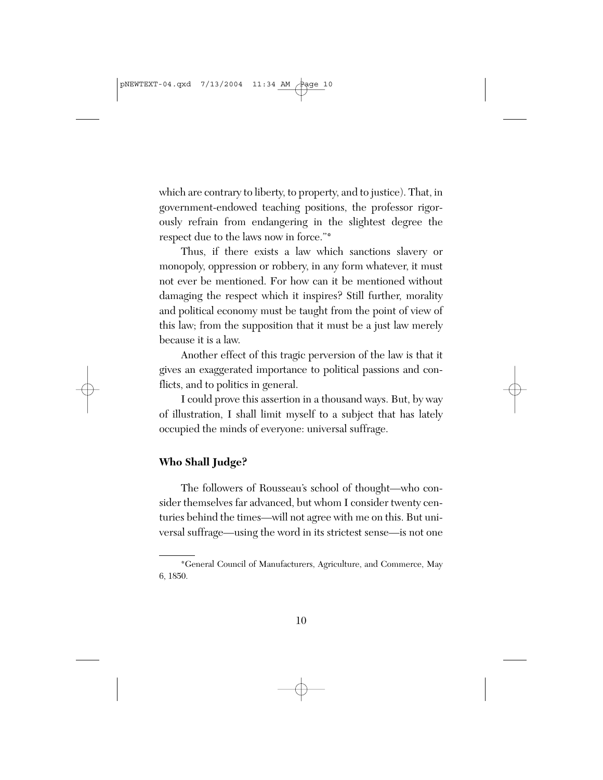which are contrary to liberty, to property, and to justice). That, in government-endowed teaching positions, the professor rigorously refrain from endangering in the slightest degree the respect due to the laws now in force."\*

Thus, if there exists a law which sanctions slavery or monopoly, oppression or robbery, in any form whatever, it must not ever be mentioned. For how can it be mentioned without damaging the respect which it inspires? Still further, morality and political economy must be taught from the point of view of this law; from the supposition that it must be a just law merely because it is a law.

Another effect of this tragic perversion of the law is that it gives an exaggerated importance to political passions and conflicts, and to politics in general.

I could prove this assertion in a thousand ways. But, by way of illustration, I shall limit myself to a subject that has lately occupied the minds of everyone: universal suffrage.

# **Who Shall Judge?**

The followers of Rousseau's school of thought—who consider themselves far advanced, but whom I consider twenty centuries behind the times—will not agree with me on this. But universal suffrage—using the word in its strictest sense—is not one

<sup>\*</sup>General Council of Manufacturers, Agriculture, and Commerce, May 6, 1850.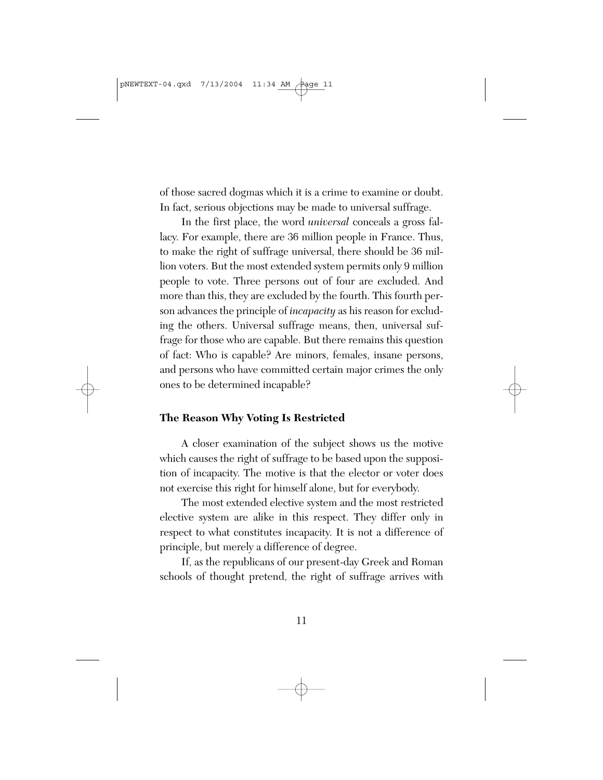of those sacred dogmas which it is a crime to examine or doubt. In fact, serious objections may be made to universal suffrage.

In the first place, the word *universal* conceals a gross fallacy. For example, there are 36 million people in France. Thus, to make the right of suffrage universal, there should be 36 million voters. But the most extended system permits only 9 million people to vote. Three persons out of four are excluded. And more than this, they are excluded by the fourth. This fourth person advances the principle of *incapacity* as his reason for excluding the others. Universal suffrage means, then, universal suffrage for those who are capable. But there remains this question of fact: Who is capable? Are minors, females, insane persons, and persons who have committed certain major crimes the only ones to be determined incapable?

# **The Reason Why Voting Is Restricted**

A closer examination of the subject shows us the motive which causes the right of suffrage to be based upon the supposition of incapacity. The motive is that the elector or voter does not exercise this right for himself alone, but for everybody.

The most extended elective system and the most restricted elective system are alike in this respect. They differ only in respect to what constitutes incapacity. It is not a difference of principle, but merely a difference of degree.

If, as the republicans of our present-day Greek and Roman schools of thought pretend, the right of suffrage arrives with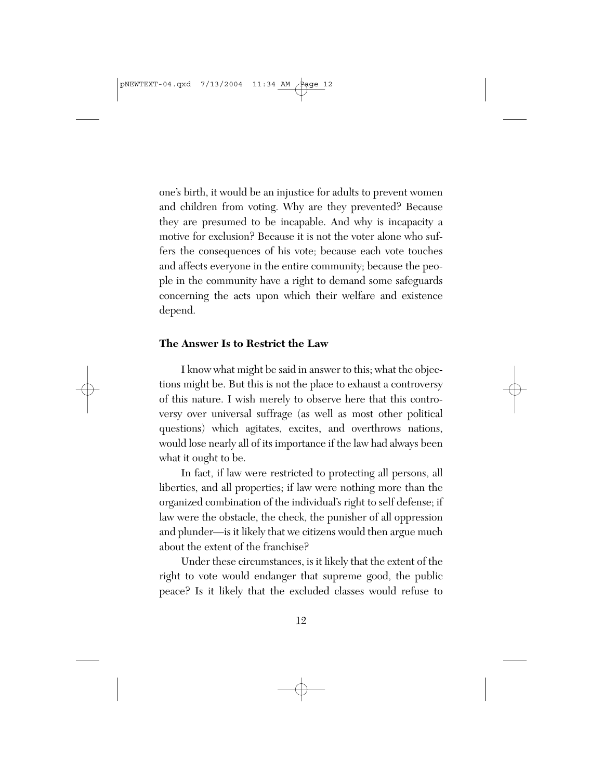one's birth, it would be an injustice for adults to prevent women and children from voting. Why are they prevented? Because they are presumed to be incapable. And why is incapacity a motive for exclusion? Because it is not the voter alone who suffers the consequences of his vote; because each vote touches and affects everyone in the entire community; because the people in the community have a right to demand some safeguards concerning the acts upon which their welfare and existence depend.

### **The Answer Is to Restrict the Law**

I know what might be said in answer to this; what the objections might be. But this is not the place to exhaust a controversy of this nature. I wish merely to observe here that this controversy over universal suffrage (as well as most other political questions) which agitates, excites, and overthrows nations, would lose nearly all of its importance if the law had always been what it ought to be.

In fact, if law were restricted to protecting all persons, all liberties, and all properties; if law were nothing more than the organized combination of the individual's right to self defense; if law were the obstacle, the check, the punisher of all oppression and plunder—is it likely that we citizens would then argue much about the extent of the franchise?

Under these circumstances, is it likely that the extent of the right to vote would endanger that supreme good, the public peace? Is it likely that the excluded classes would refuse to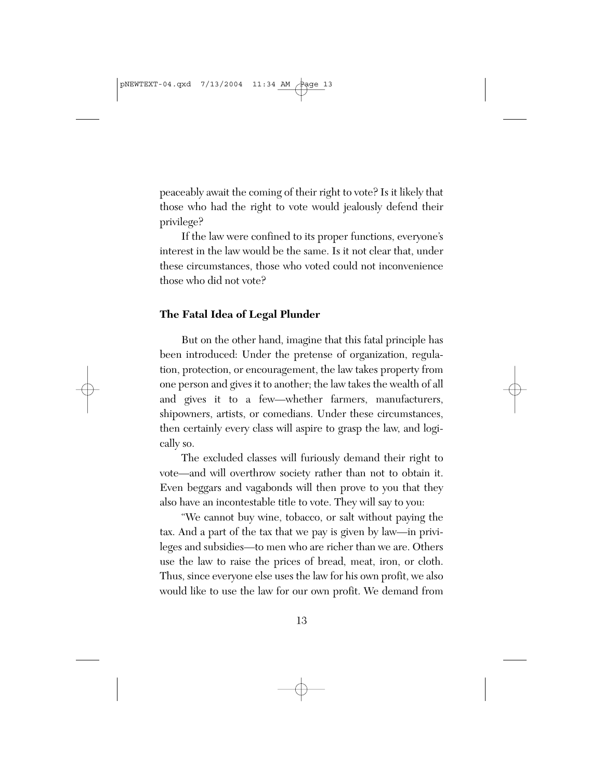peaceably await the coming of their right to vote? Is it likely that those who had the right to vote would jealously defend their privilege?

If the law were confined to its proper functions, everyone's interest in the law would be the same. Is it not clear that, under these circumstances, those who voted could not inconvenience those who did not vote?

### **The Fatal Idea of Legal Plunder**

But on the other hand, imagine that this fatal principle has been introduced: Under the pretense of organization, regulation, protection, or encouragement, the law takes property from one person and gives it to another; the law takes the wealth of all and gives it to a few—whether farmers, manufacturers, shipowners, artists, or comedians. Under these circumstances, then certainly every class will aspire to grasp the law, and logically so.

The excluded classes will furiously demand their right to vote—and will overthrow society rather than not to obtain it. Even beggars and vagabonds will then prove to you that they also have an incontestable title to vote. They will say to you:

"We cannot buy wine, tobacco, or salt without paying the tax. And a part of the tax that we pay is given by law—in privileges and subsidies—to men who are richer than we are. Others use the law to raise the prices of bread, meat, iron, or cloth. Thus, since everyone else uses the law for his own profit, we also would like to use the law for our own profit. We demand from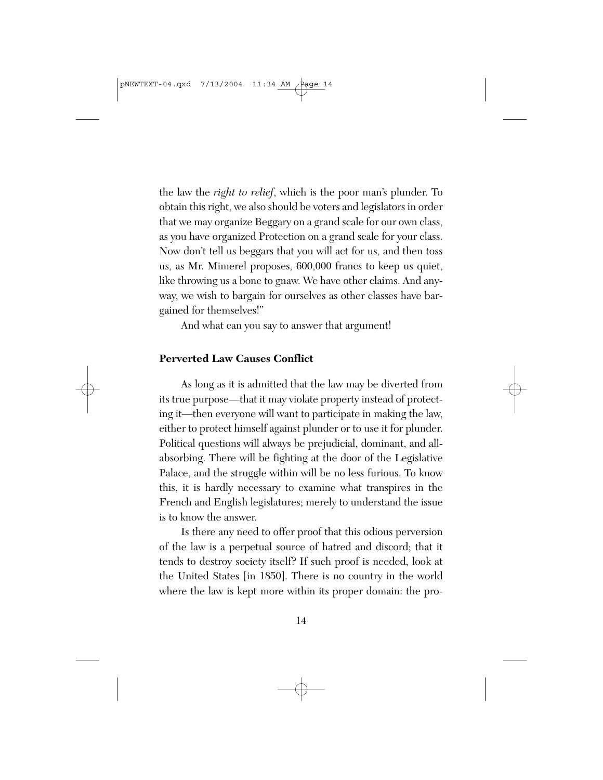the law the *right to relief*, which is the poor man's plunder. To obtain this right, we also should be voters and legislators in order that we may organize Beggary on a grand scale for our own class, as you have organized Protection on a grand scale for your class. Now don't tell us beggars that you will act for us, and then toss us, as Mr. Mimerel proposes, 600,000 francs to keep us quiet, like throwing us a bone to gnaw. We have other claims. And anyway, we wish to bargain for ourselves as other classes have bargained for themselves!"

And what can you say to answer that argument!

#### **Perverted Law Causes Conflict**

As long as it is admitted that the law may be diverted from its true purpose—that it may violate property instead of protecting it—then everyone will want to participate in making the law, either to protect himself against plunder or to use it for plunder. Political questions will always be prejudicial, dominant, and allabsorbing. There will be fighting at the door of the Legislative Palace, and the struggle within will be no less furious. To know this, it is hardly necessary to examine what transpires in the French and English legislatures; merely to understand the issue is to know the answer.

Is there any need to offer proof that this odious perversion of the law is a perpetual source of hatred and discord; that it tends to destroy society itself? If such proof is needed, look at the United States [in 1850]. There is no country in the world where the law is kept more within its proper domain: the pro-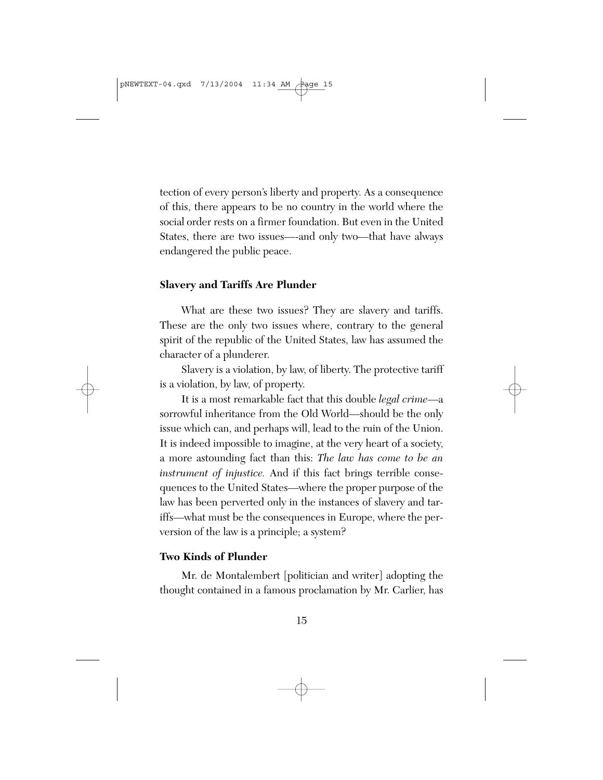tection of every person's liberty and property. As a consequence of this, there appears to be no country in the world where the social order rests on a firmer foundation. But even in the United States, there are two issues—-and only two—that have always endangered the public peace.

## **Slavery and Tariffs Are Plunder**

What are these two issues? They are slavery and tariffs. These are the only two issues where, contrary to the general spirit of the republic of the United States, law has assumed the character of a plunderer.

Slavery is a violation, by law, of liberty. The protective tariff is a violation, by law, of property.

It is a most remarkable fact that this double *legal crime*—a sorrowful inheritance from the Old World—should be the only issue which can, and perhaps will, lead to the ruin of the Union. It is indeed impossible to imagine, at the very heart of a society, a more astounding fact than this: *The law has come to be an instrument of injustice.* And if this fact brings terrible consequences to the United States—where the proper purpose of the law has been perverted only in the instances of slavery and tariffs—what must be the consequences in Europe, where the perversion of the law is a principle; a system?

# **Two Kinds of Plunder**

Mr. de Montalembert [politician and writer] adopting the thought contained in a famous proclamation by Mr. Carlier, has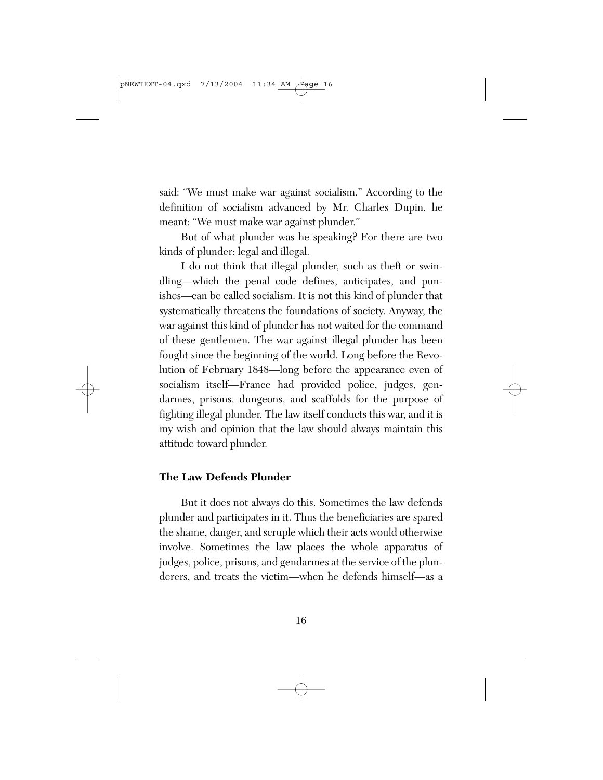said: "We must make war against socialism." According to the definition of socialism advanced by Mr. Charles Dupin, he meant: "We must make war against plunder."

But of what plunder was he speaking? For there are two kinds of plunder: legal and illegal.

I do not think that illegal plunder, such as theft or swindling—which the penal code defines, anticipates, and punishes—can be called socialism. It is not this kind of plunder that systematically threatens the foundations of society. Anyway, the war against this kind of plunder has not waited for the command of these gentlemen. The war against illegal plunder has been fought since the beginning of the world. Long before the Revolution of February 1848—long before the appearance even of socialism itself—France had provided police, judges, gendarmes, prisons, dungeons, and scaffolds for the purpose of fighting illegal plunder. The law itself conducts this war, and it is my wish and opinion that the law should always maintain this attitude toward plunder.

### **The Law Defends Plunder**

But it does not always do this. Sometimes the law defends plunder and participates in it. Thus the beneficiaries are spared the shame, danger, and scruple which their acts would otherwise involve. Sometimes the law places the whole apparatus of judges, police, prisons, and gendarmes at the service of the plunderers, and treats the victim—when he defends himself—as a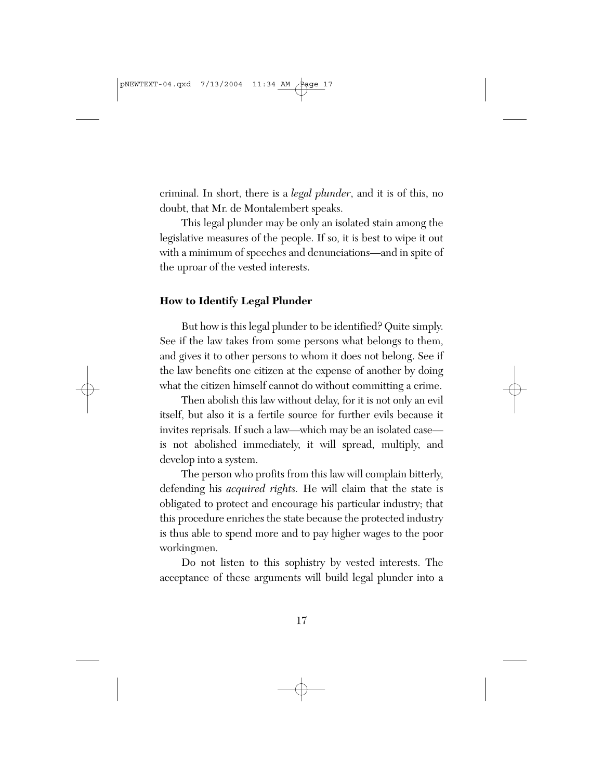criminal. In short, there is a *legal plunder*, and it is of this, no doubt, that Mr. de Montalembert speaks.

This legal plunder may be only an isolated stain among the legislative measures of the people. If so, it is best to wipe it out with a minimum of speeches and denunciations—and in spite of the uproar of the vested interests.

# **How to Identify Legal Plunder**

But how is this legal plunder to be identified? Quite simply. See if the law takes from some persons what belongs to them, and gives it to other persons to whom it does not belong. See if the law benefits one citizen at the expense of another by doing what the citizen himself cannot do without committing a crime.

Then abolish this law without delay, for it is not only an evil itself, but also it is a fertile source for further evils because it invites reprisals. If such a law—which may be an isolated case is not abolished immediately, it will spread, multiply, and develop into a system.

The person who profits from this law will complain bitterly, defending his *acquired rights.* He will claim that the state is obligated to protect and encourage his particular industry; that this procedure enriches the state because the protected industry is thus able to spend more and to pay higher wages to the poor workingmen.

Do not listen to this sophistry by vested interests. The acceptance of these arguments will build legal plunder into a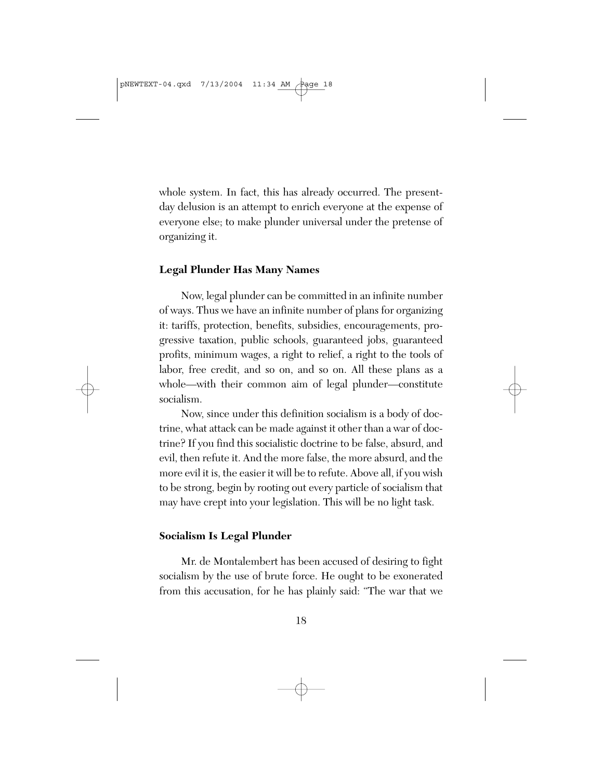whole system. In fact, this has already occurred. The presentday delusion is an attempt to enrich everyone at the expense of everyone else; to make plunder universal under the pretense of organizing it.

# **Legal Plunder Has Many Names**

Now, legal plunder can be committed in an infinite number of ways. Thus we have an infinite number of plans for organizing it: tariffs, protection, benefits, subsidies, encouragements, progressive taxation, public schools, guaranteed jobs, guaranteed profits, minimum wages, a right to relief, a right to the tools of labor, free credit, and so on, and so on. All these plans as a whole—with their common aim of legal plunder—constitute socialism.

Now, since under this definition socialism is a body of doctrine, what attack can be made against it other than a war of doctrine? If you find this socialistic doctrine to be false, absurd, and evil, then refute it. And the more false, the more absurd, and the more evil it is, the easier it will be to refute. Above all, if you wish to be strong, begin by rooting out every particle of socialism that may have crept into your legislation. This will be no light task.

### **Socialism Is Legal Plunder**

Mr. de Montalembert has been accused of desiring to fight socialism by the use of brute force. He ought to be exonerated from this accusation, for he has plainly said: "The war that we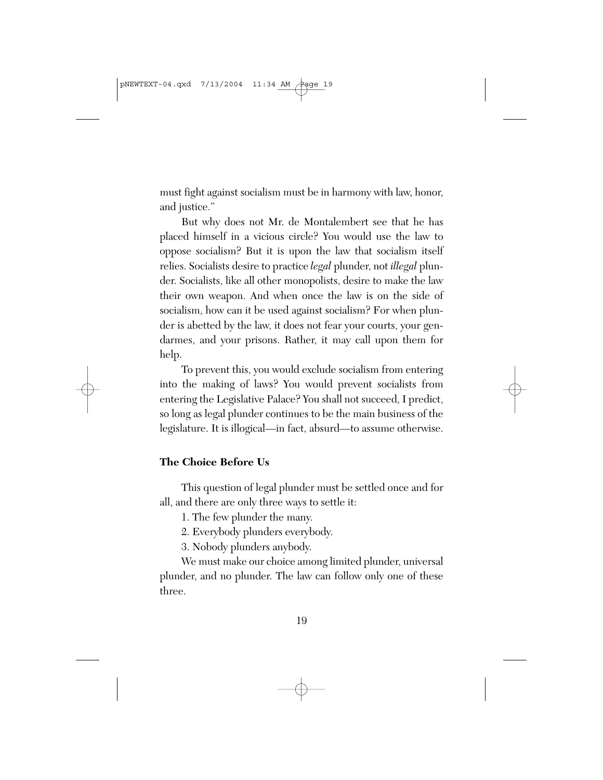must fight against socialism must be in harmony with law, honor, and justice."

But why does not Mr. de Montalembert see that he has placed himself in a vicious circle? You would use the law to oppose socialism? But it is upon the law that socialism itself relies. Socialists desire to practice *legal* plunder, not *illegal* plunder. Socialists, like all other monopolists, desire to make the law their own weapon. And when once the law is on the side of socialism, how can it be used against socialism? For when plunder is abetted by the law, it does not fear your courts, your gendarmes, and your prisons. Rather, it may call upon them for help.

To prevent this, you would exclude socialism from entering into the making of laws? You would prevent socialists from entering the Legislative Palace? You shall not succeed, I predict, so long as legal plunder continues to be the main business of the legislature. It is illogical—in fact, absurd—to assume otherwise.

# **The Choice Before Us**

This question of legal plunder must be settled once and for all, and there are only three ways to settle it:

1. The few plunder the many.

- 2. Everybody plunders everybody.
- 3. Nobody plunders anybody.

We must make our choice among limited plunder, universal plunder, and no plunder. The law can follow only one of these three.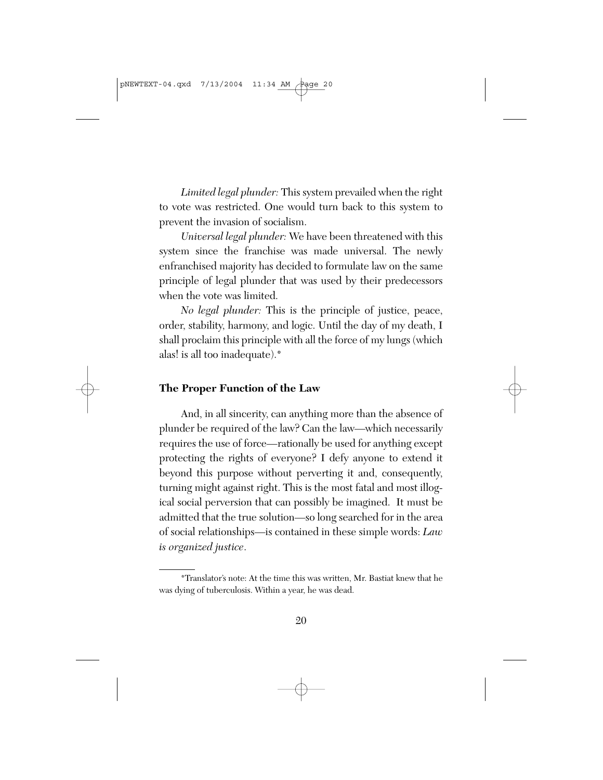*Limited legal plunder:* This system prevailed when the right to vote was restricted. One would turn back to this system to prevent the invasion of socialism.

*Universal legal plunder:* We have been threatened with this system since the franchise was made universal. The newly enfranchised majority has decided to formulate law on the same principle of legal plunder that was used by their predecessors when the vote was limited.

*No legal plunder:* This is the principle of justice, peace, order, stability, harmony, and logic. Until the day of my death, I shall proclaim this principle with all the force of my lungs (which alas! is all too inadequate).\*

### **The Proper Function of the Law**

And, in all sincerity, can anything more than the absence of plunder be required of the law? Can the law—which necessarily requires the use of force—rationally be used for anything except protecting the rights of everyone? I defy anyone to extend it beyond this purpose without perverting it and, consequently, turning might against right. This is the most fatal and most illogical social perversion that can possibly be imagined. It must be admitted that the true solution—so long searched for in the area of social relationships—is contained in these simple words: *Law is organized justice*.

<sup>\*</sup>Translator's note: At the time this was written, Mr. Bastiat knew that he was dying of tuberculosis. Within a year, he was dead.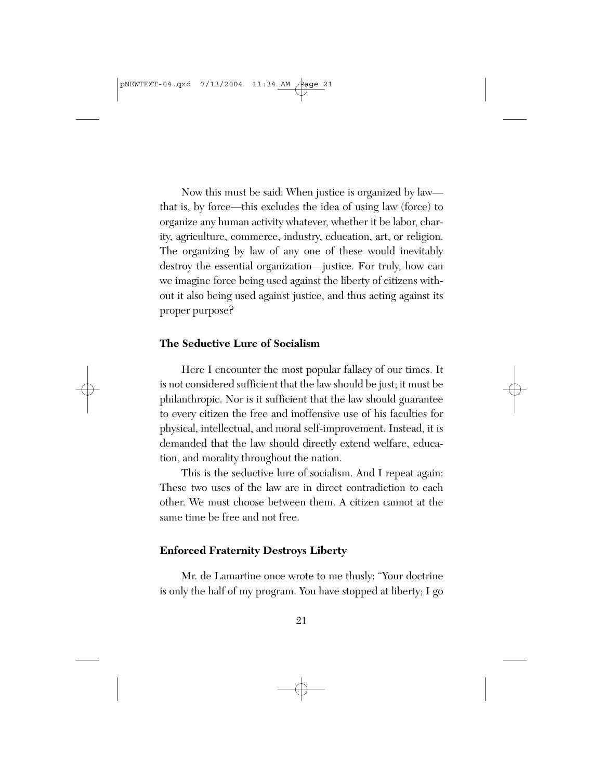Now this must be said: When justice is organized by law that is, by force—this excludes the idea of using law (force) to organize any human activity whatever, whether it be labor, charity, agriculture, commerce, industry, education, art, or religion. The organizing by law of any one of these would inevitably destroy the essential organization—justice. For truly, how can we imagine force being used against the liberty of citizens without it also being used against justice, and thus acting against its proper purpose?

# **The Seductive Lure of Socialism**

Here I encounter the most popular fallacy of our times. It is not considered sufficient that the law should be just; it must be philanthropic. Nor is it sufficient that the law should guarantee to every citizen the free and inoffensive use of his faculties for physical, intellectual, and moral self-improvement. Instead, it is demanded that the law should directly extend welfare, education, and morality throughout the nation.

This is the seductive lure of socialism. And I repeat again: These two uses of the law are in direct contradiction to each other. We must choose between them. A citizen cannot at the same time be free and not free.

#### **Enforced Fraternity Destroys Liberty**

Mr. de Lamartine once wrote to me thusly: "Your doctrine is only the half of my program. You have stopped at liberty; I go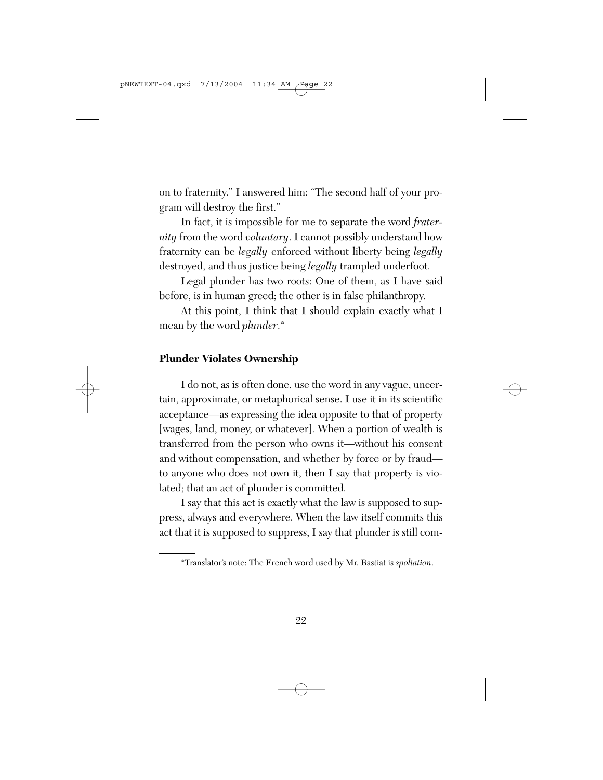on to fraternity." I answered him: "The second half of your program will destroy the first."

In fact, it is impossible for me to separate the word *fraternity* from the word *voluntary*. I cannot possibly understand how fraternity can be *legally* enforced without liberty being *legally* destroyed, and thus justice being *legally* trampled underfoot.

Legal plunder has two roots: One of them, as I have said before, is in human greed; the other is in false philanthropy.

At this point, I think that I should explain exactly what I mean by the word *plunder*.\*

### **Plunder Violates Ownership**

I do not, as is often done, use the word in any vague, uncertain, approximate, or metaphorical sense. I use it in its scientific acceptance—as expressing the idea opposite to that of property [wages, land, money, or whatever]. When a portion of wealth is transferred from the person who owns it—without his consent and without compensation, and whether by force or by fraud to anyone who does not own it, then I say that property is violated; that an act of plunder is committed.

I say that this act is exactly what the law is supposed to suppress, always and everywhere. When the law itself commits this act that it is supposed to suppress, I say that plunder is still com-

<sup>\*</sup>Translator's note: The French word used by Mr. Bastiat is *spoliation*.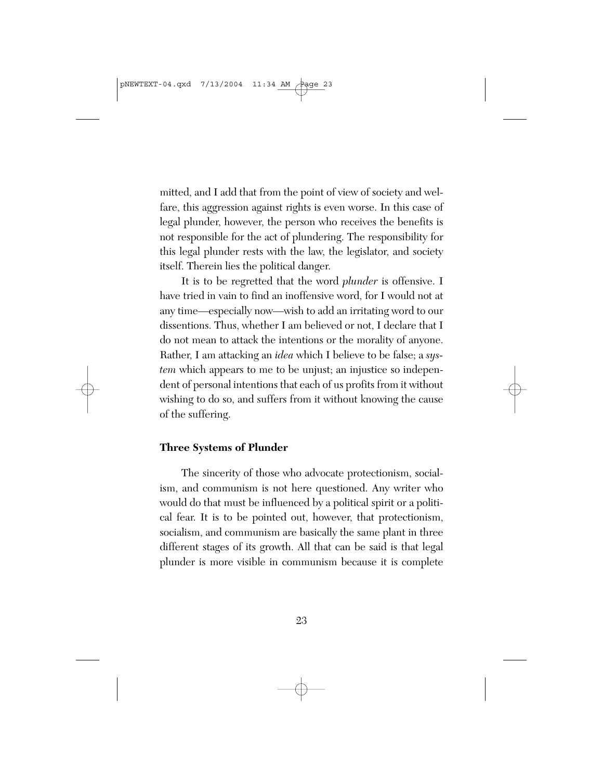mitted, and I add that from the point of view of society and welfare, this aggression against rights is even worse. In this case of legal plunder, however, the person who receives the benefits is not responsible for the act of plundering. The responsibility for this legal plunder rests with the law, the legislator, and society itself. Therein lies the political danger.

It is to be regretted that the word *plunder* is offensive. I have tried in vain to find an inoffensive word, for I would not at any time—especially now—wish to add an irritating word to our dissentions. Thus, whether I am believed or not, I declare that I do not mean to attack the intentions or the morality of anyone. Rather, I am attacking an *idea* which I believe to be false; a *system* which appears to me to be unjust; an injustice so independent of personal intentions that each of us profits from it without wishing to do so, and suffers from it without knowing the cause of the suffering.

### **Three Systems of Plunder**

The sincerity of those who advocate protectionism, socialism, and communism is not here questioned. Any writer who would do that must be influenced by a political spirit or a political fear. It is to be pointed out, however, that protectionism, socialism, and communism are basically the same plant in three different stages of its growth. All that can be said is that legal plunder is more visible in communism because it is complete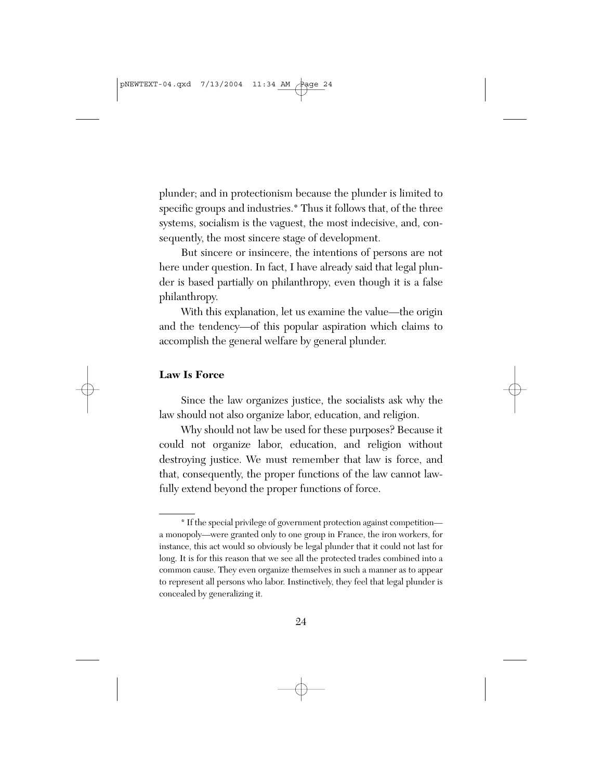plunder; and in protectionism because the plunder is limited to specific groups and industries.\* Thus it follows that, of the three systems, socialism is the vaguest, the most indecisive, and, consequently, the most sincere stage of development.

But sincere or insincere, the intentions of persons are not here under question. In fact, I have already said that legal plunder is based partially on philanthropy, even though it is a false philanthropy.

With this explanation, let us examine the value—the origin and the tendency—of this popular aspiration which claims to accomplish the general welfare by general plunder.

#### **Law Is Force**

Since the law organizes justice, the socialists ask why the law should not also organize labor, education, and religion.

Why should not law be used for these purposes? Because it could not organize labor, education, and religion without destroying justice. We must remember that law is force, and that, consequently, the proper functions of the law cannot lawfully extend beyond the proper functions of force.

<sup>\*</sup> If the special privilege of government protection against competition a monopoly—were granted only to one group in France, the iron workers, for instance, this act would so obviously be legal plunder that it could not last for long. It is for this reason that we see all the protected trades combined into a common cause. They even organize themselves in such a manner as to appear to represent all persons who labor. Instinctively, they feel that legal plunder is concealed by generalizing it.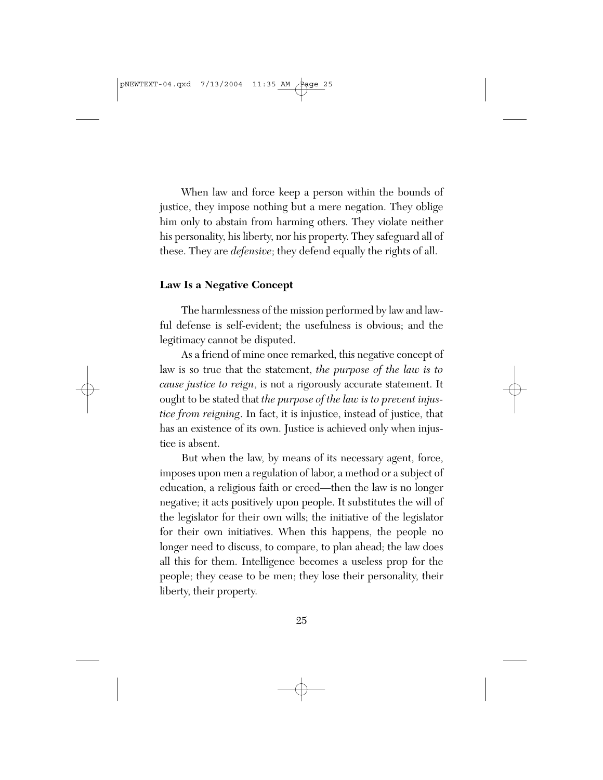When law and force keep a person within the bounds of justice, they impose nothing but a mere negation. They oblige him only to abstain from harming others. They violate neither his personality, his liberty, nor his property. They safeguard all of these. They are *defensive*; they defend equally the rights of all.

### **Law Is a Negative Concept**

The harmlessness of the mission performed by law and lawful defense is self-evident; the usefulness is obvious; and the legitimacy cannot be disputed.

As a friend of mine once remarked, this negative concept of law is so true that the statement, *the purpose of the law is to cause justice to reign*, is not a rigorously accurate statement. It ought to be stated that *the purpose of the law is to prevent injustice from reigning*. In fact, it is injustice, instead of justice, that has an existence of its own. Justice is achieved only when injustice is absent.

But when the law, by means of its necessary agent, force, imposes upon men a regulation of labor, a method or a subject of education, a religious faith or creed—then the law is no longer negative; it acts positively upon people. It substitutes the will of the legislator for their own wills; the initiative of the legislator for their own initiatives. When this happens, the people no longer need to discuss, to compare, to plan ahead; the law does all this for them. Intelligence becomes a useless prop for the people; they cease to be men; they lose their personality, their liberty, their property.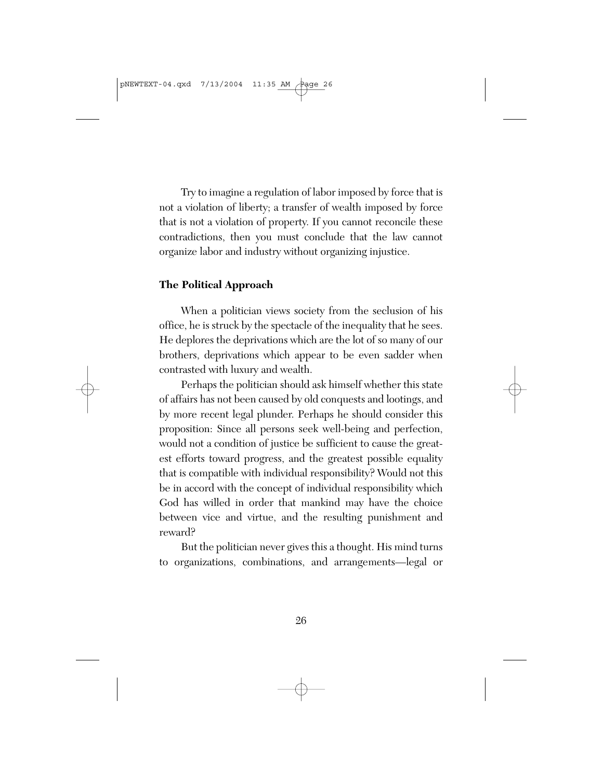Try to imagine a regulation of labor imposed by force that is not a violation of liberty; a transfer of wealth imposed by force that is not a violation of property. If you cannot reconcile these contradictions, then you must conclude that the law cannot organize labor and industry without organizing injustice.

# **The Political Approach**

When a politician views society from the seclusion of his office, he is struck by the spectacle of the inequality that he sees. He deplores the deprivations which are the lot of so many of our brothers, deprivations which appear to be even sadder when contrasted with luxury and wealth.

Perhaps the politician should ask himself whether this state of affairs has not been caused by old conquests and lootings, and by more recent legal plunder. Perhaps he should consider this proposition: Since all persons seek well-being and perfection, would not a condition of justice be sufficient to cause the greatest efforts toward progress, and the greatest possible equality that is compatible with individual responsibility? Would not this be in accord with the concept of individual responsibility which God has willed in order that mankind may have the choice between vice and virtue, and the resulting punishment and reward?

But the politician never gives this a thought. His mind turns to organizations, combinations, and arrangements—legal or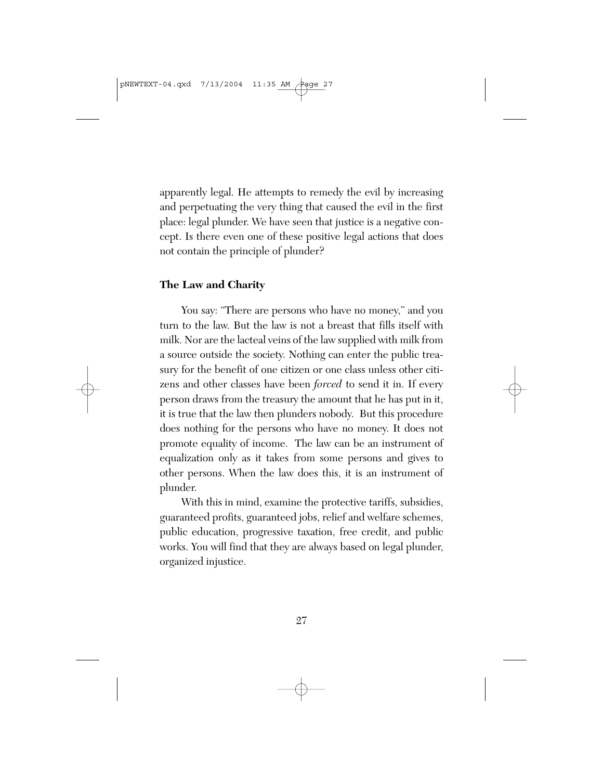apparently legal. He attempts to remedy the evil by increasing and perpetuating the very thing that caused the evil in the first place: legal plunder. We have seen that justice is a negative concept. Is there even one of these positive legal actions that does not contain the principle of plunder?

## **The Law and Charity**

You say: "There are persons who have no money," and you turn to the law. But the law is not a breast that fills itself with milk. Nor are the lacteal veins of the law supplied with milk from a source outside the society. Nothing can enter the public treasury for the benefit of one citizen or one class unless other citizens and other classes have been *forced* to send it in. If every person draws from the treasury the amount that he has put in it, it is true that the law then plunders nobody. But this procedure does nothing for the persons who have no money. It does not promote equality of income. The law can be an instrument of equalization only as it takes from some persons and gives to other persons. When the law does this, it is an instrument of plunder.

With this in mind, examine the protective tariffs, subsidies, guaranteed profits, guaranteed jobs, relief and welfare schemes, public education, progressive taxation, free credit, and public works. You will find that they are always based on legal plunder, organized injustice.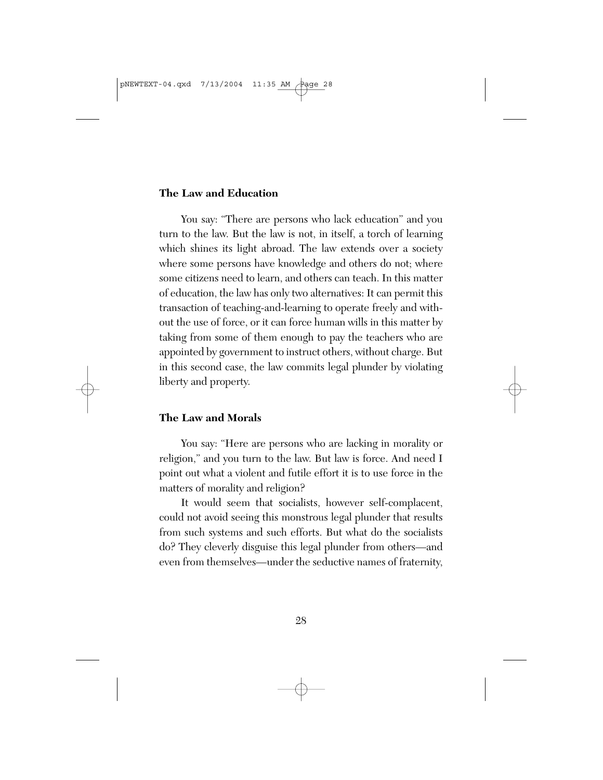#### **The Law and Education**

You say: "There are persons who lack education" and you turn to the law. But the law is not, in itself, a torch of learning which shines its light abroad. The law extends over a society where some persons have knowledge and others do not; where some citizens need to learn, and others can teach. In this matter of education, the law has only two alternatives: It can permit this transaction of teaching-and-learning to operate freely and without the use of force, or it can force human wills in this matter by taking from some of them enough to pay the teachers who are appointed by government to instruct others, without charge. But in this second case, the law commits legal plunder by violating liberty and property.

#### **The Law and Morals**

You say: "Here are persons who are lacking in morality or religion," and you turn to the law. But law is force. And need I point out what a violent and futile effort it is to use force in the matters of morality and religion?

It would seem that socialists, however self-complacent, could not avoid seeing this monstrous legal plunder that results from such systems and such efforts. But what do the socialists do? They cleverly disguise this legal plunder from others—and even from themselves—under the seductive names of fraternity,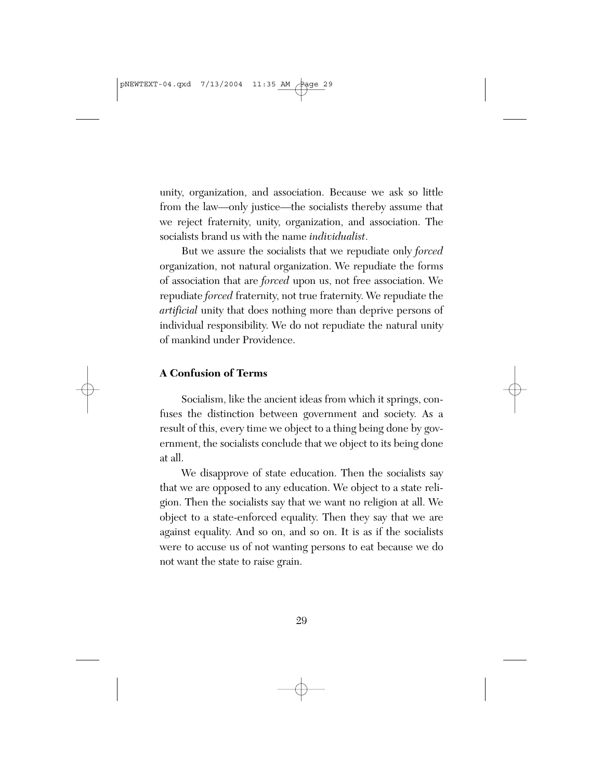unity, organization, and association. Because we ask so little from the law—only justice—the socialists thereby assume that we reject fraternity, unity, organization, and association. The socialists brand us with the name *individualist*.

But we assure the socialists that we repudiate only *forced* organization, not natural organization. We repudiate the forms of association that are *forced* upon us, not free association. We repudiate *forced* fraternity, not true fraternity. We repudiate the *artificial* unity that does nothing more than deprive persons of individual responsibility. We do not repudiate the natural unity of mankind under Providence.

## **A Confusion of Terms**

Socialism, like the ancient ideas from which it springs, confuses the distinction between government and society. As a result of this, every time we object to a thing being done by government, the socialists conclude that we object to its being done at all.

We disapprove of state education. Then the socialists say that we are opposed to any education. We object to a state religion. Then the socialists say that we want no religion at all. We object to a state-enforced equality. Then they say that we are against equality. And so on, and so on. It is as if the socialists were to accuse us of not wanting persons to eat because we do not want the state to raise grain.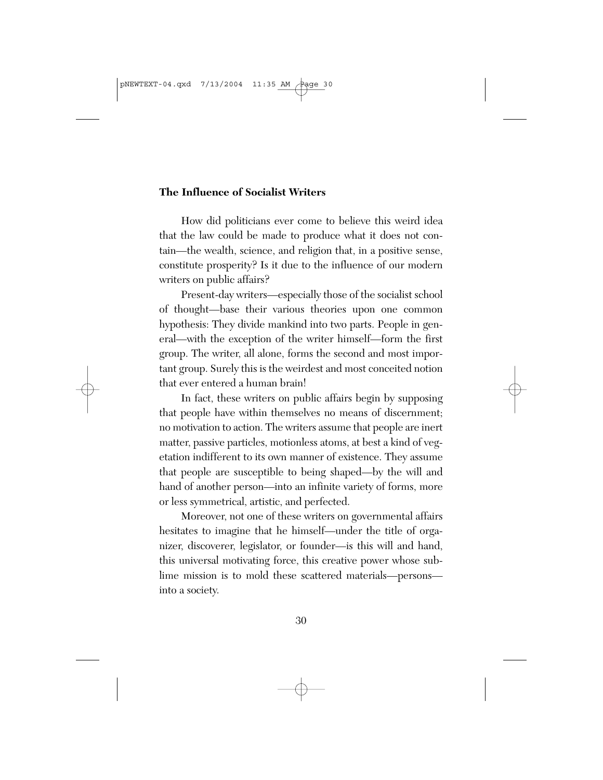## **The Influence of Socialist Writers**

How did politicians ever come to believe this weird idea that the law could be made to produce what it does not contain—the wealth, science, and religion that, in a positive sense, constitute prosperity? Is it due to the influence of our modern writers on public affairs?

Present-day writers—especially those of the socialist school of thought—base their various theories upon one common hypothesis: They divide mankind into two parts. People in general—with the exception of the writer himself—form the first group. The writer, all alone, forms the second and most important group. Surely this is the weirdest and most conceited notion that ever entered a human brain!

In fact, these writers on public affairs begin by supposing that people have within themselves no means of discernment; no motivation to action. The writers assume that people are inert matter, passive particles, motionless atoms, at best a kind of vegetation indifferent to its own manner of existence. They assume that people are susceptible to being shaped—by the will and hand of another person—into an infinite variety of forms, more or less symmetrical, artistic, and perfected.

Moreover, not one of these writers on governmental affairs hesitates to imagine that he himself—under the title of organizer, discoverer, legislator, or founder—is this will and hand, this universal motivating force, this creative power whose sublime mission is to mold these scattered materials—persons into a society.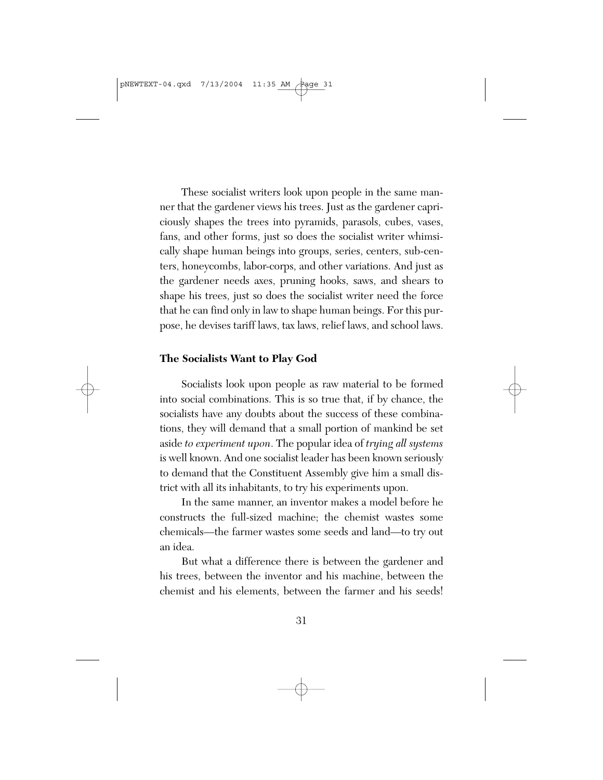These socialist writers look upon people in the same manner that the gardener views his trees. Just as the gardener capriciously shapes the trees into pyramids, parasols, cubes, vases, fans, and other forms, just so does the socialist writer whimsically shape human beings into groups, series, centers, sub-centers, honeycombs, labor-corps, and other variations. And just as the gardener needs axes, pruning hooks, saws, and shears to shape his trees, just so does the socialist writer need the force that he can find only in law to shape human beings. For this purpose, he devises tariff laws, tax laws, relief laws, and school laws.

#### **The Socialists Want to Play God**

Socialists look upon people as raw material to be formed into social combinations. This is so true that, if by chance, the socialists have any doubts about the success of these combinations, they will demand that a small portion of mankind be set aside *to experiment upon*. The popular idea of *trying all systems* is well known. And one socialist leader has been known seriously to demand that the Constituent Assembly give him a small district with all its inhabitants, to try his experiments upon.

In the same manner, an inventor makes a model before he constructs the full-sized machine; the chemist wastes some chemicals—the farmer wastes some seeds and land—to try out an idea.

But what a difference there is between the gardener and his trees, between the inventor and his machine, between the chemist and his elements, between the farmer and his seeds!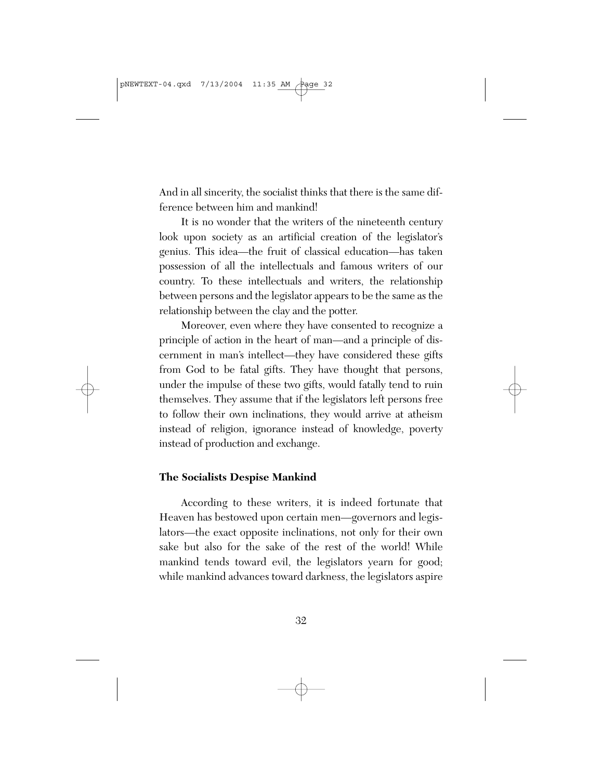And in all sincerity, the socialist thinks that there is the same difference between him and mankind!

It is no wonder that the writers of the nineteenth century look upon society as an artificial creation of the legislator's genius. This idea—the fruit of classical education—has taken possession of all the intellectuals and famous writers of our country. To these intellectuals and writers, the relationship between persons and the legislator appears to be the same as the relationship between the clay and the potter.

Moreover, even where they have consented to recognize a principle of action in the heart of man—and a principle of discernment in man's intellect—they have considered these gifts from God to be fatal gifts. They have thought that persons, under the impulse of these two gifts, would fatally tend to ruin themselves. They assume that if the legislators left persons free to follow their own inclinations, they would arrive at atheism instead of religion, ignorance instead of knowledge, poverty instead of production and exchange.

# **The Socialists Despise Mankind**

According to these writers, it is indeed fortunate that Heaven has bestowed upon certain men—governors and legislators—the exact opposite inclinations, not only for their own sake but also for the sake of the rest of the world! While mankind tends toward evil, the legislators yearn for good; while mankind advances toward darkness, the legislators aspire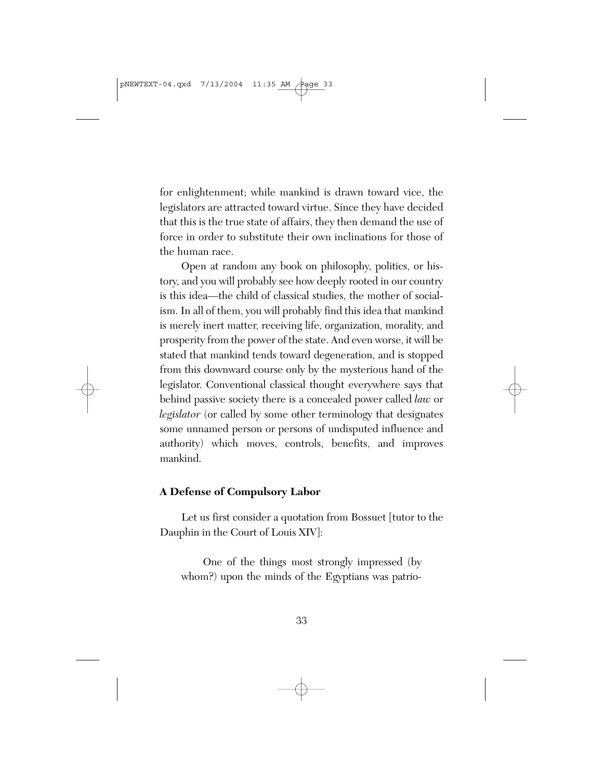for enlightenment; while mankind is drawn toward vice, the legislators are attracted toward virtue. Since they have decided that this is the true state of affairs, they then demand the use of force in order to substitute their own inclinations for those of the human race.

Open at random any book on philosophy, politics, or history, and you will probably see how deeply rooted in our country is this idea—the child of classical studies, the mother of socialism. In all of them, you will probably find this idea that mankind is merely inert matter, receiving life, organization, morality, and prosperity from the power of the state. And even worse, it will be stated that mankind tends toward degeneration, and is stopped from this downward course only by the mysterious hand of the legislator. Conventional classical thought everywhere says that behind passive society there is a concealed power called *law* or *legislator* (or called by some other terminology that designates some unnamed person or persons of undisputed influence and authority) which moves, controls, benefits, and improves mankind.

# **A Defense of Compulsory Labor**

Let us first consider a quotation from Bossuet [tutor to the Dauphin in the Court of Louis XIV]:

One of the things most strongly impressed (by whom?) upon the minds of the Egyptians was patrio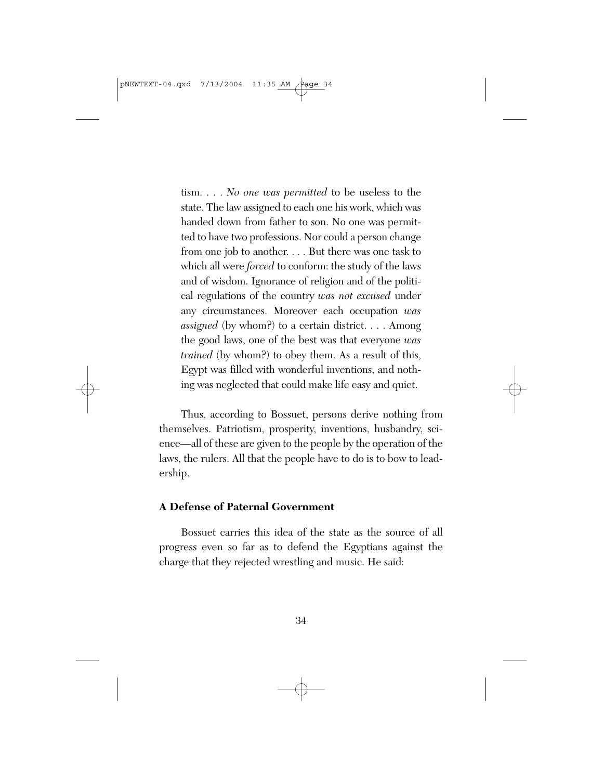tism. . . . *No one was permitted* to be useless to the state. The law assigned to each one his work, which was handed down from father to son. No one was permitted to have two professions. Nor could a person change from one job to another. . . . But there was one task to which all were *forced* to conform: the study of the laws and of wisdom. Ignorance of religion and of the political regulations of the country *was not excused* under any circumstances. Moreover each occupation *was assigned* (by whom?) to a certain district. . . . Among the good laws, one of the best was that everyone *was trained* (by whom?) to obey them. As a result of this, Egypt was filled with wonderful inventions, and nothing was neglected that could make life easy and quiet.

Thus, according to Bossuet, persons derive nothing from themselves. Patriotism, prosperity, inventions, husbandry, science—all of these are given to the people by the operation of the laws, the rulers. All that the people have to do is to bow to leadership.

### **A Defense of Paternal Government**

Bossuet carries this idea of the state as the source of all progress even so far as to defend the Egyptians against the charge that they rejected wrestling and music. He said: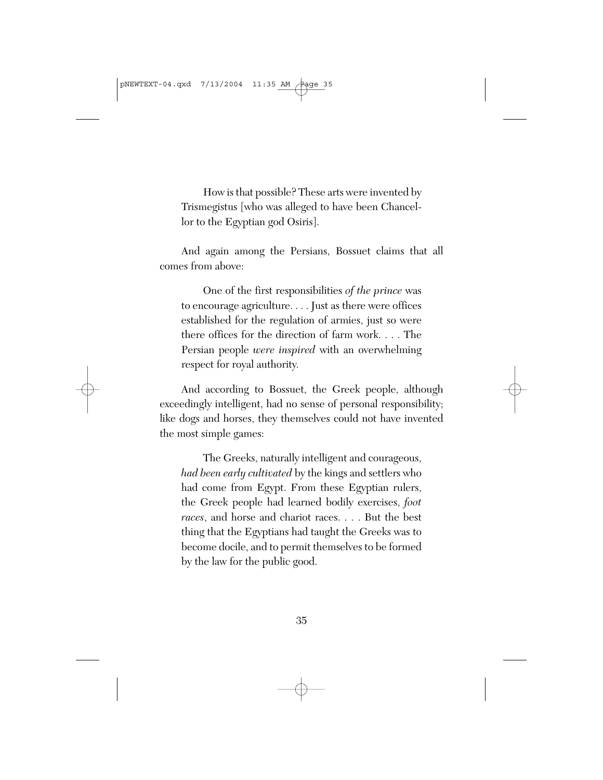How is that possible? These arts were invented by Trismegistus [who was alleged to have been Chancellor to the Egyptian god Osiris].

And again among the Persians, Bossuet claims that all comes from above:

One of the first responsibilities *of the prince* was to encourage agriculture. . . . Just as there were offices established for the regulation of armies, just so were there offices for the direction of farm work. . . . The Persian people *were inspired* with an overwhelming respect for royal authority.

And according to Bossuet, the Greek people, although exceedingly intelligent, had no sense of personal responsibility; like dogs and horses, they themselves could not have invented the most simple games:

The Greeks, naturally intelligent and courageous, *had been early cultivated* by the kings and settlers who had come from Egypt. From these Egyptian rulers, the Greek people had learned bodily exercises, *foot races*, and horse and chariot races. . . . But the best thing that the Egyptians had taught the Greeks was to become docile, and to permit themselves to be formed by the law for the public good.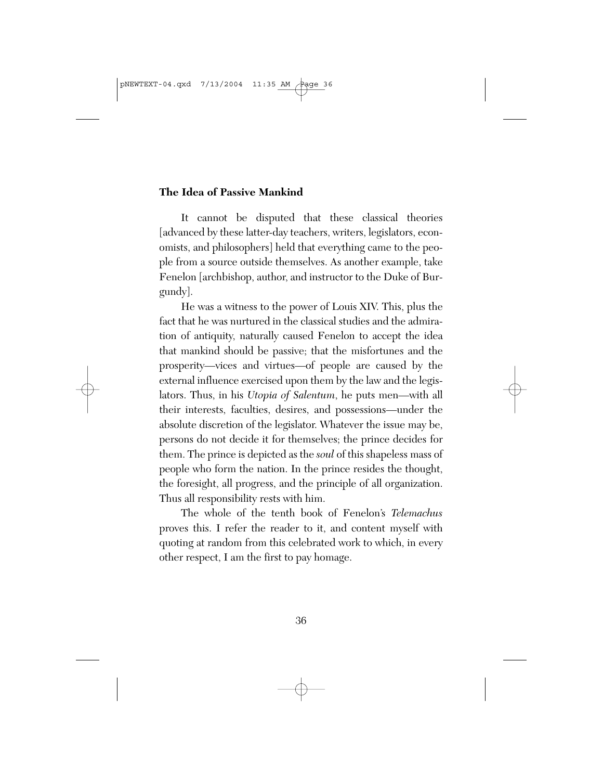## **The Idea of Passive Mankind**

It cannot be disputed that these classical theories [advanced by these latter-day teachers, writers, legislators, economists, and philosophers] held that everything came to the people from a source outside themselves. As another example, take Fenelon [archbishop, author, and instructor to the Duke of Burgundy].

He was a witness to the power of Louis XIV. This, plus the fact that he was nurtured in the classical studies and the admiration of antiquity, naturally caused Fenelon to accept the idea that mankind should be passive; that the misfortunes and the prosperity—vices and virtues—of people are caused by the external influence exercised upon them by the law and the legislators. Thus, in his *Utopia of Salentum*, he puts men—with all their interests, faculties, desires, and possessions—under the absolute discretion of the legislator. Whatever the issue may be, persons do not decide it for themselves; the prince decides for them. The prince is depicted as the *soul* of this shapeless mass of people who form the nation. In the prince resides the thought, the foresight, all progress, and the principle of all organization. Thus all responsibility rests with him.

The whole of the tenth book of Fenelon's *Telemachus* proves this. I refer the reader to it, and content myself with quoting at random from this celebrated work to which, in every other respect, I am the first to pay homage.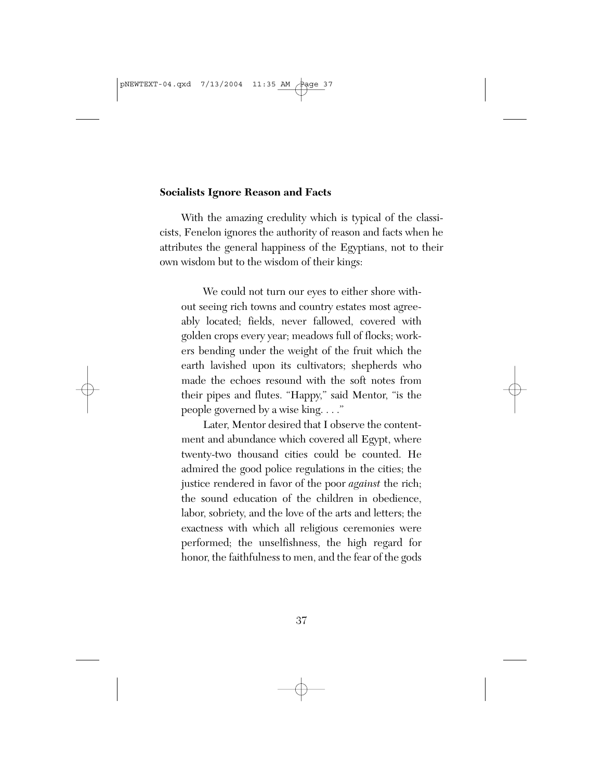### **Socialists Ignore Reason and Facts**

With the amazing credulity which is typical of the classicists, Fenelon ignores the authority of reason and facts when he attributes the general happiness of the Egyptians, not to their own wisdom but to the wisdom of their kings:

We could not turn our eyes to either shore without seeing rich towns and country estates most agreeably located; fields, never fallowed, covered with golden crops every year; meadows full of flocks; workers bending under the weight of the fruit which the earth lavished upon its cultivators; shepherds who made the echoes resound with the soft notes from their pipes and flutes. "Happy," said Mentor, "is the people governed by a wise king. . . ."

Later, Mentor desired that I observe the contentment and abundance which covered all Egypt, where twenty-two thousand cities could be counted. He admired the good police regulations in the cities; the justice rendered in favor of the poor *against* the rich; the sound education of the children in obedience, labor, sobriety, and the love of the arts and letters; the exactness with which all religious ceremonies were performed; the unselfishness, the high regard for honor, the faithfulness to men, and the fear of the gods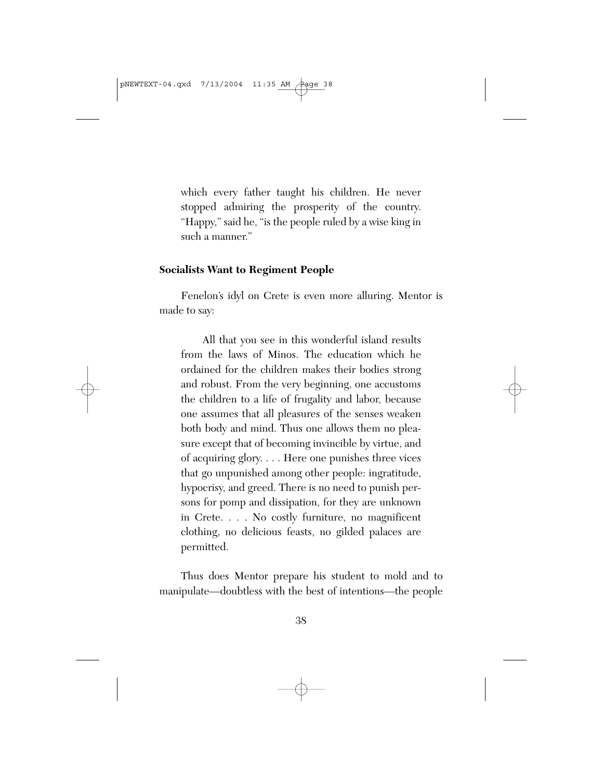which every father taught his children. He never stopped admiring the prosperity of the country. "Happy," said he, "is the people ruled by a wise king in such a manner."

#### **Socialists Want to Regiment People**

Fenelon's idyl on Crete is even more alluring. Mentor is made to say:

All that you see in this wonderful island results from the laws of Minos. The education which he ordained for the children makes their bodies strong and robust. From the very beginning, one accustoms the children to a life of frugality and labor, because one assumes that all pleasures of the senses weaken both body and mind. Thus one allows them no pleasure except that of becoming invincible by virtue, and of acquiring glory. . . . Here one punishes three vices that go unpunished among other people: ingratitude, hypocrisy, and greed. There is no need to punish persons for pomp and dissipation, for they are unknown in Crete. . . . No costly furniture, no magnificent clothing, no delicious feasts, no gilded palaces are permitted.

Thus does Mentor prepare his student to mold and to manipulate—doubtless with the best of intentions—the people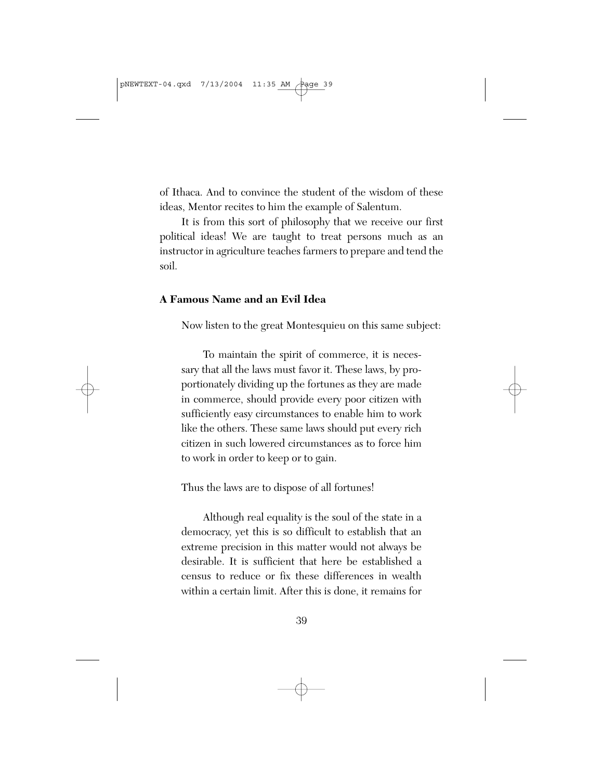of Ithaca. And to convince the student of the wisdom of these ideas, Mentor recites to him the example of Salentum.

It is from this sort of philosophy that we receive our first political ideas! We are taught to treat persons much as an instructor in agriculture teaches farmers to prepare and tend the soil.

### **A Famous Name and an Evil Idea**

Now listen to the great Montesquieu on this same subject:

To maintain the spirit of commerce, it is necessary that all the laws must favor it. These laws, by proportionately dividing up the fortunes as they are made in commerce, should provide every poor citizen with sufficiently easy circumstances to enable him to work like the others. These same laws should put every rich citizen in such lowered circumstances as to force him to work in order to keep or to gain.

Thus the laws are to dispose of all fortunes!

Although real equality is the soul of the state in a democracy, yet this is so difficult to establish that an extreme precision in this matter would not always be desirable. It is sufficient that here be established a census to reduce or fix these differences in wealth within a certain limit. After this is done, it remains for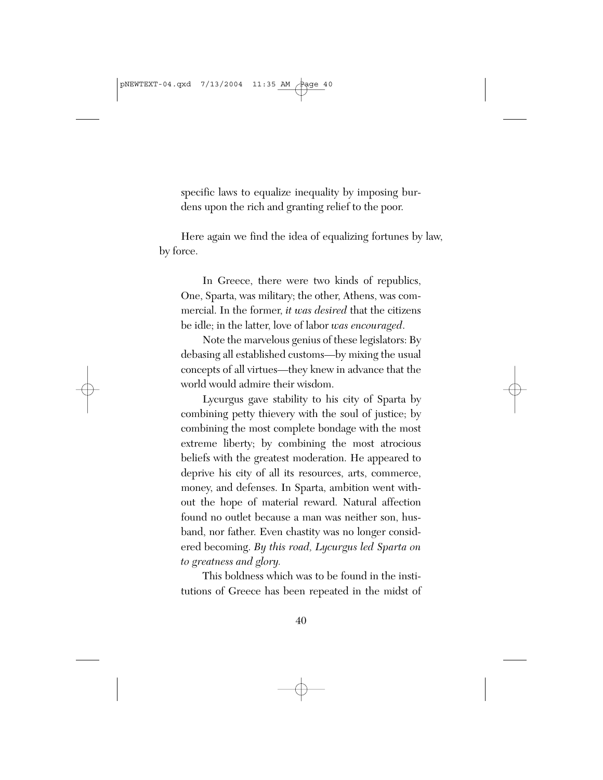specific laws to equalize inequality by imposing burdens upon the rich and granting relief to the poor.

Here again we find the idea of equalizing fortunes by law, by force.

In Greece, there were two kinds of republics, One, Sparta, was military; the other, Athens, was commercial. In the former, *it was desired* that the citizens be idle; in the latter, love of labor *was encouraged*.

Note the marvelous genius of these legislators: By debasing all established customs—by mixing the usual concepts of all virtues—they knew in advance that the world would admire their wisdom.

Lycurgus gave stability to his city of Sparta by combining petty thievery with the soul of justice; by combining the most complete bondage with the most extreme liberty; by combining the most atrocious beliefs with the greatest moderation. He appeared to deprive his city of all its resources, arts, commerce, money, and defenses. In Sparta, ambition went without the hope of material reward. Natural affection found no outlet because a man was neither son, husband, nor father. Even chastity was no longer considered becoming. *By this road, Lycurgus led Sparta on to greatness and glory.*

This boldness which was to be found in the institutions of Greece has been repeated in the midst of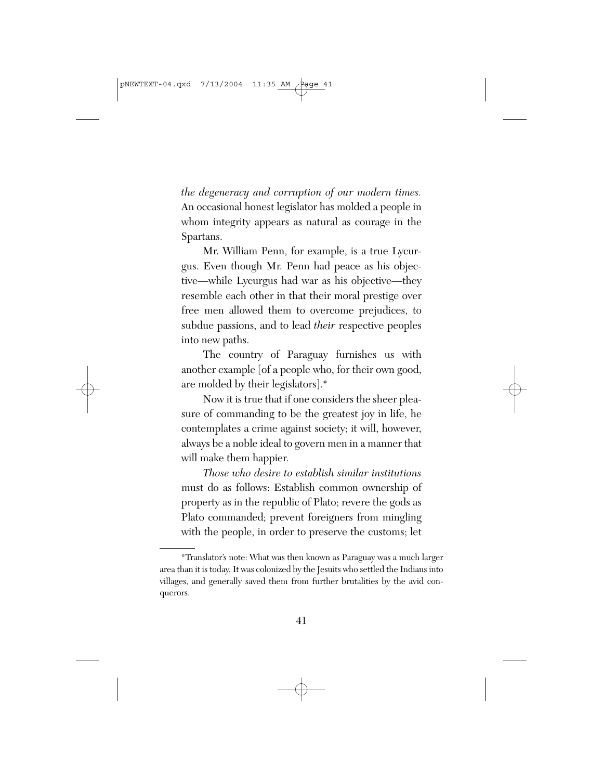*the degeneracy and corruption of our modern times.* An occasional honest legislator has molded a people in whom integrity appears as natural as courage in the Spartans.

Mr. William Penn, for example, is a true Lycurgus. Even though Mr. Penn had peace as his objective—while Lycurgus had war as his objective—they resemble each other in that their moral prestige over free men allowed them to overcome prejudices, to subdue passions, and to lead *their* respective peoples into new paths.

The country of Paraguay furnishes us with another example [of a people who, for their own good, are molded by their legislators].\*

Now it is true that if one considers the sheer pleasure of commanding to be the greatest joy in life, he contemplates a crime against society; it will, however, always be a noble ideal to govern men in a manner that will make them happier.

*Those who desire to establish similar institutions* must do as follows: Establish common ownership of property as in the republic of Plato; revere the gods as Plato commanded; prevent foreigners from mingling with the people, in order to preserve the customs; let

<sup>\*</sup>Translator's note: What was then known as Paraguay was a much larger area than it is today. It was colonized by the Jesuits who settled the Indians into villages, and generally saved them from further brutalities by the avid conquerors.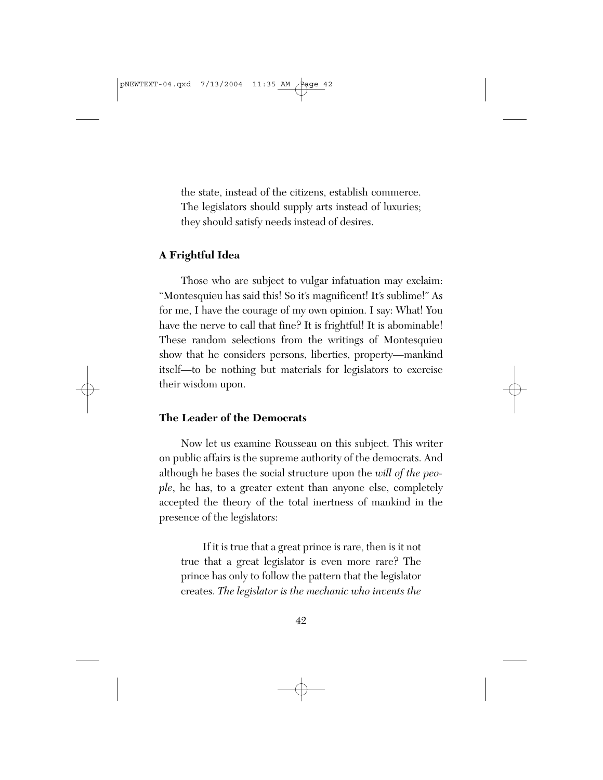the state, instead of the citizens, establish commerce. The legislators should supply arts instead of luxuries; they should satisfy needs instead of desires.

### **A Frightful Idea**

Those who are subject to vulgar infatuation may exclaim: "Montesquieu has said this! So it's magnificent! It's sublime!" As for me, I have the courage of my own opinion. I say: What! You have the nerve to call that fine? It is frightful! It is abominable! These random selections from the writings of Montesquieu show that he considers persons, liberties, property—mankind itself—to be nothing but materials for legislators to exercise their wisdom upon.

#### **The Leader of the Democrats**

Now let us examine Rousseau on this subject. This writer on public affairs is the supreme authority of the democrats. And although he bases the social structure upon the *will of the people*, he has, to a greater extent than anyone else, completely accepted the theory of the total inertness of mankind in the presence of the legislators:

If it is true that a great prince is rare, then is it not true that a great legislator is even more rare? The prince has only to follow the pattern that the legislator creates. *The legislator is the mechanic who invents the*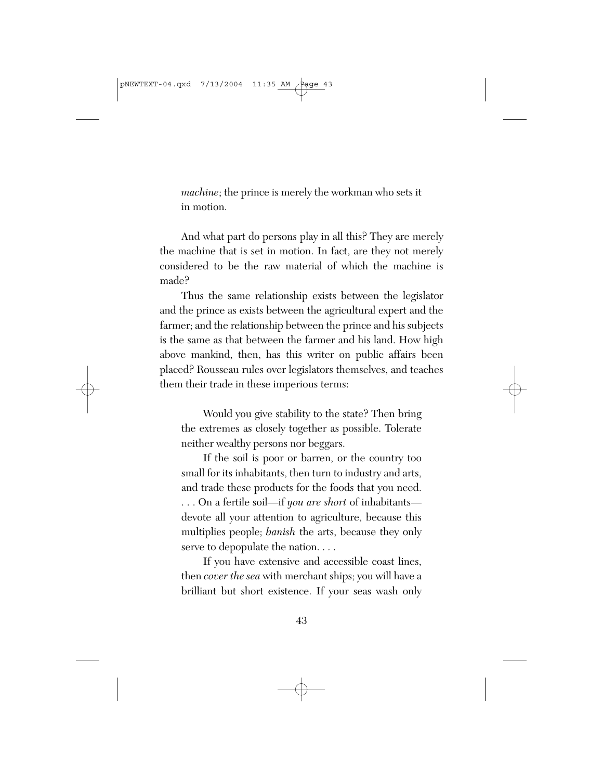*machine*; the prince is merely the workman who sets it in motion.

And what part do persons play in all this? They are merely the machine that is set in motion. In fact, are they not merely considered to be the raw material of which the machine is made?

Thus the same relationship exists between the legislator and the prince as exists between the agricultural expert and the farmer; and the relationship between the prince and his subjects is the same as that between the farmer and his land. How high above mankind, then, has this writer on public affairs been placed? Rousseau rules over legislators themselves, and teaches them their trade in these imperious terms:

Would you give stability to the state? Then bring the extremes as closely together as possible. Tolerate neither wealthy persons nor beggars.

If the soil is poor or barren, or the country too small for its inhabitants, then turn to industry and arts, and trade these products for the foods that you need. . . . On a fertile soil—if *you are short* of inhabitants devote all your attention to agriculture, because this multiplies people; *banish* the arts, because they only serve to depopulate the nation. . . .

If you have extensive and accessible coast lines, then *cover the sea* with merchant ships; you will have a brilliant but short existence. If your seas wash only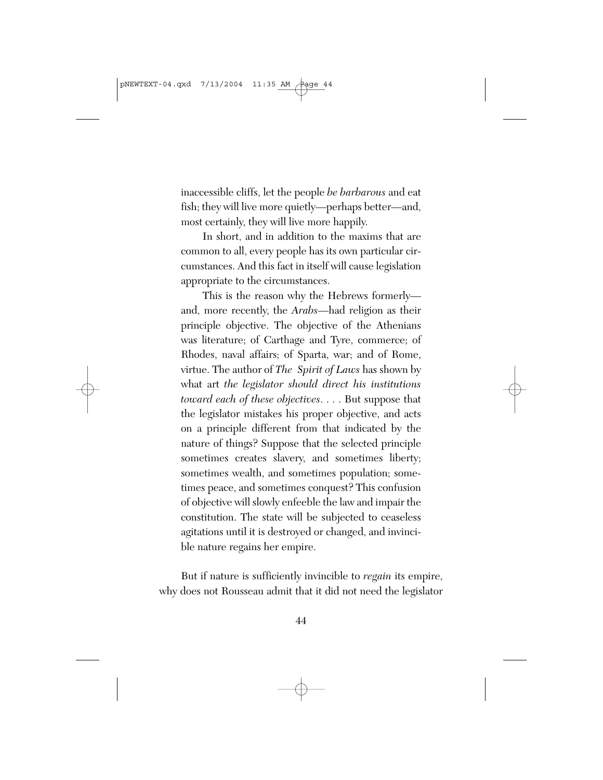inaccessible cliffs, let the people *be barbarous* and eat fish; they will live more quietly—perhaps better—and, most certainly, they will live more happily.

In short, and in addition to the maxims that are common to all, every people has its own particular circumstances. And this fact in itself will cause legislation appropriate to the circumstances.

This is the reason why the Hebrews formerly and, more recently, the *Arabs*—had religion as their principle objective. The objective of the Athenians was literature; of Carthage and Tyre, commerce; of Rhodes, naval affairs; of Sparta, war; and of Rome, virtue. The author of *The Spirit of Laws* has shown by what art *the legislator should direct his institutions toward each of these objectives*. . . . But suppose that the legislator mistakes his proper objective, and acts on a principle different from that indicated by the nature of things? Suppose that the selected principle sometimes creates slavery, and sometimes liberty; sometimes wealth, and sometimes population; sometimes peace, and sometimes conquest? This confusion of objective will slowly enfeeble the law and impair the constitution. The state will be subjected to ceaseless agitations until it is destroyed or changed, and invincible nature regains her empire.

But if nature is sufficiently invincible to *regain* its empire, why does not Rousseau admit that it did not need the legislator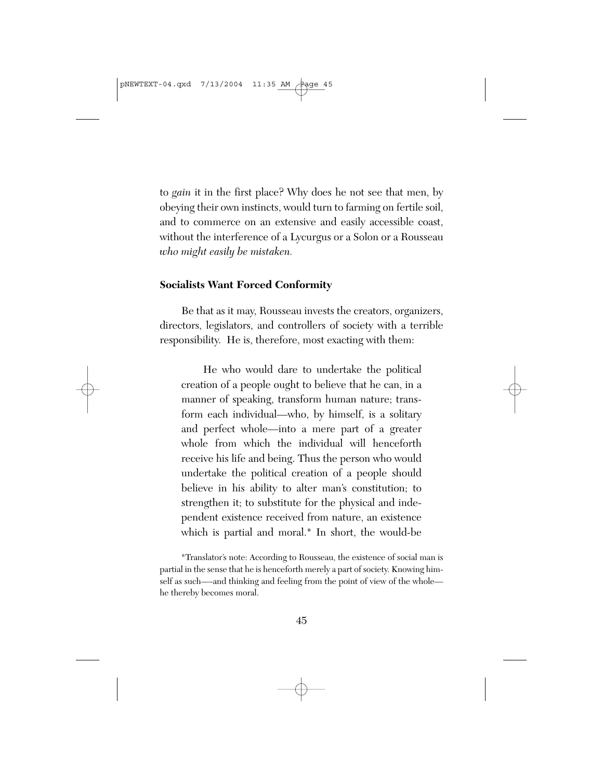to *gain* it in the first place? Why does he not see that men, by obeying their own instincts, would turn to farming on fertile soil, and to commerce on an extensive and easily accessible coast, without the interference of a Lycurgus or a Solon or a Rousseau *who might easily be mistaken.*

#### **Socialists Want Forced Conformity**

Be that as it may, Rousseau invests the creators, organizers, directors, legislators, and controllers of society with a terrible responsibility. He is, therefore, most exacting with them:

He who would dare to undertake the political creation of a people ought to believe that he can, in a manner of speaking, transform human nature; transform each individual—who, by himself, is a solitary and perfect whole—into a mere part of a greater whole from which the individual will henceforth receive his life and being. Thus the person who would undertake the political creation of a people should believe in his ability to alter man's constitution; to strengthen it; to substitute for the physical and independent existence received from nature, an existence which is partial and moral.\* In short, the would-be

\*Translator's note: According to Rousseau, the existence of social man is partial in the sense that he is henceforth merely a part of society. Knowing himself as such—-and thinking and feeling from the point of view of the whole he thereby becomes moral.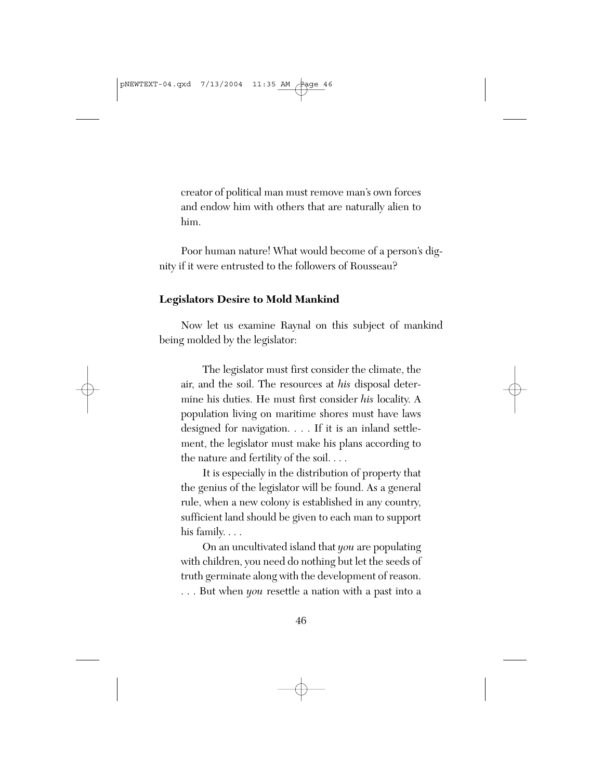creator of political man must remove man's own forces and endow him with others that are naturally alien to him.

Poor human nature! What would become of a person's dignity if it were entrusted to the followers of Rousseau?

# **Legislators Desire to Mold Mankind**

Now let us examine Raynal on this subject of mankind being molded by the legislator:

The legislator must first consider the climate, the air, and the soil. The resources at *his* disposal determine his duties. He must first consider *his* locality. A population living on maritime shores must have laws designed for navigation. . . . If it is an inland settlement, the legislator must make his plans according to the nature and fertility of the soil. . . .

It is especially in the distribution of property that the genius of the legislator will be found. As a general rule, when a new colony is established in any country, sufficient land should be given to each man to support his family. . . .

On an uncultivated island that *you* are populating with children, you need do nothing but let the seeds of truth germinate along with the development of reason. . . . But when *you* resettle a nation with a past into a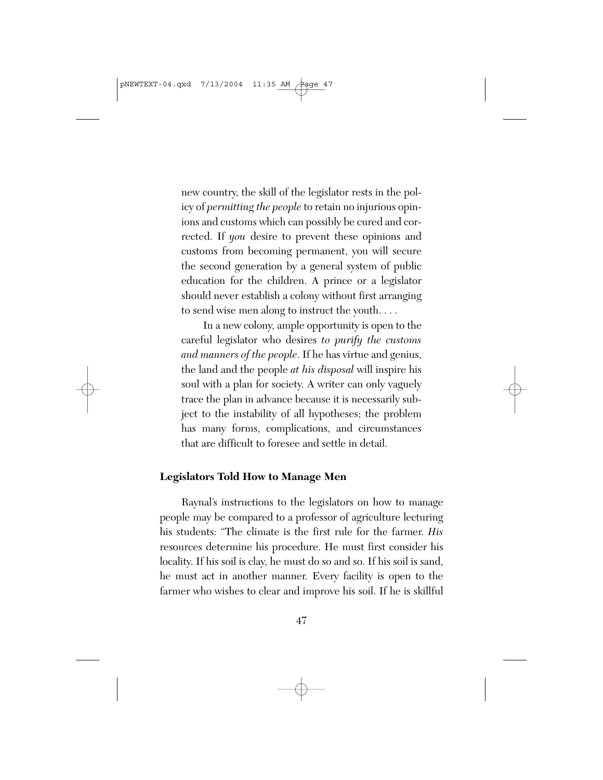new country, the skill of the legislator rests in the policy of *permitting the people* to retain no injurious opinions and customs which can possibly be cured and corrected. If *you* desire to prevent these opinions and customs from becoming permanent, you will secure the second generation by a general system of public education for the children. A prince or a legislator should never establish a colony without first arranging to send wise men along to instruct the youth. . . .

In a new colony, ample opportunity is open to the careful legislator who desires *to purify the customs and manners of the people*. If he has virtue and genius, the land and the people *at his disposal* will inspire his soul with a plan for society. A writer can only vaguely trace the plan in advance because it is necessarily subject to the instability of all hypotheses; the problem has many forms, complications, and circumstances that are difficult to foresee and settle in detail.

#### **Legislators Told How to Manage Men**

Raynal's instructions to the legislators on how to manage people may be compared to a professor of agriculture lecturing his students: "The climate is the first rule for the farmer. *His* resources determine his procedure. He must first consider his locality. If his soil is clay, he must do so and so. If his soil is sand, he must act in another manner. Every facility is open to the farmer who wishes to clear and improve his soil. If he is skillful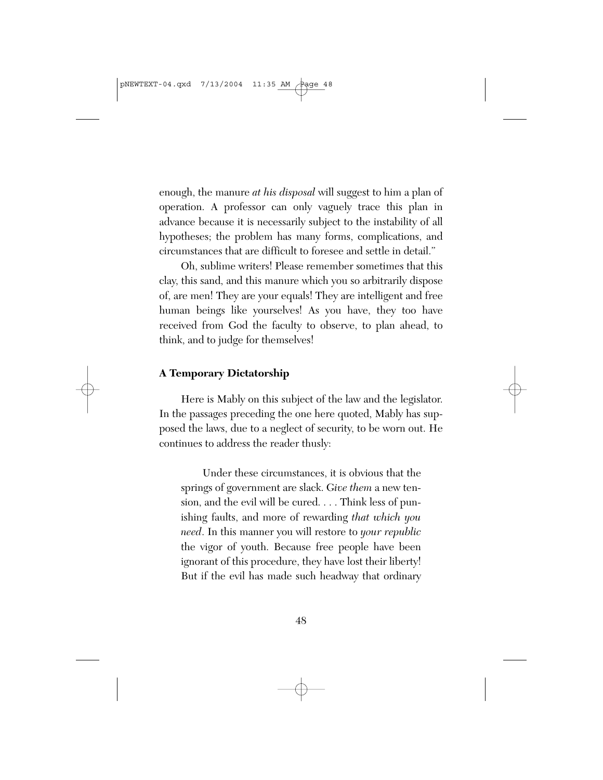enough, the manure *at his disposal* will suggest to him a plan of operation. A professor can only vaguely trace this plan in advance because it is necessarily subject to the instability of all hypotheses; the problem has many forms, complications, and circumstances that are difficult to foresee and settle in detail."

Oh, sublime writers! Please remember sometimes that this clay, this sand, and this manure which you so arbitrarily dispose of, are men! They are your equals! They are intelligent and free human beings like yourselves! As you have, they too have received from God the faculty to observe, to plan ahead, to think, and to judge for themselves!

## **A Temporary Dictatorship**

Here is Mably on this subject of the law and the legislator. In the passages preceding the one here quoted, Mably has supposed the laws, due to a neglect of security, to be worn out. He continues to address the reader thusly:

Under these circumstances, it is obvious that the springs of government are slack. G*ive them* a new tension, and the evil will be cured. . . . Think less of punishing faults, and more of rewarding *that which you need*. In this manner you will restore to *your republic* the vigor of youth. Because free people have been ignorant of this procedure, they have lost their liberty! But if the evil has made such headway that ordinary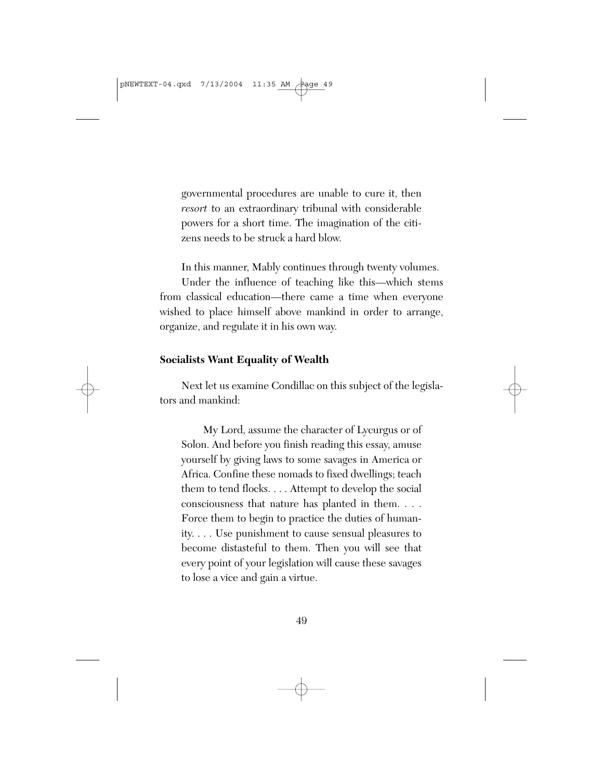governmental procedures are unable to cure it, then *resort* to an extraordinary tribunal with considerable powers for a short time. The imagination of the citizens needs to be struck a hard blow.

In this manner, Mably continues through twenty volumes.

Under the influence of teaching like this—which stems from classical education—there came a time when everyone wished to place himself above mankind in order to arrange, organize, and regulate it in his own way.

## **Socialists Want Equality of Wealth**

Next let us examine Condillac on this subject of the legislators and mankind:

My Lord, assume the character of Lycurgus or of Solon. And before you finish reading this essay, amuse yourself by giving laws to some savages in America or Africa. Confine these nomads to fixed dwellings; teach them to tend flocks. . . . Attempt to develop the social consciousness that nature has planted in them. . . . Force them to begin to practice the duties of humanity. . . . Use punishment to cause sensual pleasures to become distasteful to them. Then you will see that every point of your legislation will cause these savages to lose a vice and gain a virtue.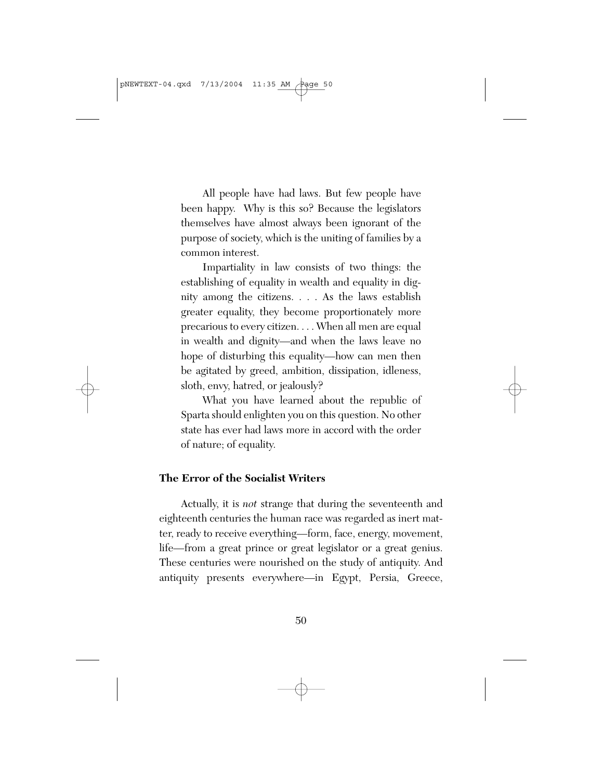All people have had laws. But few people have been happy. Why is this so? Because the legislators themselves have almost always been ignorant of the purpose of society, which is the uniting of families by a common interest.

Impartiality in law consists of two things: the establishing of equality in wealth and equality in dignity among the citizens. . . . As the laws establish greater equality, they become proportionately more precarious to every citizen. . . . When all men are equal in wealth and dignity—and when the laws leave no hope of disturbing this equality—how can men then be agitated by greed, ambition, dissipation, idleness, sloth, envy, hatred, or jealously?

What you have learned about the republic of Sparta should enlighten you on this question. No other state has ever had laws more in accord with the order of nature; of equality.

#### **The Error of the Socialist Writers**

Actually, it is *not* strange that during the seventeenth and eighteenth centuries the human race was regarded as inert matter, ready to receive everything—form, face, energy, movement, life—from a great prince or great legislator or a great genius. These centuries were nourished on the study of antiquity. And antiquity presents everywhere—in Egypt, Persia, Greece,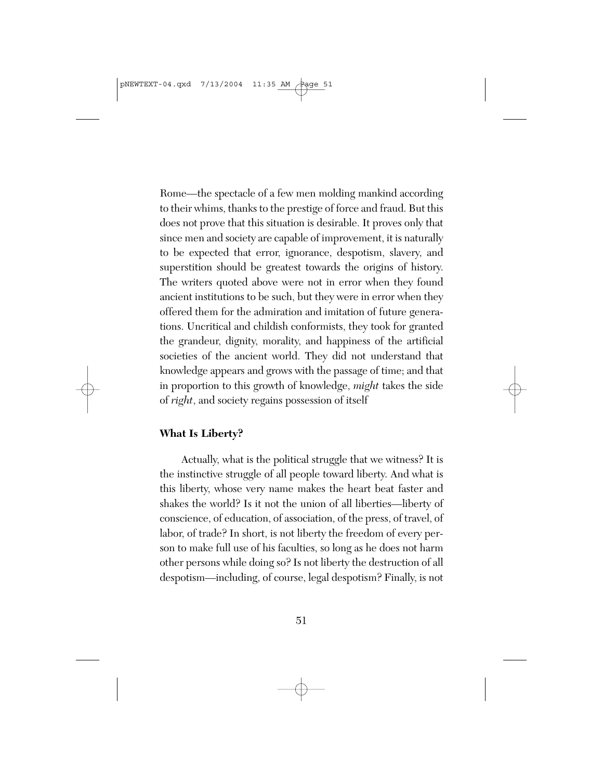Rome—the spectacle of a few men molding mankind according to their whims, thanks to the prestige of force and fraud. But this does not prove that this situation is desirable. It proves only that since men and society are capable of improvement, it is naturally to be expected that error, ignorance, despotism, slavery, and superstition should be greatest towards the origins of history. The writers quoted above were not in error when they found ancient institutions to be such, but they were in error when they offered them for the admiration and imitation of future generations. Uncritical and childish conformists, they took for granted the grandeur, dignity, morality, and happiness of the artificial societies of the ancient world. They did not understand that knowledge appears and grows with the passage of time; and that in proportion to this growth of knowledge, *might* takes the side of *right*, and society regains possession of itself

#### **What Is Liberty?**

Actually, what is the political struggle that we witness? It is the instinctive struggle of all people toward liberty. And what is this liberty, whose very name makes the heart beat faster and shakes the world? Is it not the union of all liberties—liberty of conscience, of education, of association, of the press, of travel, of labor, of trade? In short, is not liberty the freedom of every person to make full use of his faculties, so long as he does not harm other persons while doing so? Is not liberty the destruction of all despotism—including, of course, legal despotism? Finally, is not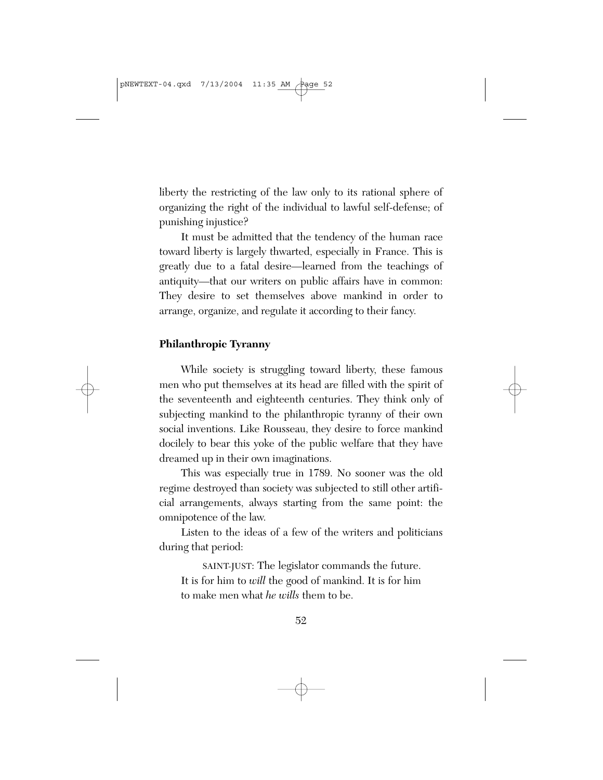liberty the restricting of the law only to its rational sphere of organizing the right of the individual to lawful self-defense; of punishing injustice?

It must be admitted that the tendency of the human race toward liberty is largely thwarted, especially in France. This is greatly due to a fatal desire—learned from the teachings of antiquity—that our writers on public affairs have in common: They desire to set themselves above mankind in order to arrange, organize, and regulate it according to their fancy.

# **Philanthropic Tyranny**

While society is struggling toward liberty, these famous men who put themselves at its head are filled with the spirit of the seventeenth and eighteenth centuries. They think only of subjecting mankind to the philanthropic tyranny of their own social inventions. Like Rousseau, they desire to force mankind docilely to bear this yoke of the public welfare that they have dreamed up in their own imaginations.

This was especially true in 1789. No sooner was the old regime destroyed than society was subjected to still other artificial arrangements, always starting from the same point: the omnipotence of the law.

Listen to the ideas of a few of the writers and politicians during that period:

SAINT-JUST: The legislator commands the future. It is for him to *will* the good of mankind. It is for him to make men what *he wills* them to be.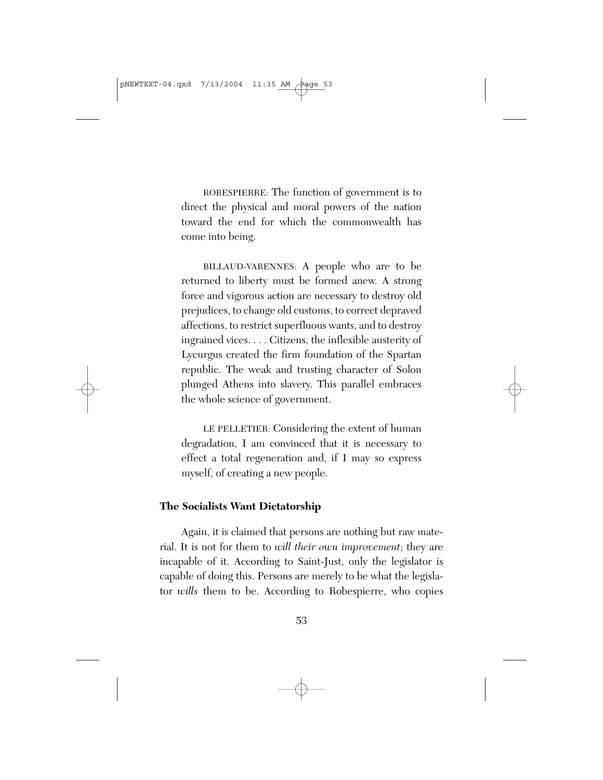ROBESPIERRE: The function of government is to direct the physical and moral powers of the nation toward the end for which the commonwealth has come into being.

BILLAUD-VARENNES: A people who are to be returned to liberty must be formed anew. A strong force and vigorous action are necessary to destroy old prejudices, to change old customs, to correct depraved affections, to restrict superfluous wants, and to destroy ingrained vices. . . . Citizens, the inflexible austerity of Lycurgus created the firm foundation of the Spartan republic. The weak and trusting character of Solon plunged Athens into slavery. This parallel embraces the whole science of government.

LE PELLETIER: Considering the extent of human degradation, I am convinced that it is necessary to effect a total regeneration and, if I may so express myself, of creating a new people.

#### **The Socialists Want Dictatorship**

Again, it is claimed that persons are nothing but raw material. It is not for them to *will their own improvement*; they are incapable of it. According to Saint-Just, only the legislator is capable of doing this. Persons are merely to be what the legislator *wills* them to be. According to Robespierre, who copies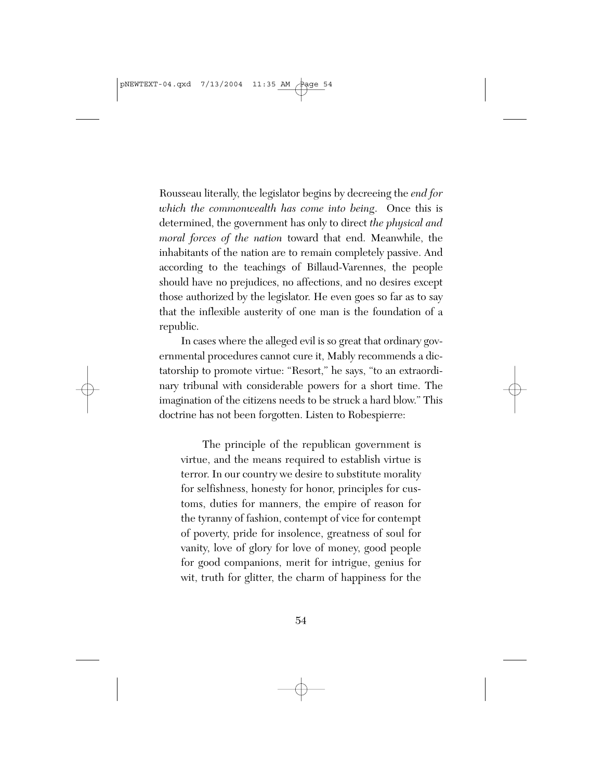Rousseau literally, the legislator begins by decreeing the *end for which the commonwealth has come into being*. Once this is determined, the government has only to direct *the physical and moral forces of the nation* toward that end. Meanwhile, the inhabitants of the nation are to remain completely passive. And according to the teachings of Billaud-Varennes, the people should have no prejudices, no affections, and no desires except those authorized by the legislator. He even goes so far as to say that the inflexible austerity of one man is the foundation of a republic.

In cases where the alleged evil is so great that ordinary governmental procedures cannot cure it, Mably recommends a dictatorship to promote virtue: "Resort," he says, "to an extraordinary tribunal with considerable powers for a short time. The imagination of the citizens needs to be struck a hard blow." This doctrine has not been forgotten. Listen to Robespierre:

The principle of the republican government is virtue, and the means required to establish virtue is terror. In our country we desire to substitute morality for selfishness, honesty for honor, principles for customs, duties for manners, the empire of reason for the tyranny of fashion, contempt of vice for contempt of poverty, pride for insolence, greatness of soul for vanity, love of glory for love of money, good people for good companions, merit for intrigue, genius for wit, truth for glitter, the charm of happiness for the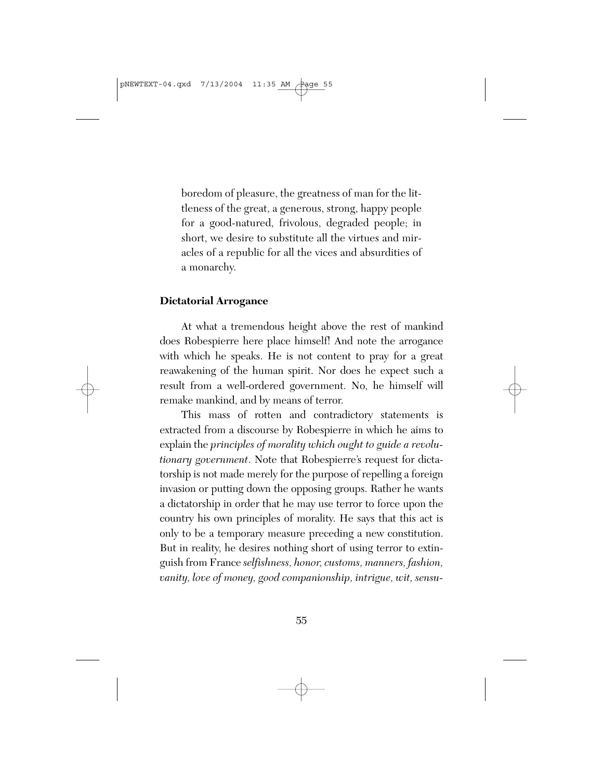boredom of pleasure, the greatness of man for the littleness of the great, a generous, strong, happy people for a good-natured, frivolous, degraded people; in short, we desire to substitute all the virtues and miracles of a republic for all the vices and absurdities of a monarchy.

#### **Dictatorial Arrogance**

At what a tremendous height above the rest of mankind does Robespierre here place himself! And note the arrogance with which he speaks. He is not content to pray for a great reawakening of the human spirit. Nor does he expect such a result from a well-ordered government. No, he himself will remake mankind, and by means of terror.

This mass of rotten and contradictory statements is extracted from a discourse by Robespierre in which he aims to explain the *principles of morality which ought to guide a revolutionary government*. Note that Robespierre's request for dictatorship is not made merely for the purpose of repelling a foreign invasion or putting down the opposing groups. Rather he wants a dictatorship in order that he may use terror to force upon the country his own principles of morality. He says that this act is only to be a temporary measure preceding a new constitution. But in reality, he desires nothing short of using terror to extinguish from France *selfishness, honor, customs, manners, fashion, vanity, love of money, good companionship, intrigue, wit, sensu-*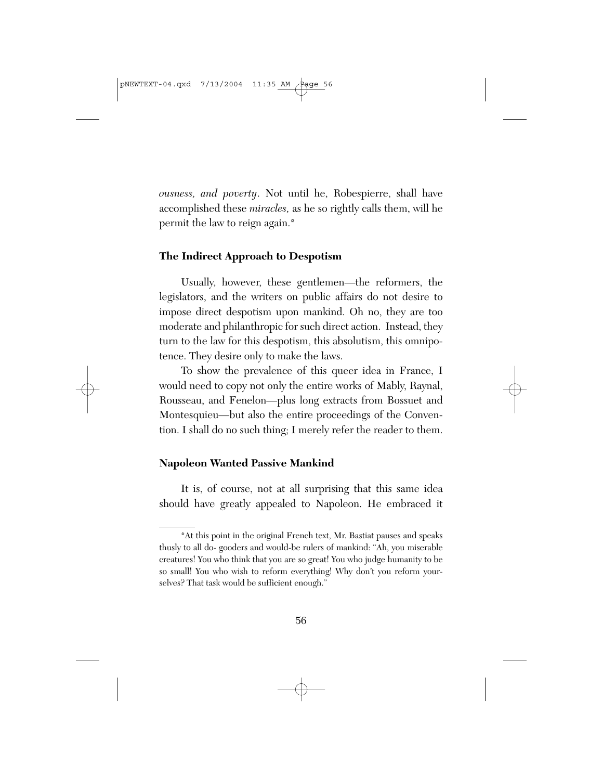*ousness, and poverty*. Not until he, Robespierre, shall have accomplished these *miracles,* as he so rightly calls them, will he permit the law to reign again.\*

#### **The Indirect Approach to Despotism**

Usually, however, these gentlemen—the reformers, the legislators, and the writers on public affairs do not desire to impose direct despotism upon mankind. Oh no, they are too moderate and philanthropic for such direct action. Instead, they turn to the law for this despotism, this absolutism, this omnipotence. They desire only to make the laws.

To show the prevalence of this queer idea in France, I would need to copy not only the entire works of Mably, Raynal, Rousseau, and Fenelon—plus long extracts from Bossuet and Montesquieu—but also the entire proceedings of the Convention. I shall do no such thing; I merely refer the reader to them.

#### **Napoleon Wanted Passive Mankind**

It is, of course, not at all surprising that this same idea should have greatly appealed to Napoleon. He embraced it

<sup>\*</sup>At this point in the original French text, Mr. Bastiat pauses and speaks thusly to all do- gooders and would-be rulers of mankind: "Ah, you miserable creatures! You who think that you are so great! You who judge humanity to be so small! You who wish to reform everything! Why don't you reform yourselves? That task would be sufficient enough."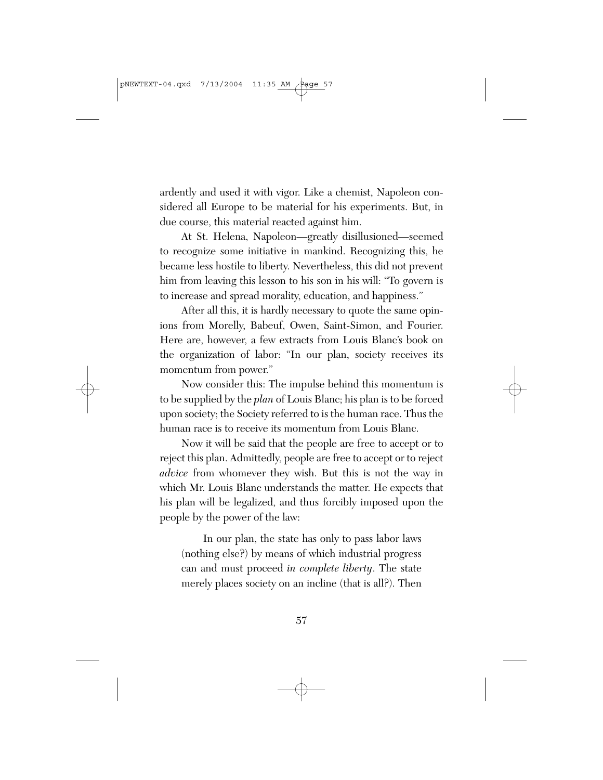ardently and used it with vigor. Like a chemist, Napoleon considered all Europe to be material for his experiments. But, in due course, this material reacted against him.

At St. Helena, Napoleon—greatly disillusioned—seemed to recognize some initiative in mankind. Recognizing this, he became less hostile to liberty. Nevertheless, this did not prevent him from leaving this lesson to his son in his will: "To govern is to increase and spread morality, education, and happiness."

After all this, it is hardly necessary to quote the same opinions from Morelly, Babeuf, Owen, Saint-Simon, and Fourier. Here are, however, a few extracts from Louis Blanc's book on the organization of labor: "In our plan, society receives its momentum from power."

Now consider this: The impulse behind this momentum is to be supplied by the *plan* of Louis Blanc; his plan is to be forced upon society; the Society referred to is the human race. Thus the human race is to receive its momentum from Louis Blanc.

Now it will be said that the people are free to accept or to reject this plan. Admittedly, people are free to accept or to reject *advice* from whomever they wish. But this is not the way in which Mr. Louis Blanc understands the matter. He expects that his plan will be legalized, and thus forcibly imposed upon the people by the power of the law:

In our plan, the state has only to pass labor laws (nothing else?) by means of which industrial progress can and must proceed *in complete liberty*. The state merely places society on an incline (that is all?). Then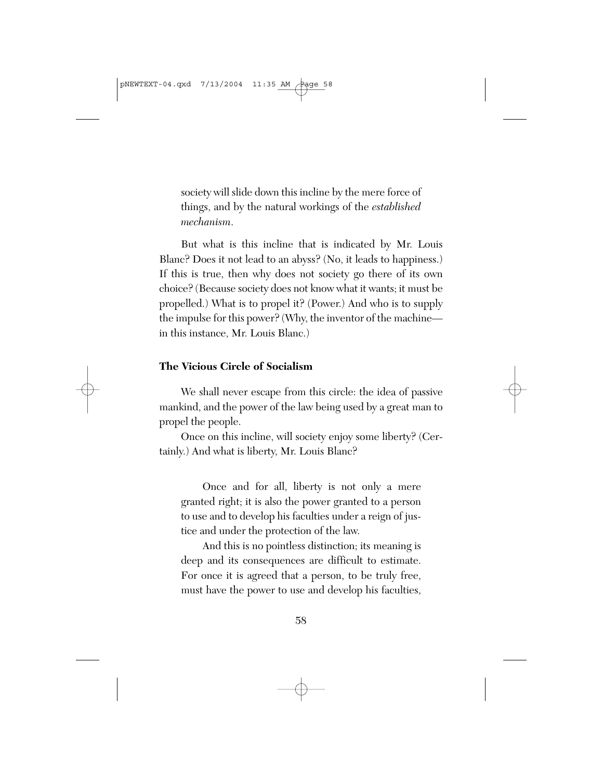society will slide down this incline by the mere force of things, and by the natural workings of the *established mechanism*.

But what is this incline that is indicated by Mr. Louis Blanc? Does it not lead to an abyss? (No, it leads to happiness.) If this is true, then why does not society go there of its own choice? (Because society does not know what it wants; it must be propelled.) What is to propel it? (Power.) And who is to supply the impulse for this power? (Why, the inventor of the machine in this instance, Mr. Louis Blanc.)

#### **The Vicious Circle of Socialism**

We shall never escape from this circle: the idea of passive mankind, and the power of the law being used by a great man to propel the people.

Once on this incline, will society enjoy some liberty? (Certainly.) And what is liberty, Mr. Louis Blanc?

Once and for all, liberty is not only a mere granted right; it is also the power granted to a person to use and to develop his faculties under a reign of justice and under the protection of the law.

And this is no pointless distinction; its meaning is deep and its consequences are difficult to estimate. For once it is agreed that a person, to be truly free, must have the power to use and develop his faculties,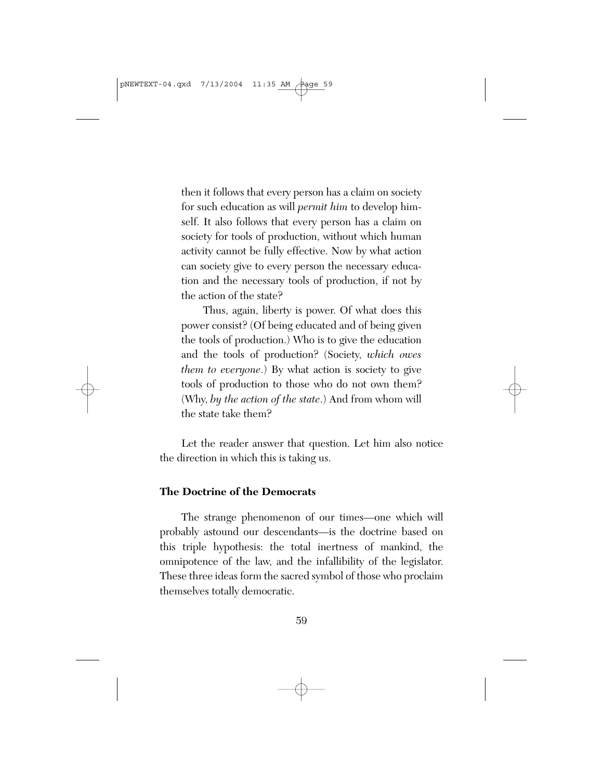then it follows that every person has a claim on society for such education as will *permit him* to develop himself. It also follows that every person has a claim on society for tools of production, without which human activity cannot be fully effective. Now by what action can society give to every person the necessary education and the necessary tools of production, if not by the action of the state?

Thus, again, liberty is power. Of what does this power consist? (Of being educated and of being given the tools of production.) Who is to give the education and the tools of production? (Society, *which owes them to everyone*.) By what action is society to give tools of production to those who do not own them? (Why, *by the action of the state*.) And from whom will the state take them?

Let the reader answer that question. Let him also notice the direction in which this is taking us.

#### **The Doctrine of the Democrats**

The strange phenomenon of our times—one which will probably astound our descendants—is the doctrine based on this triple hypothesis: the total inertness of mankind, the omnipotence of the law, and the infallibility of the legislator. These three ideas form the sacred symbol of those who proclaim themselves totally democratic.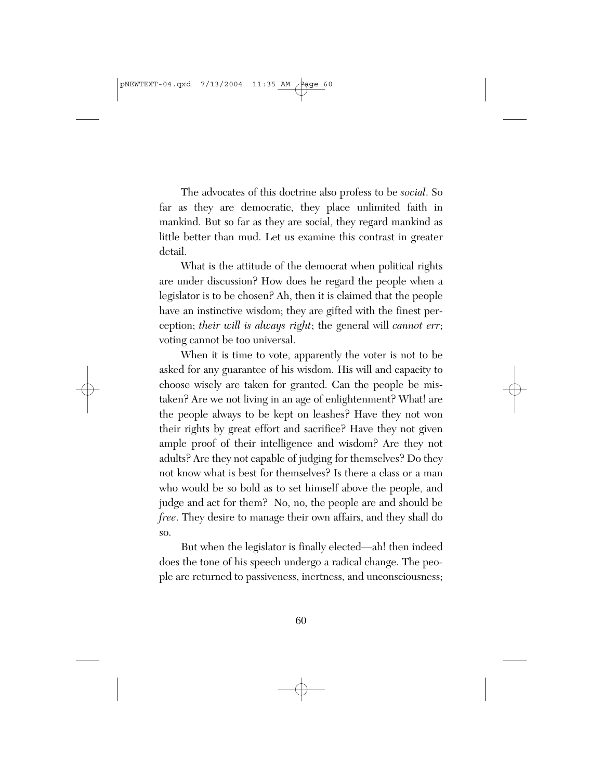The advocates of this doctrine also profess to be *social*. So far as they are democratic, they place unlimited faith in mankind. But so far as they are social, they regard mankind as little better than mud. Let us examine this contrast in greater detail.

What is the attitude of the democrat when political rights are under discussion? How does he regard the people when a legislator is to be chosen? Ah, then it is claimed that the people have an instinctive wisdom; they are gifted with the finest perception; *their will is always right*; the general will *cannot err*; voting cannot be too universal.

When it is time to vote, apparently the voter is not to be asked for any guarantee of his wisdom. His will and capacity to choose wisely are taken for granted. Can the people be mistaken? Are we not living in an age of enlightenment? What! are the people always to be kept on leashes? Have they not won their rights by great effort and sacrifice? Have they not given ample proof of their intelligence and wisdom? Are they not adults? Are they not capable of judging for themselves? Do they not know what is best for themselves? Is there a class or a man who would be so bold as to set himself above the people, and judge and act for them? No, no, the people are and should be *free*. They desire to manage their own affairs, and they shall do so.

But when the legislator is finally elected—ah! then indeed does the tone of his speech undergo a radical change. The people are returned to passiveness, inertness, and unconsciousness;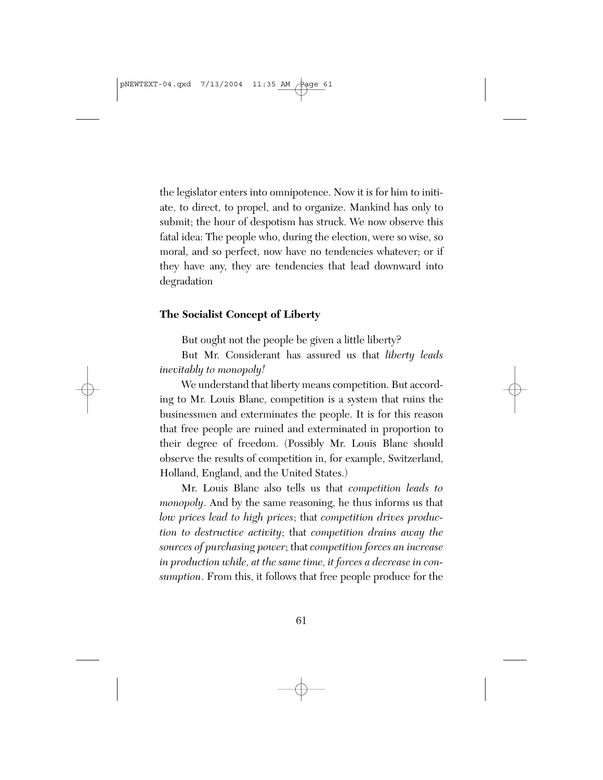the legislator enters into omnipotence. Now it is for him to initiate, to direct, to propel, and to organize. Mankind has only to submit; the hour of despotism has struck. We now observe this fatal idea: The people who, during the election, were so wise, so moral, and so perfect, now have no tendencies whatever; or if they have any, they are tendencies that lead downward into degradation

## **The Socialist Concept of Liberty**

But ought not the people be given a little liberty?

But Mr. Considerant has assured us that *liberty leads inevitably to monopoly!*

We understand that liberty means competition. But according to Mr. Louis Blanc, competition is a system that ruins the businessmen and exterminates the people. It is for this reason that free people are ruined and exterminated in proportion to their degree of freedom. (Possibly Mr. Louis Blanc should observe the results of competition in, for example, Switzerland, Holland, England, and the United States.)

Mr. Louis Blanc also tells us that *competition leads to monopoly*. And by the same reasoning, he thus informs us that *low prices lead to high prices*; that *competition drives production to destructive activity*; that *competition drains away the sources of purchasing power*; that *competition forces an increase in production while, at the same time, it forces a decrease in consumption*. From this, it follows that free people produce for the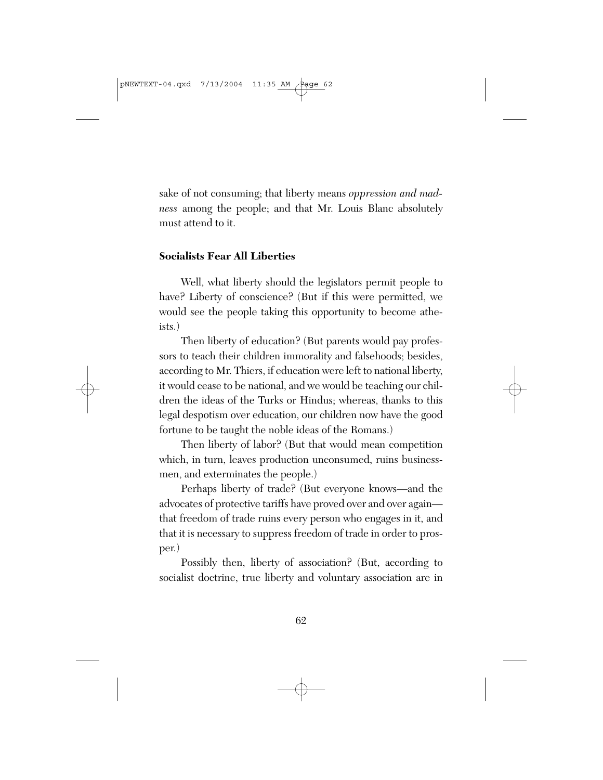sake of not consuming; that liberty means *oppression and madness* among the people; and that Mr. Louis Blanc absolutely must attend to it.

## **Socialists Fear All Liberties**

Well, what liberty should the legislators permit people to have? Liberty of conscience? (But if this were permitted, we would see the people taking this opportunity to become atheists.)

Then liberty of education? (But parents would pay professors to teach their children immorality and falsehoods; besides, according to Mr. Thiers, if education were left to national liberty, it would cease to be national, and we would be teaching our children the ideas of the Turks or Hindus; whereas, thanks to this legal despotism over education, our children now have the good fortune to be taught the noble ideas of the Romans.)

Then liberty of labor? (But that would mean competition which, in turn, leaves production unconsumed, ruins businessmen, and exterminates the people.)

Perhaps liberty of trade? (But everyone knows—and the advocates of protective tariffs have proved over and over again that freedom of trade ruins every person who engages in it, and that it is necessary to suppress freedom of trade in order to prosper.)

Possibly then, liberty of association? (But, according to socialist doctrine, true liberty and voluntary association are in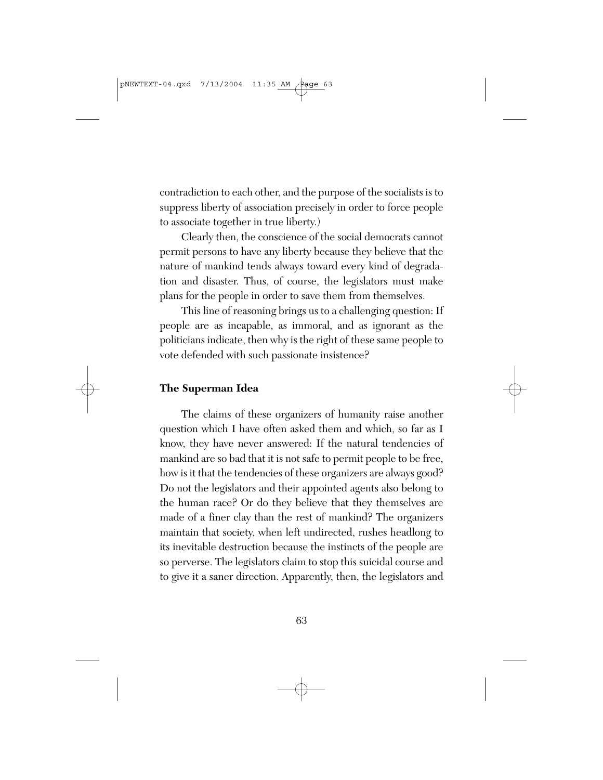contradiction to each other, and the purpose of the socialists is to suppress liberty of association precisely in order to force people to associate together in true liberty.)

Clearly then, the conscience of the social democrats cannot permit persons to have any liberty because they believe that the nature of mankind tends always toward every kind of degradation and disaster. Thus, of course, the legislators must make plans for the people in order to save them from themselves.

This line of reasoning brings us to a challenging question: If people are as incapable, as immoral, and as ignorant as the politicians indicate, then why is the right of these same people to vote defended with such passionate insistence?

## **The Superman Idea**

The claims of these organizers of humanity raise another question which I have often asked them and which, so far as I know, they have never answered: If the natural tendencies of mankind are so bad that it is not safe to permit people to be free, how is it that the tendencies of these organizers are always good? Do not the legislators and their appointed agents also belong to the human race? Or do they believe that they themselves are made of a finer clay than the rest of mankind? The organizers maintain that society, when left undirected, rushes headlong to its inevitable destruction because the instincts of the people are so perverse. The legislators claim to stop this suicidal course and to give it a saner direction. Apparently, then, the legislators and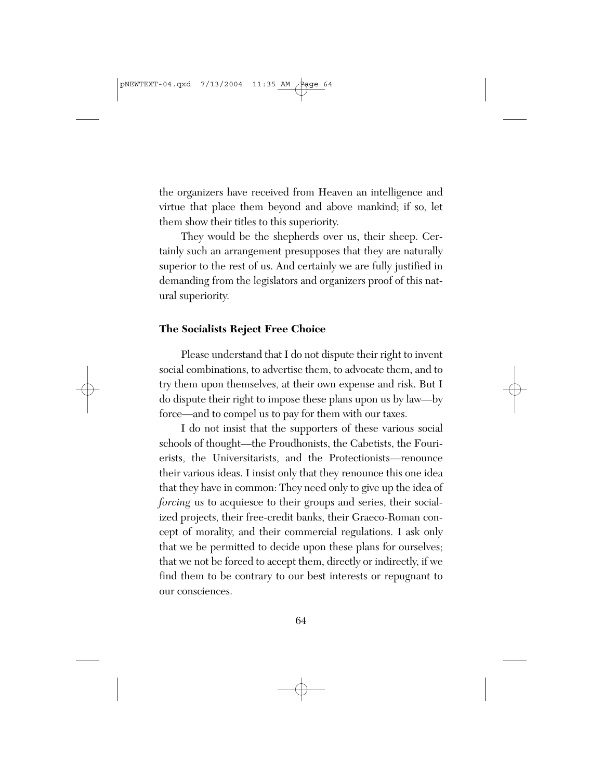the organizers have received from Heaven an intelligence and virtue that place them beyond and above mankind; if so, let them show their titles to this superiority.

They would be the shepherds over us, their sheep. Certainly such an arrangement presupposes that they are naturally superior to the rest of us. And certainly we are fully justified in demanding from the legislators and organizers proof of this natural superiority.

#### **The Socialists Reject Free Choice**

Please understand that I do not dispute their right to invent social combinations, to advertise them, to advocate them, and to try them upon themselves, at their own expense and risk. But I do dispute their right to impose these plans upon us by law—by force—and to compel us to pay for them with our taxes.

I do not insist that the supporters of these various social schools of thought—the Proudhonists, the Cabetists, the Fourierists, the Universitarists, and the Protectionists—renounce their various ideas. I insist only that they renounce this one idea that they have in common: They need only to give up the idea of *forcing* us to acquiesce to their groups and series, their socialized projects, their free-credit banks, their Graeco-Roman concept of morality, and their commercial regulations. I ask only that we be permitted to decide upon these plans for ourselves; that we not be forced to accept them, directly or indirectly, if we find them to be contrary to our best interests or repugnant to our consciences.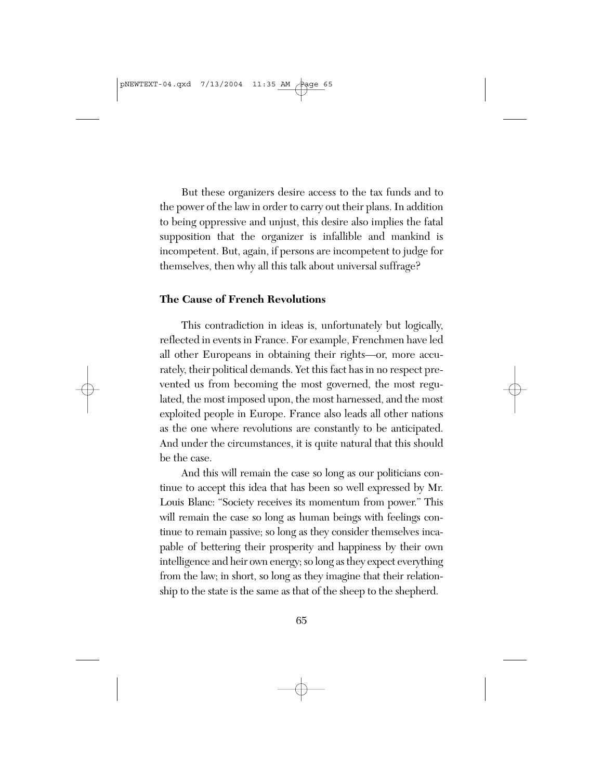But these organizers desire access to the tax funds and to the power of the law in order to carry out their plans. In addition to being oppressive and unjust, this desire also implies the fatal supposition that the organizer is infallible and mankind is incompetent. But, again, if persons are incompetent to judge for themselves, then why all this talk about universal suffrage?

# **The Cause of French Revolutions**

This contradiction in ideas is, unfortunately but logically, reflected in events in France. For example, Frenchmen have led all other Europeans in obtaining their rights—or, more accurately, their political demands. Yet this fact has in no respect prevented us from becoming the most governed, the most regulated, the most imposed upon, the most harnessed, and the most exploited people in Europe. France also leads all other nations as the one where revolutions are constantly to be anticipated. And under the circumstances, it is quite natural that this should be the case.

And this will remain the case so long as our politicians continue to accept this idea that has been so well expressed by Mr. Louis Blanc: "Society receives its momentum from power." This will remain the case so long as human beings with feelings continue to remain passive; so long as they consider themselves incapable of bettering their prosperity and happiness by their own intelligence and heir own energy; so long as they expect everything from the law; in short, so long as they imagine that their relationship to the state is the same as that of the sheep to the shepherd.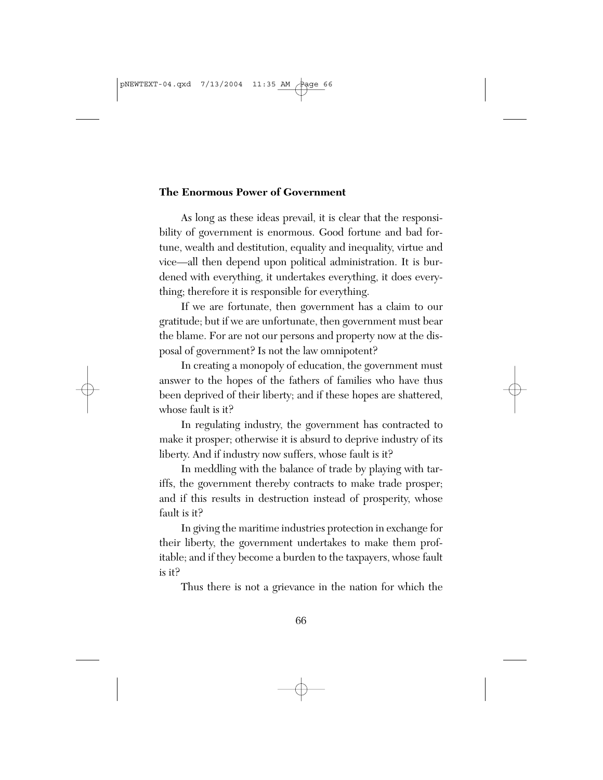## **The Enormous Power of Government**

As long as these ideas prevail, it is clear that the responsibility of government is enormous. Good fortune and bad fortune, wealth and destitution, equality and inequality, virtue and vice—all then depend upon political administration. It is burdened with everything, it undertakes everything, it does everything; therefore it is responsible for everything.

If we are fortunate, then government has a claim to our gratitude; but if we are unfortunate, then government must bear the blame. For are not our persons and property now at the disposal of government? Is not the law omnipotent?

In creating a monopoly of education, the government must answer to the hopes of the fathers of families who have thus been deprived of their liberty; and if these hopes are shattered, whose fault is it?

In regulating industry, the government has contracted to make it prosper; otherwise it is absurd to deprive industry of its liberty. And if industry now suffers, whose fault is it?

In meddling with the balance of trade by playing with tariffs, the government thereby contracts to make trade prosper; and if this results in destruction instead of prosperity, whose fault is it?

In giving the maritime industries protection in exchange for their liberty, the government undertakes to make them profitable; and if they become a burden to the taxpayers, whose fault is it?

Thus there is not a grievance in the nation for which the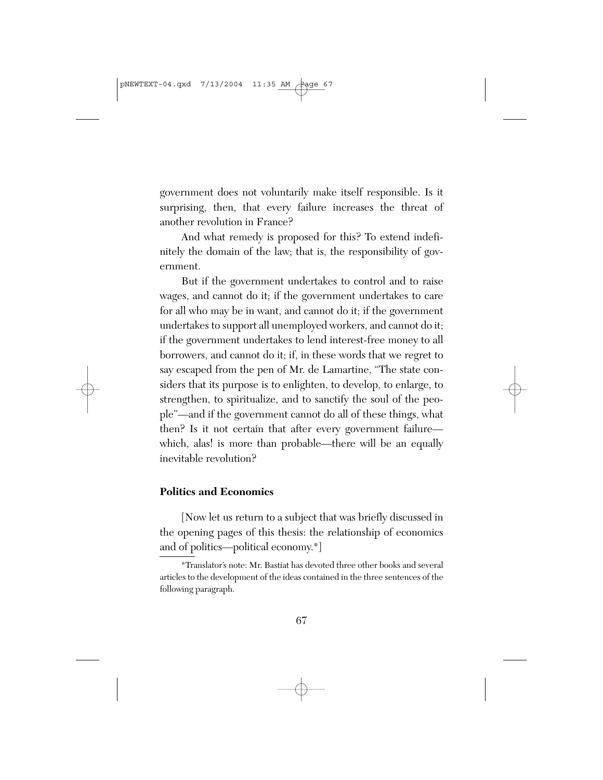government does not voluntarily make itself responsible. Is it surprising, then, that every failure increases the threat of another revolution in France?

And what remedy is proposed for this? To extend indefinitely the domain of the law; that is, the responsibility of government.

But if the government undertakes to control and to raise wages, and cannot do it; if the government undertakes to care for all who may be in want, and cannot do it; if the government undertakes to support all unemployed workers, and cannot do it; if the government undertakes to lend interest-free money to all borrowers, and cannot do it; if, in these words that we regret to say escaped from the pen of Mr. de Lamartine, "The state considers that its purpose is to enlighten, to develop, to enlarge, to strengthen, to spiritualize, and to sanctify the soul of the people"—and if the government cannot do all of these things, what then? Is it not certain that after every government failure which, alas! is more than probable—there will be an equally inevitable revolution?

#### **Politics and Economics**

[Now let us return to a subject that was briefly discussed in the opening pages of this thesis: the relationship of economics and of politics—political economy.\*]

<sup>\*</sup>Translator's note: Mr. Bastiat has devoted three other books and several articles to the development of the ideas contained in the three sentences of the following paragraph.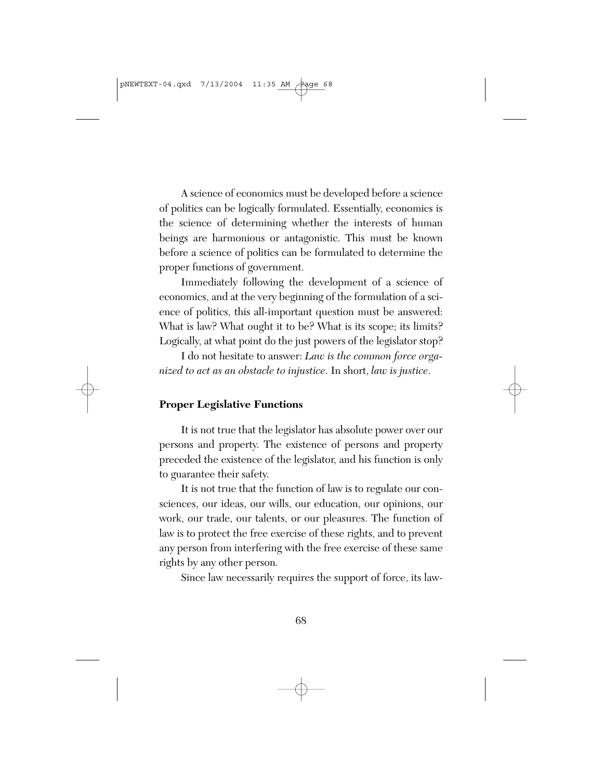A science of economics must be developed before a science of politics can be logically formulated. Essentially, economics is the science of determining whether the interests of human beings are harmonious or antagonistic. This must be known before a science of politics can be formulated to determine the proper functions of government.

Immediately following the development of a science of economics, and at the very beginning of the formulation of a science of politics, this all-important question must be answered: What is law? What ought it to be? What is its scope; its limits? Logically, at what point do the just powers of the legislator stop?

I do not hesitate to answer: *Law is the common force organized to act as an obstacle to injustice*. In short, *law is justice*.

#### **Proper Legislative Functions**

It is not true that the legislator has absolute power over our persons and property. The existence of persons and property preceded the existence of the legislator, and his function is only to guarantee their safety.

It is not true that the function of law is to regulate our consciences, our ideas, our wills, our education, our opinions, our work, our trade, our talents, or our pleasures. The function of law is to protect the free exercise of these rights, and to prevent any person from interfering with the free exercise of these same rights by any other person.

Since law necessarily requires the support of force, its law-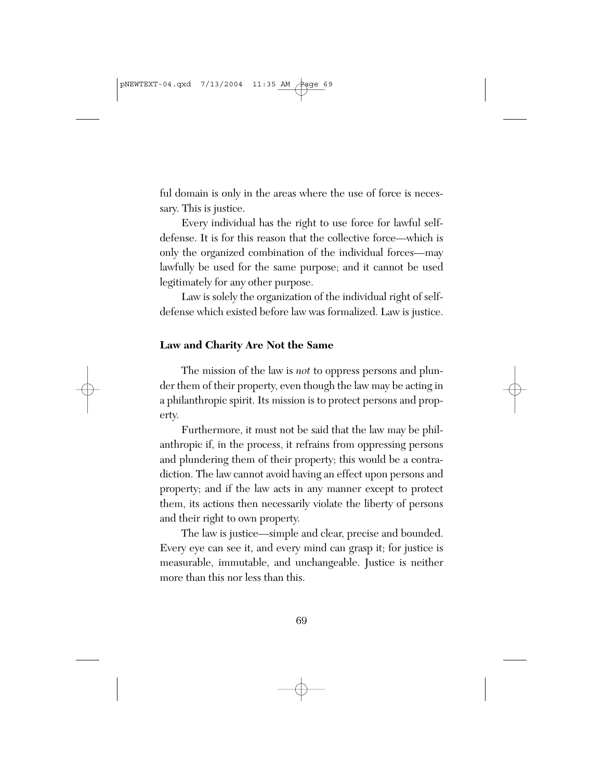ful domain is only in the areas where the use of force is necessary. This is justice.

Every individual has the right to use force for lawful selfdefense. It is for this reason that the collective force—which is only the organized combination of the individual forces—may lawfully be used for the same purpose; and it cannot be used legitimately for any other purpose.

Law is solely the organization of the individual right of selfdefense which existed before law was formalized. Law is justice.

#### **Law and Charity Are Not the Same**

The mission of the law is *not* to oppress persons and plunder them of their property, even though the law may be acting in a philanthropic spirit. Its mission is to protect persons and property.

Furthermore, it must not be said that the law may be philanthropic if, in the process, it refrains from oppressing persons and plundering them of their property; this would be a contradiction. The law cannot avoid having an effect upon persons and property; and if the law acts in any manner except to protect them, its actions then necessarily violate the liberty of persons and their right to own property.

The law is justice—simple and clear, precise and bounded. Every eye can see it, and every mind can grasp it; for justice is measurable, immutable, and unchangeable. Justice is neither more than this nor less than this.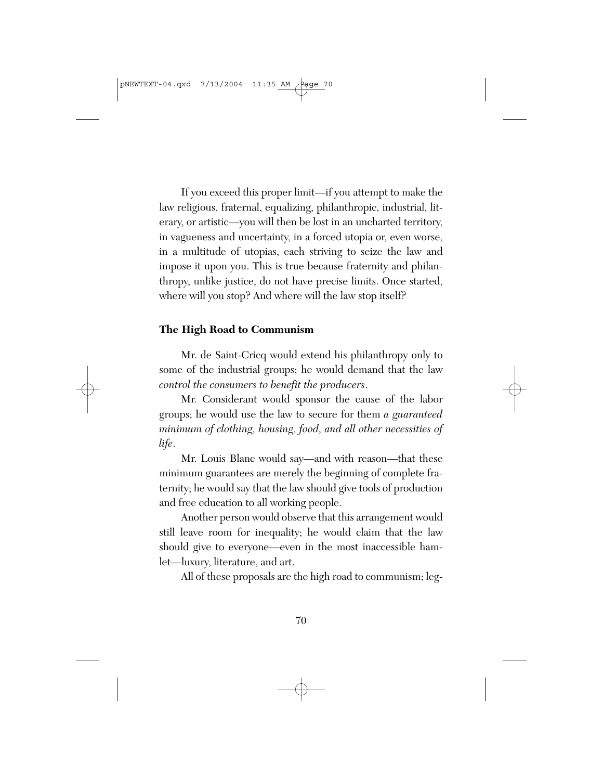If you exceed this proper limit—if you attempt to make the law religious, fraternal, equalizing, philanthropic, industrial, literary, or artistic—you will then be lost in an uncharted territory, in vagueness and uncertainty, in a forced utopia or, even worse, in a multitude of utopias, each striving to seize the law and impose it upon you. This is true because fraternity and philanthropy, unlike justice, do not have precise limits. Once started, where will you stop? And where will the law stop itself?

# **The High Road to Communism**

Mr. de Saint-Cricq would extend his philanthropy only to some of the industrial groups; he would demand that the law *control the consumers to benefit the producers*.

Mr. Considerant would sponsor the cause of the labor groups; he would use the law to secure for them *a guaranteed minimum of clothing, housing, food, and all other necessities of life*.

Mr. Louis Blanc would say—and with reason—that these minimum guarantees are merely the beginning of complete fraternity; he would say that the law should give tools of production and free education to all working people.

Another person would observe that this arrangement would still leave room for inequality; he would claim that the law should give to everyone—even in the most inaccessible hamlet—luxury, literature, and art.

All of these proposals are the high road to communism; leg-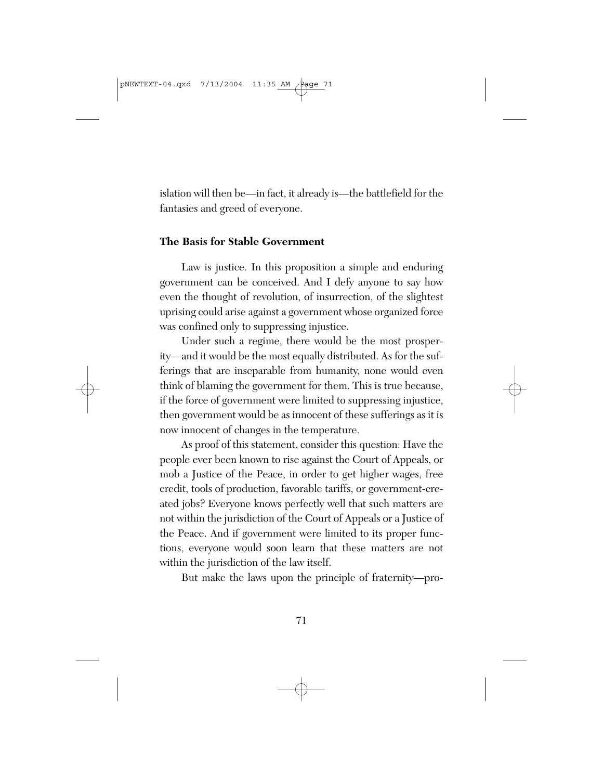islation will then be—in fact, it already is—the battlefield for the fantasies and greed of everyone.

#### **The Basis for Stable Government**

Law is justice. In this proposition a simple and enduring government can be conceived. And I defy anyone to say how even the thought of revolution, of insurrection, of the slightest uprising could arise against a government whose organized force was confined only to suppressing injustice.

Under such a regime, there would be the most prosperity—and it would be the most equally distributed. As for the sufferings that are inseparable from humanity, none would even think of blaming the government for them. This is true because, if the force of government were limited to suppressing injustice, then government would be as innocent of these sufferings as it is now innocent of changes in the temperature.

As proof of this statement, consider this question: Have the people ever been known to rise against the Court of Appeals, or mob a Justice of the Peace, in order to get higher wages, free credit, tools of production, favorable tariffs, or government-created jobs? Everyone knows perfectly well that such matters are not within the jurisdiction of the Court of Appeals or a Justice of the Peace. And if government were limited to its proper functions, everyone would soon learn that these matters are not within the jurisdiction of the law itself.

But make the laws upon the principle of fraternity—pro-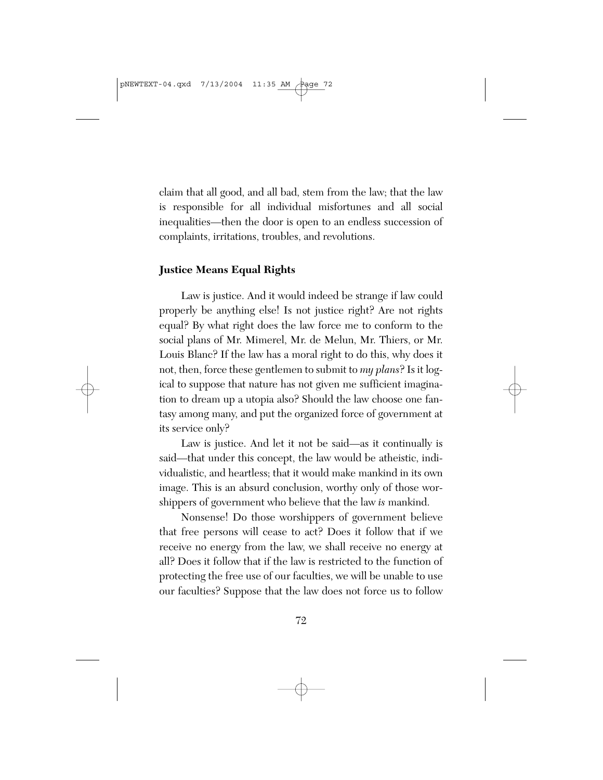claim that all good, and all bad, stem from the law; that the law is responsible for all individual misfortunes and all social inequalities—then the door is open to an endless succession of complaints, irritations, troubles, and revolutions.

# **Justice Means Equal Rights**

Law is justice. And it would indeed be strange if law could properly be anything else! Is not justice right? Are not rights equal? By what right does the law force me to conform to the social plans of Mr. Mimerel, Mr. de Melun, Mr. Thiers, or Mr. Louis Blanc? If the law has a moral right to do this, why does it not, then, force these gentlemen to submit to *my plans*? Is it logical to suppose that nature has not given me sufficient imagination to dream up a utopia also? Should the law choose one fantasy among many, and put the organized force of government at its service only?

Law is justice. And let it not be said—as it continually is said—that under this concept, the law would be atheistic, individualistic, and heartless; that it would make mankind in its own image. This is an absurd conclusion, worthy only of those worshippers of government who believe that the law *is* mankind.

Nonsense! Do those worshippers of government believe that free persons will cease to act? Does it follow that if we receive no energy from the law, we shall receive no energy at all? Does it follow that if the law is restricted to the function of protecting the free use of our faculties, we will be unable to use our faculties? Suppose that the law does not force us to follow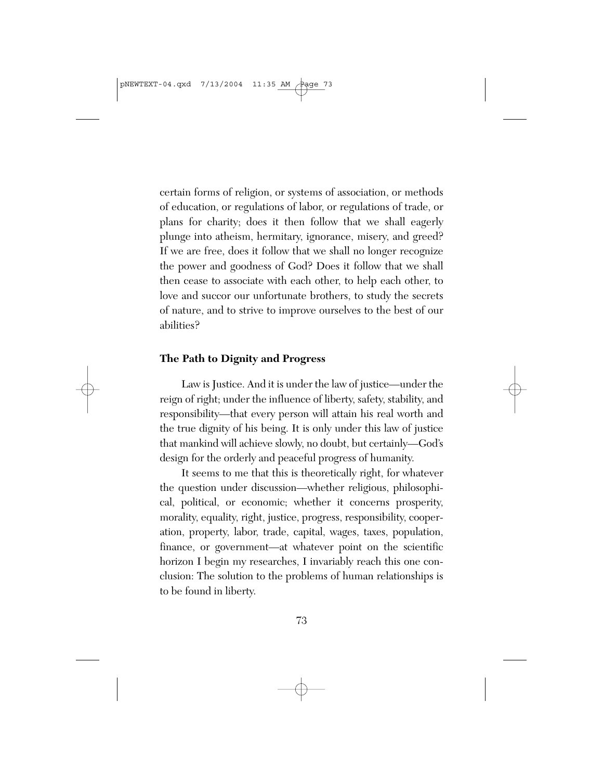certain forms of religion, or systems of association, or methods of education, or regulations of labor, or regulations of trade, or plans for charity; does it then follow that we shall eagerly plunge into atheism, hermitary, ignorance, misery, and greed? If we are free, does it follow that we shall no longer recognize the power and goodness of God? Does it follow that we shall then cease to associate with each other, to help each other, to love and succor our unfortunate brothers, to study the secrets of nature, and to strive to improve ourselves to the best of our abilities?

## **The Path to Dignity and Progress**

Law is Justice. And it is under the law of justice—under the reign of right; under the influence of liberty, safety, stability, and responsibility—that every person will attain his real worth and the true dignity of his being. It is only under this law of justice that mankind will achieve slowly, no doubt, but certainly—God's design for the orderly and peaceful progress of humanity.

It seems to me that this is theoretically right, for whatever the question under discussion—whether religious, philosophical, political, or economic; whether it concerns prosperity, morality, equality, right, justice, progress, responsibility, cooperation, property, labor, trade, capital, wages, taxes, population, finance, or government—at whatever point on the scientific horizon I begin my researches, I invariably reach this one conclusion: The solution to the problems of human relationships is to be found in liberty.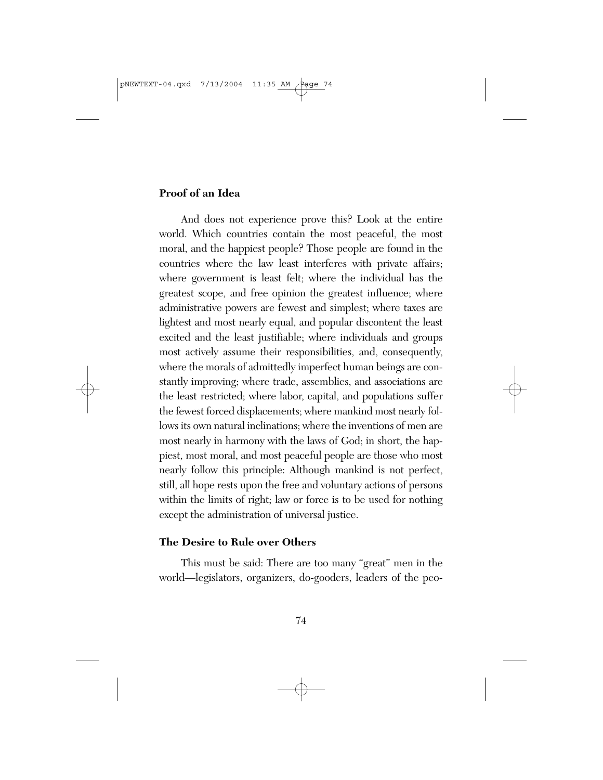#### **Proof of an Idea**

And does not experience prove this? Look at the entire world. Which countries contain the most peaceful, the most moral, and the happiest people? Those people are found in the countries where the law least interferes with private affairs; where government is least felt; where the individual has the greatest scope, and free opinion the greatest influence; where administrative powers are fewest and simplest; where taxes are lightest and most nearly equal, and popular discontent the least excited and the least justifiable; where individuals and groups most actively assume their responsibilities, and, consequently, where the morals of admittedly imperfect human beings are constantly improving; where trade, assemblies, and associations are the least restricted; where labor, capital, and populations suffer the fewest forced displacements; where mankind most nearly follows its own natural inclinations; where the inventions of men are most nearly in harmony with the laws of God; in short, the happiest, most moral, and most peaceful people are those who most nearly follow this principle: Although mankind is not perfect, still, all hope rests upon the free and voluntary actions of persons within the limits of right; law or force is to be used for nothing except the administration of universal justice.

#### **The Desire to Rule over Others**

This must be said: There are too many "great" men in the world—legislators, organizers, do-gooders, leaders of the peo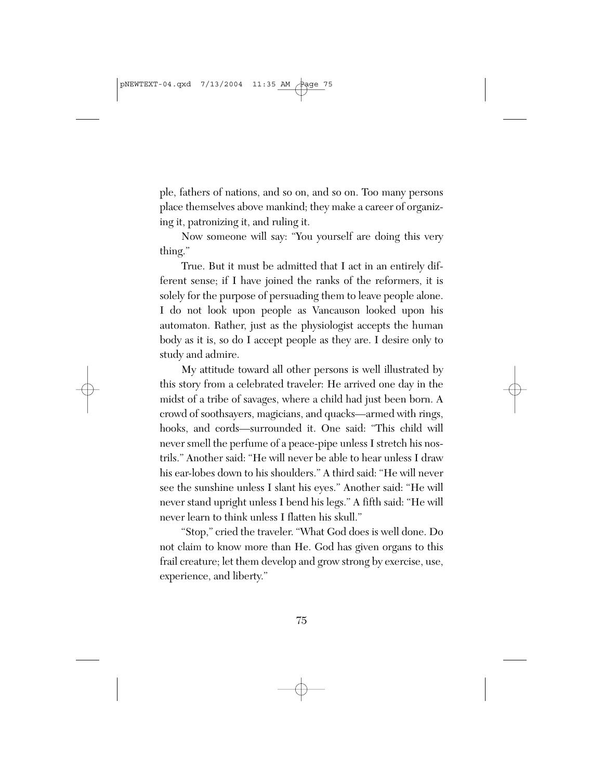ple, fathers of nations, and so on, and so on. Too many persons place themselves above mankind; they make a career of organizing it, patronizing it, and ruling it.

Now someone will say: "You yourself are doing this very thing."

True. But it must be admitted that I act in an entirely different sense; if I have joined the ranks of the reformers, it is solely for the purpose of persuading them to leave people alone. I do not look upon people as Vancauson looked upon his automaton. Rather, just as the physiologist accepts the human body as it is, so do I accept people as they are. I desire only to study and admire.

My attitude toward all other persons is well illustrated by this story from a celebrated traveler: He arrived one day in the midst of a tribe of savages, where a child had just been born. A crowd of soothsayers, magicians, and quacks—armed with rings, hooks, and cords—surrounded it. One said: "This child will never smell the perfume of a peace-pipe unless I stretch his nostrils." Another said: "He will never be able to hear unless I draw his ear-lobes down to his shoulders." A third said: "He will never see the sunshine unless I slant his eyes." Another said: "He will never stand upright unless I bend his legs." A fifth said: "He will never learn to think unless I flatten his skull."

"Stop," cried the traveler. "What God does is well done. Do not claim to know more than He. God has given organs to this frail creature; let them develop and grow strong by exercise, use, experience, and liberty."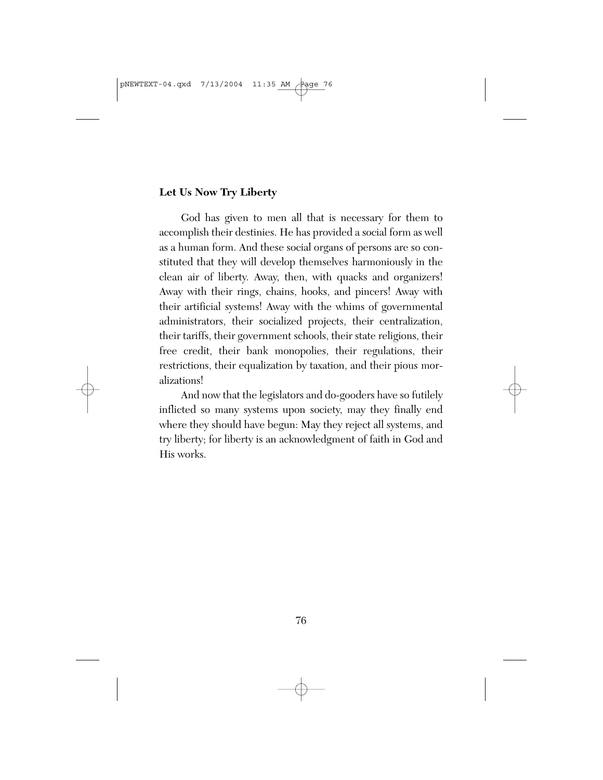## **Let Us Now Try Liberty**

God has given to men all that is necessary for them to accomplish their destinies. He has provided a social form as well as a human form. And these social organs of persons are so constituted that they will develop themselves harmoniously in the clean air of liberty. Away, then, with quacks and organizers! Away with their rings, chains, hooks, and pincers! Away with their artificial systems! Away with the whims of governmental administrators, their socialized projects, their centralization, their tariffs, their government schools, their state religions, their free credit, their bank monopolies, their regulations, their restrictions, their equalization by taxation, and their pious moralizations!

And now that the legislators and do-gooders have so futilely inflicted so many systems upon society, may they finally end where they should have begun: May they reject all systems, and try liberty; for liberty is an acknowledgment of faith in God and His works.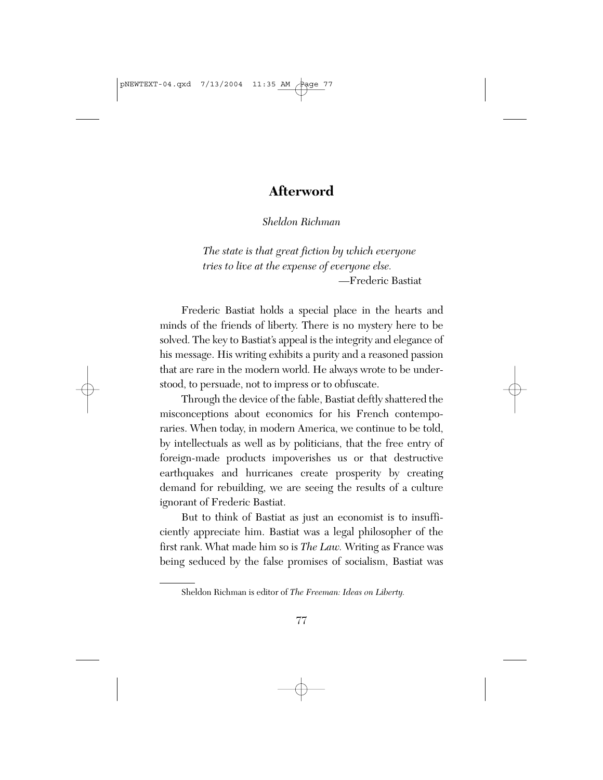# **Afterword**

*Sheldon Richman*

*The state is that great fiction by which everyone tries to live at the expense of everyone else.* —Frederic Bastiat

Frederic Bastiat holds a special place in the hearts and minds of the friends of liberty. There is no mystery here to be solved. The key to Bastiat's appeal is the integrity and elegance of his message. His writing exhibits a purity and a reasoned passion that are rare in the modern world. He always wrote to be understood, to persuade, not to impress or to obfuscate.

Through the device of the fable, Bastiat deftly shattered the misconceptions about economics for his French contemporaries. When today, in modern America, we continue to be told, by intellectuals as well as by politicians, that the free entry of foreign-made products impoverishes us or that destructive earthquakes and hurricanes create prosperity by creating demand for rebuilding, we are seeing the results of a culture ignorant of Frederic Bastiat.

But to think of Bastiat as just an economist is to insufficiently appreciate him. Bastiat was a legal philosopher of the first rank. What made him so is *The Law.* Writing as France was being seduced by the false promises of socialism, Bastiat was

Sheldon Richman is editor of *The Freeman: Ideas on Liberty.*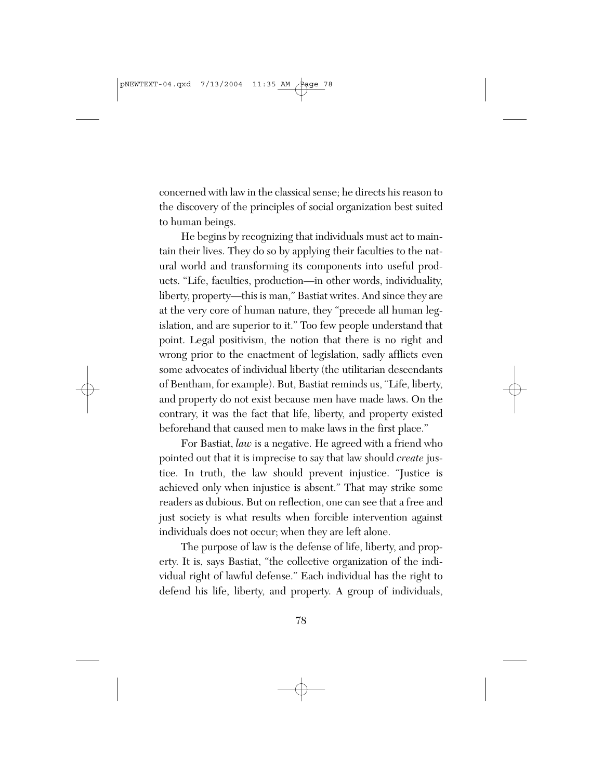concerned with law in the classical sense; he directs his reason to the discovery of the principles of social organization best suited to human beings.

He begins by recognizing that individuals must act to maintain their lives. They do so by applying their faculties to the natural world and transforming its components into useful products. "Life, faculties, production—in other words, individuality, liberty, property—this is man," Bastiat writes. And since they are at the very core of human nature, they "precede all human legislation, and are superior to it." Too few people understand that point. Legal positivism, the notion that there is no right and wrong prior to the enactment of legislation, sadly afflicts even some advocates of individual liberty (the utilitarian descendants of Bentham, for example). But, Bastiat reminds us, "Life, liberty, and property do not exist because men have made laws. On the contrary, it was the fact that life, liberty, and property existed beforehand that caused men to make laws in the first place."

For Bastiat, *law* is a negative. He agreed with a friend who pointed out that it is imprecise to say that law should *create* justice. In truth, the law should prevent injustice. "Justice is achieved only when injustice is absent." That may strike some readers as dubious. But on reflection, one can see that a free and just society is what results when forcible intervention against individuals does not occur; when they are left alone.

The purpose of law is the defense of life, liberty, and property. It is, says Bastiat, "the collective organization of the individual right of lawful defense." Each individual has the right to defend his life, liberty, and property. A group of individuals,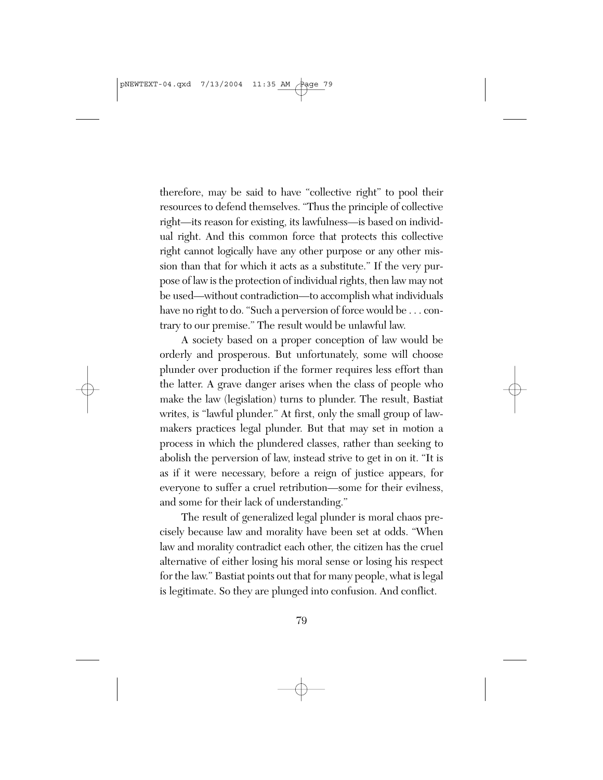therefore, may be said to have "collective right" to pool their resources to defend themselves. "Thus the principle of collective right—its reason for existing, its lawfulness—is based on individual right. And this common force that protects this collective right cannot logically have any other purpose or any other mission than that for which it acts as a substitute." If the very purpose of law is the protection of individual rights, then law may not be used—without contradiction—to accomplish what individuals have no right to do. "Such a perversion of force would be . . . contrary to our premise." The result would be unlawful law.

A society based on a proper conception of law would be orderly and prosperous. But unfortunately, some will choose plunder over production if the former requires less effort than the latter. A grave danger arises when the class of people who make the law (legislation) turns to plunder. The result, Bastiat writes, is "lawful plunder." At first, only the small group of lawmakers practices legal plunder. But that may set in motion a process in which the plundered classes, rather than seeking to abolish the perversion of law, instead strive to get in on it. "It is as if it were necessary, before a reign of justice appears, for everyone to suffer a cruel retribution—some for their evilness, and some for their lack of understanding."

The result of generalized legal plunder is moral chaos precisely because law and morality have been set at odds. "When law and morality contradict each other, the citizen has the cruel alternative of either losing his moral sense or losing his respect for the law." Bastiat points out that for many people, what is legal is legitimate. So they are plunged into confusion. And conflict.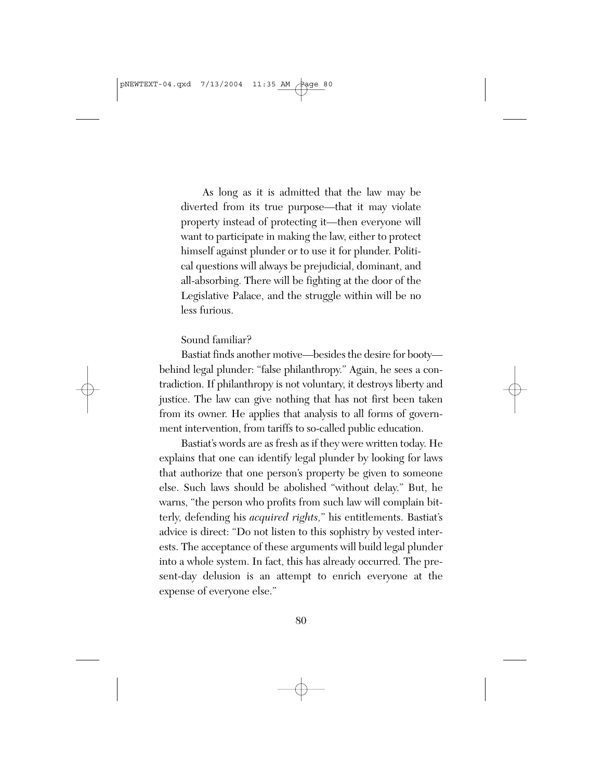As long as it is admitted that the law may be diverted from its true purpose—that it may violate property instead of protecting it—then everyone will want to participate in making the law, either to protect himself against plunder or to use it for plunder. Political questions will always be prejudicial, dominant, and all-absorbing. There will be fighting at the door of the Legislative Palace, and the struggle within will be no less furious.

#### Sound familiar?

Bastiat finds another motive—besides the desire for booty behind legal plunder: "false philanthropy." Again, he sees a contradiction. If philanthropy is not voluntary, it destroys liberty and justice. The law can give nothing that has not first been taken from its owner. He applies that analysis to all forms of government intervention, from tariffs to so-called public education.

Bastiat's words are as fresh as if they were written today. He explains that one can identify legal plunder by looking for laws that authorize that one person's property be given to someone else. Such laws should be abolished "without delay." But, he warns, "the person who profits from such law will complain bitterly, defending his *acquired rights,*" his entitlements. Bastiat's advice is direct: "Do not listen to this sophistry by vested interests. The acceptance of these arguments will build legal plunder into a whole system. In fact, this has already occurred. The present-day delusion is an attempt to enrich everyone at the expense of everyone else."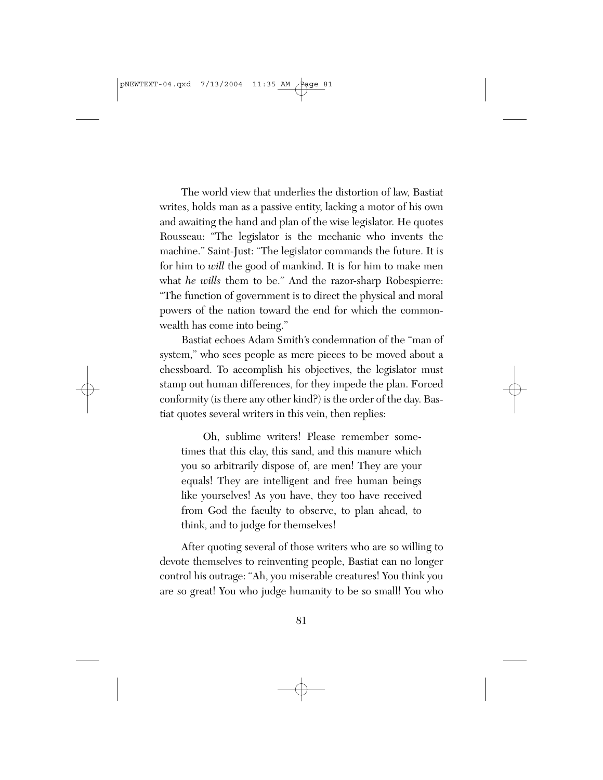The world view that underlies the distortion of law, Bastiat writes, holds man as a passive entity, lacking a motor of his own and awaiting the hand and plan of the wise legislator. He quotes Rousseau: "The legislator is the mechanic who invents the machine." Saint-Just: "The legislator commands the future. It is for him to *will* the good of mankind. It is for him to make men what *he wills* them to be." And the razor-sharp Robespierre: "The function of government is to direct the physical and moral powers of the nation toward the end for which the commonwealth has come into being."

Bastiat echoes Adam Smith's condemnation of the "man of system," who sees people as mere pieces to be moved about a chessboard. To accomplish his objectives, the legislator must stamp out human differences, for they impede the plan. Forced conformity (is there any other kind?) is the order of the day. Bastiat quotes several writers in this vein, then replies:

Oh, sublime writers! Please remember sometimes that this clay, this sand, and this manure which you so arbitrarily dispose of, are men! They are your equals! They are intelligent and free human beings like yourselves! As you have, they too have received from God the faculty to observe, to plan ahead, to think, and to judge for themselves!

After quoting several of those writers who are so willing to devote themselves to reinventing people, Bastiat can no longer control his outrage: "Ah, you miserable creatures! You think you are so great! You who judge humanity to be so small! You who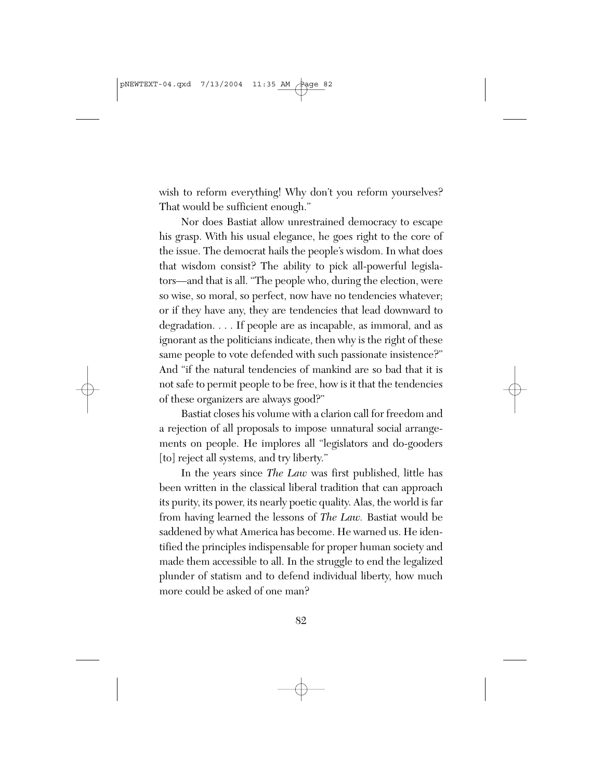wish to reform everything! Why don't you reform yourselves? That would be sufficient enough."

Nor does Bastiat allow unrestrained democracy to escape his grasp. With his usual elegance, he goes right to the core of the issue. The democrat hails the people's wisdom. In what does that wisdom consist? The ability to pick all-powerful legislators—and that is all. "The people who, during the election, were so wise, so moral, so perfect, now have no tendencies whatever; or if they have any, they are tendencies that lead downward to degradation. . . . If people are as incapable, as immoral, and as ignorant as the politicians indicate, then why is the right of these same people to vote defended with such passionate insistence?" And "if the natural tendencies of mankind are so bad that it is not safe to permit people to be free, how is it that the tendencies of these organizers are always good?"

Bastiat closes his volume with a clarion call for freedom and a rejection of all proposals to impose unnatural social arrangements on people. He implores all "legislators and do-gooders [to] reject all systems, and try liberty."

In the years since *The Law* was first published, little has been written in the classical liberal tradition that can approach its purity, its power, its nearly poetic quality. Alas, the world is far from having learned the lessons of *The Law.* Bastiat would be saddened by what America has become. He warned us. He identified the principles indispensable for proper human society and made them accessible to all. In the struggle to end the legalized plunder of statism and to defend individual liberty, how much more could be asked of one man?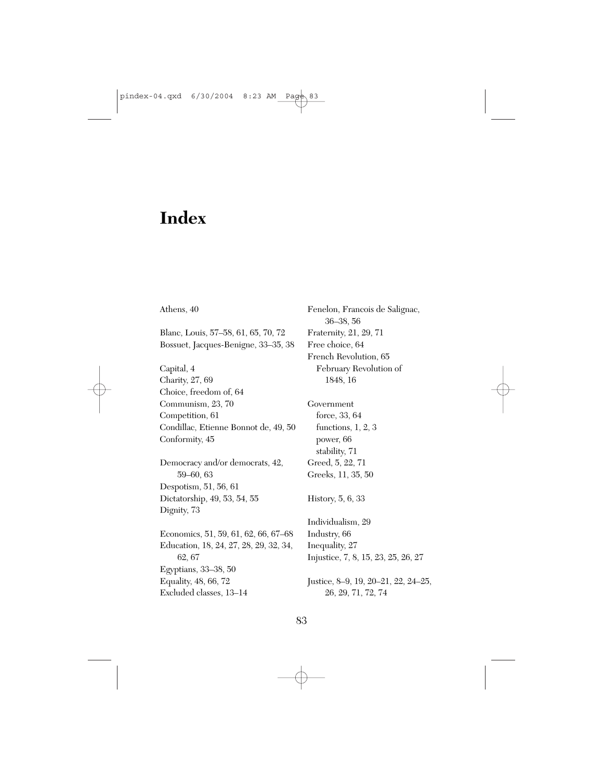# **Index**

Athens, 40

Blanc, Louis, 57–58, 61, 65, 70, 72 Bossuet, Jacques-Benigne, 33–35, 38

Capital, 4 Charity, 27, 69 Choice, freedom of, 64 Communism, 23, 70 Competition, 61 Condillac, Etienne Bonnot de, 49, 50 Conformity, 45

Democracy and/or democrats, 42, 59–60, 63 Despotism, 51, 56, 61 Dictatorship, 49, 53, 54, 55 Dignity, 73

Economics, 51, 59, 61, 62, 66, 67–68 Education, 18, 24, 27, 28, 29, 32, 34, 62, 67 Egyptians, 33–38, 50 Equality, 48, 66, 72 Excluded classes, 13–14

Fenelon, Francois de Salignac, 36–38, 56 Fraternity, 21, 29, 71 Free choice, 64 French Revolution, 65 February Revolution of 1848, 16

Government force, 33, 64 functions, 1, 2, 3 power, 66 stability, 71 Greed, 5, 22, 71 Greeks, 11, 35, 50

History, 5, 6, 33

Individualism, 29 Industry, 66 Inequality, 27 Injustice, 7, 8, 15, 23, 25, 26, 27

Justice, 8–9, 19, 20–21, 22, 24–25, 26, 29, 71, 72, 74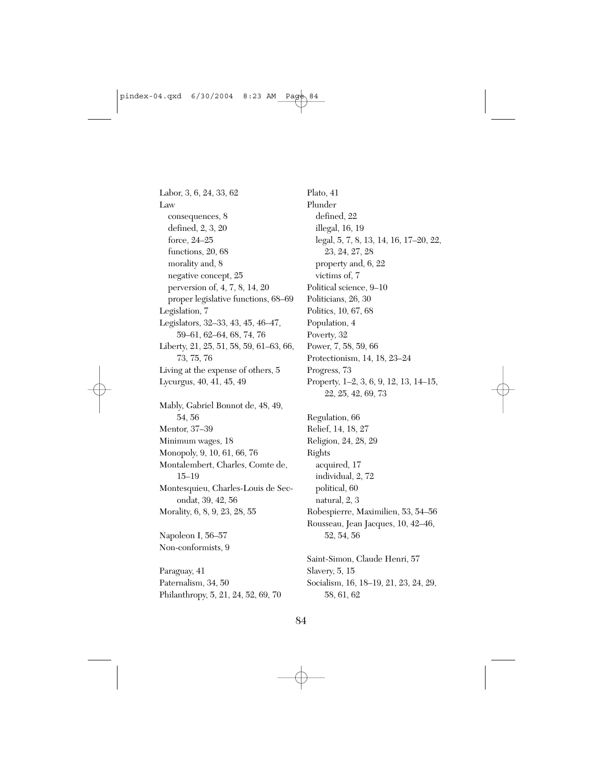Labor, 3, 6, 24, 33, 62 Law consequences, 8 defined, 2, 3, 20 force, 24–25 functions, 20, 68 morality and, 8 negative concept, 25 perversion of, 4, 7, 8, 14, 20 proper legislative functions, 68–69 Legislation, 7 Legislators, 32–33, 43, 45, 46–47, 59–61, 62–64, 68, 74, 76 Liberty, 21, 25, 51, 58, 59, 61–63, 66, 73, 75, 76 Living at the expense of others, 5 Lycurgus, 40, 41, 45, 49 Mably, Gabriel Bonnot de, 48, 49, 54, 56 Mentor, 37–39 Minimum wages, 18 Monopoly, 9, 10, 61, 66, 76 Montalembert, Charles, Comte de, 15–19 Montesquieu, Charles-Louis de Secondat, 39, 42, 56 Morality, 6, 8, 9, 23, 28, 55 Napoleon I, 56–57 Non-conformists, 9 Paraguay, 41 Paternalism, 34, 50 Philanthropy, 5, 21, 24, 52, 69, 70

Plato, 41 Plunder defined, 22 illegal, 16, 19 legal, 5, 7, 8, 13, 14, 16, 17–20, 22, 23, 24, 27, 28 property and, 6, 22 victims of, 7 Political science, 9–10 Politicians, 26, 30 Politics, 10, 67, 68 Population, 4 Poverty, 32 Power, 7, 58, 59, 66 Protectionism, 14, 18, 23–24 Progress, 73 Property, 1–2, 3, 6, 9, 12, 13, 14–15, 22, 25, 42, 69, 73

Regulation, 66 Relief, 14, 18, 27 Religion, 24, 28, 29 Rights acquired, 17 individual, 2, 72 political, 60 natural, 2, 3 Robespierre, Maximilien, 53, 54–56 Rousseau, Jean Jacques, 10, 42–46, 52, 54, 56

Saint-Simon, Claude Henri, 57 Slavery, 5, 15 Socialism, 16, 18–19, 21, 23, 24, 29, 58, 61, 62